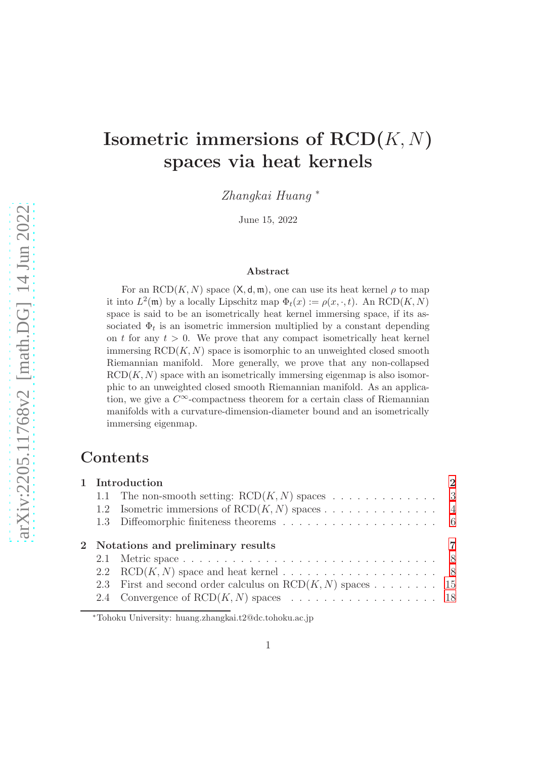# Isometric immersions of  $\text{RCD}(K, N)$ spaces via heat kernels

Zhangkai Huang <sup>∗</sup>

June 15, 2022

#### Abstract

For an RCD(K, N) space  $(X, d, m)$ , one can use its heat kernel  $\rho$  to map it into  $L^2(\mathfrak{m})$  by a locally Lipschitz map  $\Phi_t(x) := \rho(x, \cdot, t)$ . An  $\text{RCD}(K, N)$ space is said to be an isometrically heat kernel immersing space, if its associated  $\Phi_t$  is an isometric immersion multiplied by a constant depending on t for any  $t > 0$ . We prove that any compact isometrically heat kernel immersing  $RCD(K, N)$  space is isomorphic to an unweighted closed smooth Riemannian manifold. More generally, we prove that any non-collapsed  $RCD(K, N)$  space with an isometrically immersing eigenmap is also isomorphic to an unweighted closed smooth Riemannian manifold. As an application, we give a  $C^{\infty}$ -compactness theorem for a certain class of Riemannian manifolds with a curvature-dimension-diameter bound and an isometrically immersing eigenmap.

## Contents

|  | 1 Introduction                                                |  |  |  |  |                |
|--|---------------------------------------------------------------|--|--|--|--|----------------|
|  |                                                               |  |  |  |  |                |
|  | 1.2 Isometric immersions of $RCD(K, N)$ spaces 4              |  |  |  |  |                |
|  |                                                               |  |  |  |  |                |
|  | 2 Notations and preliminary results                           |  |  |  |  | $\overline{7}$ |
|  |                                                               |  |  |  |  |                |
|  |                                                               |  |  |  |  |                |
|  | 2.3 First and second order calculus on $RCD(K, N)$ spaces  15 |  |  |  |  |                |
|  |                                                               |  |  |  |  |                |

<sup>∗</sup>Tohoku University: huang.zhangkai.t2@dc.tohoku.ac.jp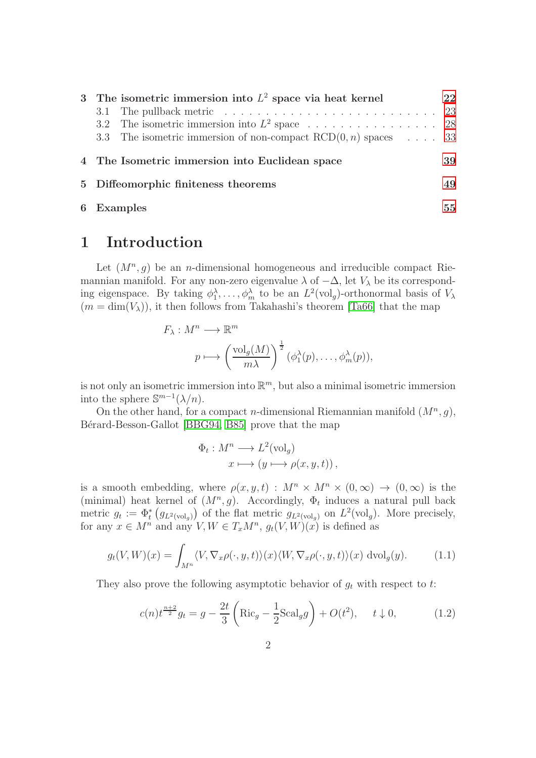| 3 The isometric immersion into $L^2$ space via heat kernel                                         | 22 |
|----------------------------------------------------------------------------------------------------|----|
| 3.1 The pullback metric $\ldots \ldots \ldots \ldots \ldots \ldots \ldots \ldots \ldots \ldots 23$ |    |
|                                                                                                    |    |
| 3.3 The isometric immersion of non-compact $RCD(0, n)$ spaces  33                                  |    |
| 4 The Isometric immersion into Euclidean space                                                     | 39 |
| 5 Diffeomorphic finiteness theorems                                                                | 49 |
| 6 Examples                                                                                         | 55 |

## <span id="page-1-0"></span>1 Introduction

Let  $(M^n, g)$  be an *n*-dimensional homogeneous and irreducible compact Riemannian manifold. For any non-zero eigenvalue  $\lambda$  of  $-\Delta$ , let  $V_{\lambda}$  be its corresponding eigenspace. By taking  $\phi_1^{\lambda}, \ldots, \phi_m^{\lambda}$  to be an  $L^2(\text{vol}_g)$ -orthonormal basis of  $V_{\lambda}$  $(m = \dim(V_\lambda))$ , it then follows from Takahashi's theorem [\[Ta66\]](#page-61-0) that the map

$$
F_{\lambda}: M^{n} \longrightarrow \mathbb{R}^{m}
$$
  

$$
p \longmapsto \left(\frac{\mathrm{vol}_{g}(M)}{m\lambda}\right)^{\frac{1}{2}}(\phi_{1}^{\lambda}(p), \dots, \phi_{m}^{\lambda}(p)),
$$

is not only an isometric immersion into  $\mathbb{R}^m$ , but also a minimal isometric immersion into the sphere  $\mathbb{S}^{m-1}(\lambda/n)$ .

On the other hand, for a compact *n*-dimensional Riemannian manifold  $(M^n, g)$ , Bérard-Besson-Gallot [\[BBG94,](#page-57-0) [B85\]](#page-57-1) prove that the map

$$
\Phi_t: M^n \longrightarrow L^2(\text{vol}_g)
$$
  

$$
x \longmapsto (y \longmapsto \rho(x, y, t)),
$$

is a smooth embedding, where  $\rho(x, y, t)$ :  $M^n \times M^n \times (0, \infty) \rightarrow (0, \infty)$  is the (minimal) heat kernel of  $(M^n, g)$ . Accordingly,  $\Phi_t$  induces a natural pull back metric  $g_t := \Phi_t^* (g_{L^2(\text{vol}_g)})$  of the flat metric  $g_{L^2(\text{vol}_g)}$  on  $L^2(\text{vol}_g)$ . More precisely, for any  $x \in M^n$  and any  $V, W \in T_xM^n$ ,  $g_t(V, W)(x)$  is defined as

<span id="page-1-2"></span>
$$
g_t(V, W)(x) = \int_{M^n} \langle V, \nabla_x \rho(\cdot, y, t) \rangle(x) \langle W, \nabla_x \rho(\cdot, y, t) \rangle(x) \, \text{dvol}_g(y). \tag{1.1}
$$

They also prove the following asymptotic behavior of  $g_t$  with respect to t:

<span id="page-1-1"></span>
$$
c(n)t^{\frac{n+2}{2}}g_t = g - \frac{2t}{3} \left( \text{Ric}_g - \frac{1}{2} \text{Scal}_g g \right) + O(t^2), \quad t \downarrow 0,
$$
 (1.2)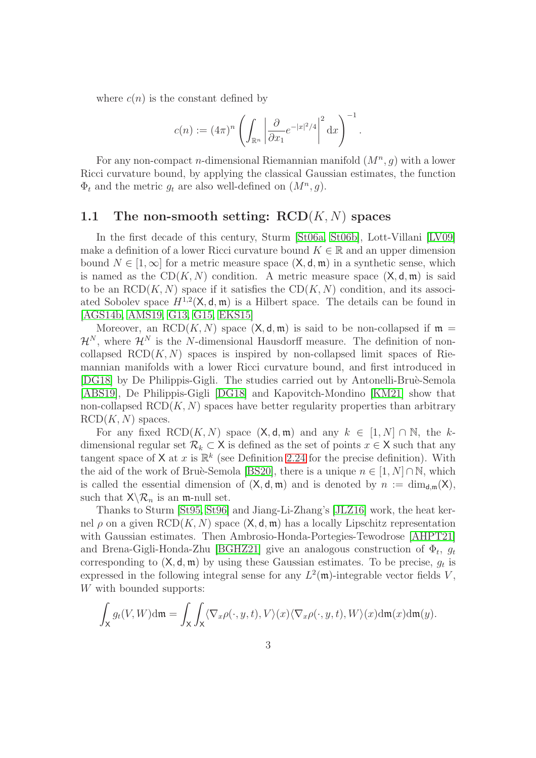where  $c(n)$  is the constant defined by

$$
c(n) := (4\pi)^n \left( \int_{\mathbb{R}^n} \left| \frac{\partial}{\partial x_1} e^{-|x|^2/4} \right|^2 dx \right)^{-1}.
$$

For any non-compact *n*-dimensional Riemannian manifold  $(M^n, g)$  with a lower Ricci curvature bound, by applying the classical Gaussian estimates, the function  $\Phi_t$  and the metric  $g_t$  are also well-defined on  $(M^n, g)$ .

#### <span id="page-2-0"></span>1.1 The non-smooth setting:  $RCD(K, N)$  spaces

In the first decade of this century, Sturm [\[St06a,](#page-61-1) [St06b\]](#page-61-2), Lott-Villani [\[LV09\]](#page-60-0) make a definition of a lower Ricci curvature bound  $K \in \mathbb{R}$  and an upper dimension bound  $N \in [1,\infty]$  for a metric measure space  $(\mathsf{X},\mathsf{d},\mathfrak{m})$  in a synthetic sense, which is named as the  $CD(K, N)$  condition. A metric measure space  $(X, d, m)$  is said to be an  $RCD(K, N)$  space if it satisfies the  $CD(K, N)$  condition, and its associated Sobolev space  $H^{1,2}(\mathsf{X},\mathsf{d},\mathfrak{m})$  is a Hilbert space. The details can be found in [\[AGS14b,](#page-57-2) [AMS19,](#page-57-3) [G13,](#page-58-0) [G15,](#page-59-0) [EKS15\]](#page-58-1)

Moreover, an RCD(K, N) space  $(X, d, m)$  is said to be non-collapsed if  $m =$  $\mathcal{H}^N$ , where  $\mathcal{H}^N$  is the N-dimensional Hausdorff measure. The definition of noncollapsed  $RCD(K, N)$  spaces is inspired by non-collapsed limit spaces of Riemannian manifolds with a lower Ricci curvature bound, and first introduced in [\[DG18\]](#page-58-2) by De Philippis-Gigli. The studies carried out by Antonelli-Bruè-Semola [\[ABS19\]](#page-56-0), De Philippis-Gigli [\[DG18\]](#page-58-2) and Kapovitch-Mondino [\[KM21\]](#page-60-1) show that non-collapsed  $\text{RCD}(K, N)$  spaces have better regularity properties than arbitrary  $RCD(K, N)$  spaces.

For any fixed RCD(K, N) space  $(X, d, m)$  and any  $k \in [1, N] \cap \mathbb{N}$ , the kdimensional regular set  $\mathcal{R}_k \subset \mathsf{X}$  is defined as the set of points  $x \in \mathsf{X}$  such that any tangent space of X at x is  $\mathbb{R}^k$  (see Definition [2.24](#page-19-0) for the precise definition). With the aid of the work of Bruè-Semola [\[BS20\]](#page-58-3), there is a unique  $n \in [1, N] \cap \mathbb{N}$ , which is called the essential dimension of  $(X, d, \mathfrak{m})$  and is denoted by  $n := \dim_{d,\mathfrak{m}}(X)$ , such that  $X \setminus \mathcal{R}_n$  is an m-null set.

Thanks to Sturm [\[St95,](#page-61-3) [St96\]](#page-61-4) and Jiang-Li-Zhang's [\[JLZ16\]](#page-60-2) work, the heat kernel  $\rho$  on a given RCD(K, N) space  $(X, d, \mathfrak{m})$  has a locally Lipschitz representation with Gaussian estimates. Then Ambrosio-Honda-Portegies-Tewodrose [\[AHPT21\]](#page-57-4) and Brena-Gigli-Honda-Zhu [\[BGHZ21\]](#page-58-4) give an analogous construction of  $\Phi_t$ ,  $g_t$ corresponding to  $(X, d, \mathfrak{m})$  by using these Gaussian estimates. To be precise,  $g_t$  is expressed in the following integral sense for any  $L^2(\mathfrak{m})$ -integrable vector fields V, W with bounded supports:

$$
\int_{\mathsf{X}} g_t(V, W) \mathrm{d}\mathfrak{m} = \int_{\mathsf{X}} \int_{\mathsf{X}} \langle \nabla_x \rho(\cdot, y, t), V \rangle(x) \langle \nabla_x \rho(\cdot, y, t), W \rangle(x) \mathrm{d}\mathfrak{m}(x) \mathrm{d}\mathfrak{m}(y).
$$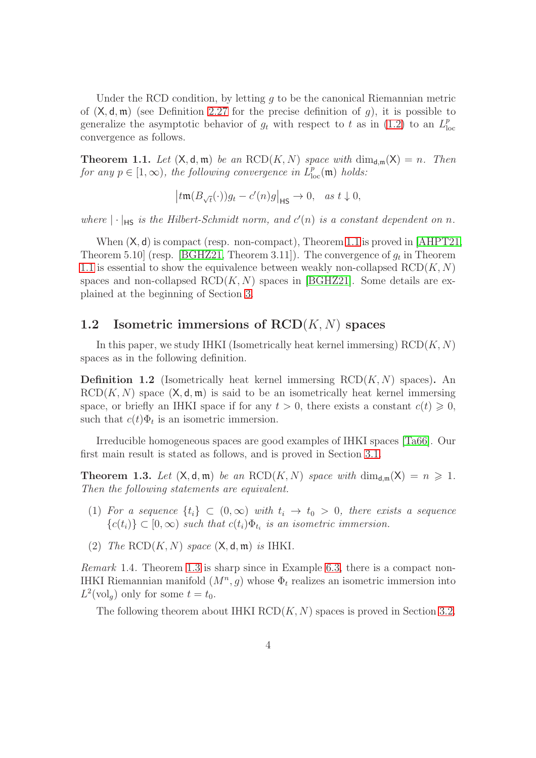Under the RCD condition, by letting  $q$  to be the canonical Riemannian metric of  $(X, d, m)$  (see Definition [2.27](#page-19-1) for the precise definition of g), it is possible to generalize the asymptotic behavior of  $g_t$  with respect to t as in [\(1.2\)](#page-1-1) to an  $L^p_{\text{loc}}$ loc convergence as follows.

<span id="page-3-1"></span>**Theorem 1.1.** Let  $(X, d, m)$  be an RCD $(K, N)$  space with  $\dim_{d,m}(X) = n$ . Then for any  $p \in [1, \infty)$ , the following convergence in  $L^p_{loc}(\mathfrak{m})$  holds:

$$
\left| t\mathfrak{m}(B_{\sqrt{t}}(\cdot))g_t - c'(n)g\right|_{\text{HS}} \to 0, \quad \text{as } t \downarrow 0,
$$

where  $|\cdot|_{\text{HS}}$  is the Hilbert-Schmidt norm, and  $c'(n)$  is a constant dependent on n.

When  $(X, d)$  is compact (resp. non-compact), Theorem [1.1](#page-3-1) is proved in [\[AHPT21,](#page-57-4) Theorem 5.10] (resp. [\[BGHZ21,](#page-58-4) Theorem 3.11]). The convergence of  $g_t$  in Theorem [1.1](#page-3-1) is essential to show the equivalence between weakly non-collapsed  $RCD(K, N)$ spaces and non-collapsed  $\text{RCD}(K, N)$  spaces in [\[BGHZ21\]](#page-58-4). Some details are explained at the beginning of Section [3.](#page-21-0)

## <span id="page-3-0"></span>1.2 Isometric immersions of  $\text{RCD}(K, N)$  spaces

In this paper, we study IHKI (Isometrically heat kernel immersing)  $RCD(K, N)$ spaces as in the following definition.

**Definition 1.2** (Isometrically heat kernel immersing  $RCD(K, N)$  spaces). An  $RCD(K, N)$  space  $(X, d, \mathfrak{m})$  is said to be an isometrically heat kernel immersing space, or briefly an IHKI space if for any  $t > 0$ , there exists a constant  $c(t) \geq 0$ , such that  $c(t)\Phi_t$  is an isometric immersion.

Irreducible homogeneous spaces are good examples of IHKI spaces [\[Ta66\]](#page-61-0). Our first main result is stated as follows, and is proved in Section [3.1.](#page-22-0)

<span id="page-3-2"></span>**Theorem 1.3.** Let  $(X, d, m)$  be an RCD $(K, N)$  space with  $\dim_{d,m}(X) = n \geq 1$ . Then the following statements are equivalent.

- (1) For a sequence  $\{t_i\} \subset (0,\infty)$  with  $t_i \to t_0 > 0$ , there exists a sequence  ${c(t_i)} \subset [0,\infty)$  such that  $c(t_i)\Phi_{t_i}$  is an isometric immersion.
- (2) The  $RCD(K, N)$  space  $(X, d, m)$  is IHKI.

Remark 1.4. Theorem [1.3](#page-3-2) is sharp since in Example [6.3,](#page-55-0) there is a compact non-IHKI Riemannian manifold  $(M^n, g)$  whose  $\Phi_t$  realizes an isometric immersion into  $L^2(\text{vol}_g)$  only for some  $t = t_0$ .

The following theorem about IHKI  $RCD(K, N)$  spaces is proved in Section [3.2.](#page-27-0)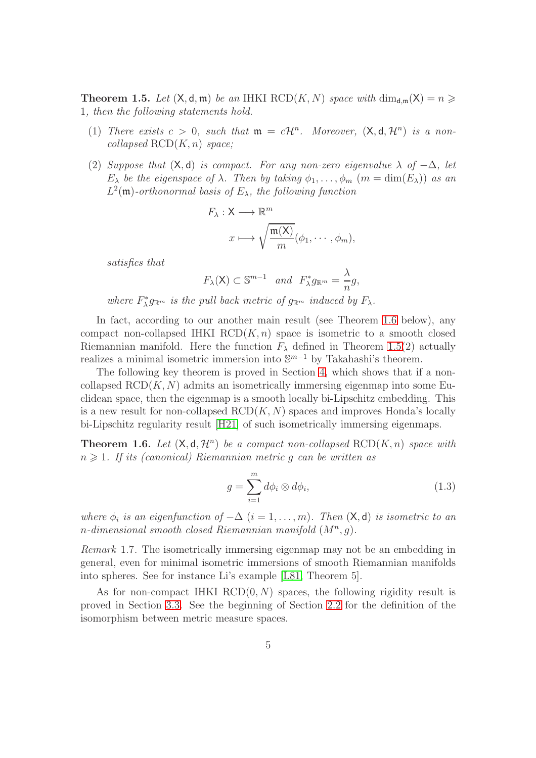<span id="page-4-1"></span>**Theorem 1.5.** Let  $(X, d, m)$  be an IHKI RCD $(K, N)$  space with  $\dim_{d,m}(X) = n \geq$ 1, then the following statements hold.

- (1) There exists  $c > 0$ , such that  $\mathfrak{m} = c\mathcal{H}^n$ . Moreover,  $(\mathsf{X}, \mathsf{d}, \mathcal{H}^n)$  is a non $collapsed$   $RCD(K, n)$  space;
- (2) Suppose that  $(X, d)$  is compact. For any non-zero eigenvalue  $\lambda$  of  $-\Delta$ , let  $E_{\lambda}$  be the eigenspace of  $\lambda$ . Then by taking  $\phi_1, \ldots, \phi_m$   $(m = \dim(E_{\lambda}))$  as an  $L^2(\mathfrak{m})$ -orthonormal basis of  $E_\lambda$ , the following function

$$
F_{\lambda}: X \longrightarrow \mathbb{R}^{m}
$$

$$
x \longmapsto \sqrt{\frac{\mathfrak{m}(X)}{m}}(\phi_{1}, \cdots, \phi_{m}),
$$

satisfies that

$$
F_{\lambda}(\mathsf{X}) \subset \mathbb{S}^{m-1}
$$
 and  $F_{\lambda}^* g_{\mathbb{R}^m} = \frac{\lambda}{n} g$ ,

where  $F_{\lambda}^* g_{\mathbb{R}^m}$  is the pull back metric of  $g_{\mathbb{R}^m}$  induced by  $F_{\lambda}$ .

In fact, according to our another main result (see Theorem [1.6](#page-4-0) below), any compact non-collapsed IHKI  $RCD(K, n)$  space is isometric to a smooth closed Riemannian manifold. Here the function  $F_{\lambda}$  defined in Theorem [1.5\(](#page-4-1)2) actually realizes a minimal isometric immersion into  $\mathbb{S}^{m-1}$  by Takahashi's theorem.

The following key theorem is proved in Section [4,](#page-38-0) which shows that if a noncollapsed  $\text{RCD}(K, N)$  admits an isometrically immersing eigenmap into some Euclidean space, then the eigenmap is a smooth locally bi-Lipschitz embedding. This is a new result for non-collapsed  $RCD(K, N)$  spaces and improves Honda's locally bi-Lipschitz regularity result [\[H21\]](#page-59-1) of such isometrically immersing eigenmaps.

<span id="page-4-0"></span>**Theorem 1.6.** Let  $(X, d, \mathcal{H}^n)$  be a compact non-collapsed  $RCD(K, n)$  space with  $n \geqslant 1$ . If its (canonical) Riemannian metric q can be written as

<span id="page-4-2"></span>
$$
g = \sum_{i=1}^{m} d\phi_i \otimes d\phi_i, \qquad (1.3)
$$

where  $\phi_i$  is an eigenfunction of  $-\Delta$   $(i = 1, \ldots, m)$ . Then  $(\mathsf{X}, \mathsf{d})$  is isometric to an n-dimensional smooth closed Riemannian manifold  $(M^n, g)$ .

Remark 1.7. The isometrically immersing eigenmap may not be an embedding in general, even for minimal isometric immersions of smooth Riemannian manifolds into spheres. See for instance Li's example [\[L81,](#page-60-3) Theorem 5].

As for non-compact IHKI  $RCD(0, N)$  spaces, the following rigidity result is proved in Section [3.3.](#page-32-0) See the beginning of Section [2.2](#page-7-1) for the definition of the isomorphism between metric measure spaces.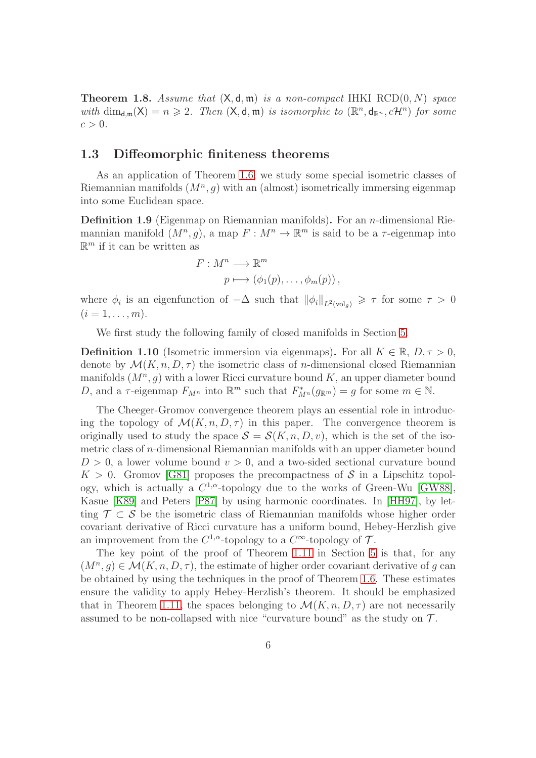<span id="page-5-1"></span>**Theorem 1.8.** Assume that  $(X, d, m)$  is a non-compact IHKI  $RCD(0, N)$  space with  $\dim_{d,m}(X) = n \geq 2$ . Then  $(X, d, m)$  is isomorphic to  $(\mathbb{R}^n, d_{\mathbb{R}^n}, c\mathcal{H}^n)$  for some  $c > 0$ .

#### <span id="page-5-0"></span>1.3 Diffeomorphic finiteness theorems

As an application of Theorem [1.6,](#page-4-0) we study some special isometric classes of Riemannian manifolds  $(M^n, g)$  with an (almost) isometrically immersing eigenmap into some Euclidean space.

Definition 1.9 (Eigenmap on Riemannian manifolds). For an *n*-dimensional Riemannian manifold  $(M^n, g)$ , a map  $F: M^n \to \mathbb{R}^m$  is said to be a  $\tau$ -eigenmap into  $\mathbb{R}^m$  if it can be written as

$$
F: M^n \longrightarrow \mathbb{R}^m
$$
  

$$
p \longmapsto (\phi_1(p), \dots, \phi_m(p)),
$$

where  $\phi_i$  is an eigenfunction of  $-\Delta$  such that  $\|\phi_i\|_{L^2(\text{vol}_g)} \geq \tau$  for some  $\tau > 0$  $(i = 1, \ldots, m).$ 

We first study the following family of closed manifolds in Section [5.](#page-48-0)

**Definition 1.10** (Isometric immersion via eigenmaps). For all  $K \in \mathbb{R}$ ,  $D, \tau > 0$ , denote by  $\mathcal{M}(K, n, D, \tau)$  the isometric class of *n*-dimensional closed Riemannian manifolds  $(M^n, g)$  with a lower Ricci curvature bound K, an upper diameter bound D, and a  $\tau$ -eigenmap  $F_{M^n}$  into  $\mathbb{R}^m$  such that  $F_{M^n}^*(g_{\mathbb{R}^m}) = g$  for some  $m \in \mathbb{N}$ .

The Cheeger-Gromov convergence theorem plays an essential role in introducing the topology of  $\mathcal{M}(K, n, D, \tau)$  in this paper. The convergence theorem is originally used to study the space  $S = \mathcal{S}(K, n, D, v)$ , which is the set of the isometric class of n-dimensional Riemannian manifolds with an upper diameter bound  $D > 0$ , a lower volume bound  $v > 0$ , and a two-sided sectional curvature bound  $K > 0$ . Gromov [\[G81\]](#page-58-5) proposes the precompactness of S in a Lipschitz topology, which is actually a  $C^{1,\alpha}$ -topology due to the works of Green-Wu [\[GW88\]](#page-59-2), Kasue [\[K89\]](#page-60-4) and Peters [\[P87\]](#page-60-5) by using harmonic coordinates. In [\[HH97\]](#page-59-3), by letting  $\mathcal{T} \subset \mathcal{S}$  be the isometric class of Riemannian manifolds whose higher order covariant derivative of Ricci curvature has a uniform bound, Hebey-Herzlish give an improvement from the  $C^{1,\alpha}$ -topology to a  $C^{\infty}$ -topology of  $\mathcal{T}$ .

The key point of the proof of Theorem [1.11](#page-6-1) in Section [5](#page-48-0) is that, for any  $(M^n, g) \in \mathcal{M}(K, n, D, \tau)$ , the estimate of higher order covariant derivative of g can be obtained by using the techniques in the proof of Theorem [1.6.](#page-4-0) These estimates ensure the validity to apply Hebey-Herzlish's theorem. It should be emphasized that in Theorem [1.11,](#page-6-1) the spaces belonging to  $\mathcal{M}(K, n, D, \tau)$  are not necessarily assumed to be non-collapsed with nice "curvature bound" as the study on  $\mathcal{T}$ .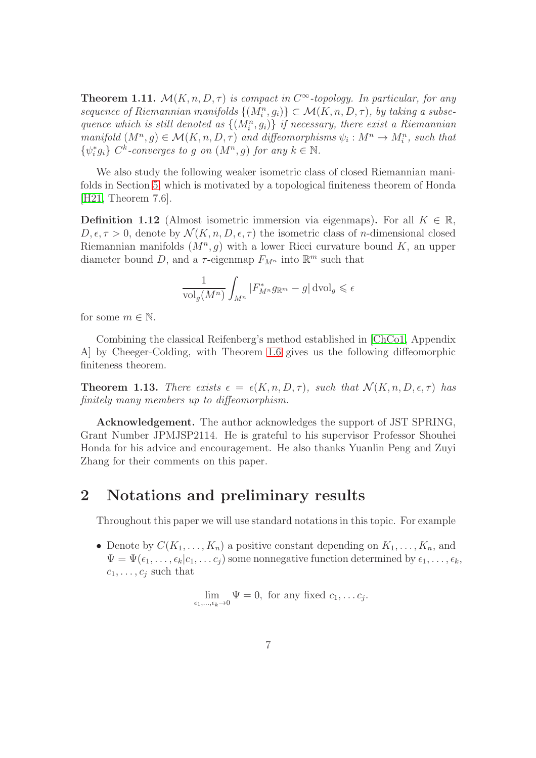<span id="page-6-1"></span>**Theorem 1.11.**  $\mathcal{M}(K, n, D, \tau)$  is compact in  $C^{\infty}$ -topology. In particular, for any sequence of Riemannian manifolds  $\{(M_i^n, g_i)\}\subset \mathcal{M}(K,n,D,\tau)$ , by taking a subsequence which is still denoted as  $\{(M_i^n, g_i)\}\$ if necessary, there exist a Riemannian manifold  $(M^n, g) \in \mathcal{M}(K, n, D, \tau)$  and diffeomorphisms  $\psi_i : M^n \to M_i^n$ , such that  $\{\psi_i^* g_i\}$  C<sup>k</sup>-converges to g on  $(M^n, g)$  for any  $k \in \mathbb{N}$ .

We also study the following weaker isometric class of closed Riemannian manifolds in Section [5,](#page-48-0) which is motivated by a topological finiteness theorem of Honda [\[H21,](#page-59-1) Theorem 7.6].

**Definition 1.12** (Almost isometric immersion via eigenmaps). For all  $K \in \mathbb{R}$ ,  $D, \epsilon, \tau > 0$ , denote by  $\mathcal{N}(K, n, D, \epsilon, \tau)$  the isometric class of *n*-dimensional closed Riemannian manifolds  $(M^n, g)$  with a lower Ricci curvature bound K, an upper diameter bound D, and a  $\tau$ -eigenmap  $F_{M^n}$  into  $\mathbb{R}^m$  such that

$$
\frac{1}{\text{vol}_g(M^n)} \int_{M^n} |F_{M^n}^* g_{\mathbb{R}^m} - g| \operatorname{dvol}_g \leqslant \epsilon
$$

for some  $m \in \mathbb{N}$ .

Combining the classical Reifenberg's method established in [\[ChCo1,](#page-58-6) Appendix A] by Cheeger-Colding, with Theorem [1.6](#page-4-0) gives us the following diffeomorphic finiteness theorem.

<span id="page-6-2"></span>**Theorem 1.13.** There exists  $\epsilon = \epsilon(K, n, D, \tau)$ , such that  $\mathcal{N}(K, n, D, \epsilon, \tau)$  has finitely many members up to diffeomorphism.

Acknowledgement. The author acknowledges the support of JST SPRING, Grant Number JPMJSP2114. He is grateful to his supervisor Professor Shouhei Honda for his advice and encouragement. He also thanks Yuanlin Peng and Zuyi Zhang for their comments on this paper.

## <span id="page-6-0"></span>2 Notations and preliminary results

Throughout this paper we will use standard notations in this topic. For example

• Denote by  $C(K_1, \ldots, K_n)$  a positive constant depending on  $K_1, \ldots, K_n$ , and  $\Psi = \Psi(\epsilon_1, \ldots, \epsilon_k | c_1, \ldots c_i)$  some nonnegative function determined by  $\epsilon_1, \ldots, \epsilon_k$ ,  $c_1, \ldots, c_j$  such that

$$
\lim_{\epsilon_1,\ldots,\epsilon_k\to 0}\Psi=0, \text{ for any fixed }c_1,\ldots c_j.
$$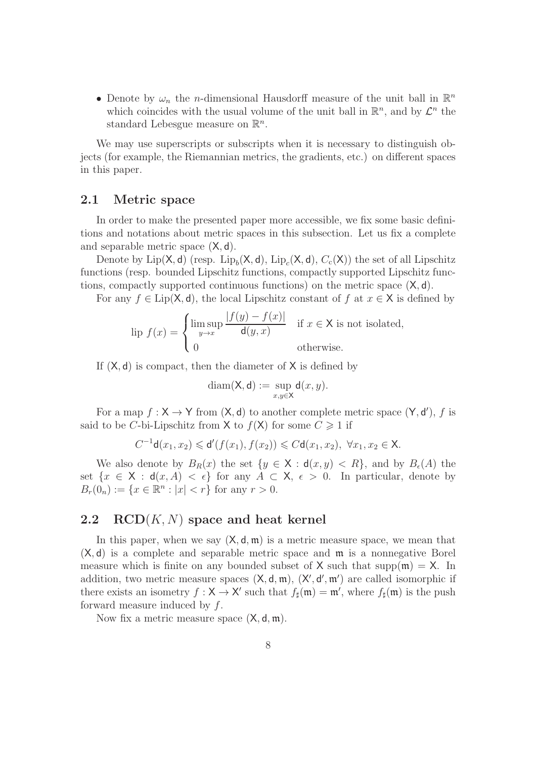• Denote by  $\omega_n$  the *n*-dimensional Hausdorff measure of the unit ball in  $\mathbb{R}^n$ which coincides with the usual volume of the unit ball in  $\mathbb{R}^n$ , and by  $\mathcal{L}^n$  the standard Lebesgue measure on  $\mathbb{R}^n$ .

We may use superscripts or subscripts when it is necessary to distinguish objects (for example, the Riemannian metrics, the gradients, etc.) on different spaces in this paper.

#### <span id="page-7-0"></span>2.1 Metric space

In order to make the presented paper more accessible, we fix some basic definitions and notations about metric spaces in this subsection. Let us fix a complete and separable metric space (X, d).

Denote by  $\text{Lip}(X, d)$  (resp.  $\text{Lip}_b(X, d)$ ,  $\text{Lip}_c(X, d)$ ,  $C_c(X)$ ) the set of all Lipschitz functions (resp. bounded Lipschitz functions, compactly supported Lipschitz functions, compactly supported continuous functions) on the metric space  $(X, d)$ .

For any  $f \in \text{Lip}(X, d)$ , the local Lipschitz constant of f at  $x \in X$  is defined by

lip 
$$
f(x) = \begin{cases} \limsup_{y \to x} \frac{|f(y) - f(x)|}{d(y, x)} & \text{if } x \in \mathsf{X} \text{ is not isolated,} \\ 0 & \text{otherwise.} \end{cases}
$$

If  $(X, d)$  is compact, then the diameter of X is defined by

$$
\mathrm{diam}(\mathsf{X},\mathsf{d}):=\sup_{x,y\in\mathsf{X}}\mathsf{d}(x,y).
$$

For a map  $f: X \to Y$  from  $(X, d)$  to another complete metric space  $(Y, d')$ , f is said to be C-bi-Lipschitz from X to  $f(X)$  for some  $C \geq 1$  if

$$
C^{-1} \mathsf{d}(x_1, x_2) \leq \mathsf{d}'(f(x_1), f(x_2)) \leq C \mathsf{d}(x_1, x_2), \ \forall x_1, x_2 \in \mathsf{X}.
$$

We also denote by  $B_R(x)$  the set  $\{y \in X : d(x,y) < R\}$ , and by  $B_{\epsilon}(A)$  the set  $\{x \in X : d(x, A) < \epsilon\}$  for any  $A \subset X$ ,  $\epsilon > 0$ . In particular, denote by  $B_r(0_n) := \{x \in \mathbb{R}^n : |x| < r\}$  for any  $r > 0$ .

### <span id="page-7-1"></span>2.2  $RCD(K, N)$  space and heat kernel

In this paper, when we say  $(X, d, m)$  is a metric measure space, we mean that  $(X, d)$  is a complete and separable metric space and  $m$  is a nonnegative Borel measure which is finite on any bounded subset of  $X$  such that supp $(m) = X$ . In addition, two metric measure spaces  $(X, d, \mathfrak{m})$ ,  $(X', d', \mathfrak{m}')$  are called isomorphic if there exists an isometry  $f: X \to X'$  such that  $f_{\sharp}(\mathfrak{m}) = \mathfrak{m}'$ , where  $f_{\sharp}(\mathfrak{m})$  is the push forward measure induced by  $f$ .

Now fix a metric measure space  $(X, d, m)$ .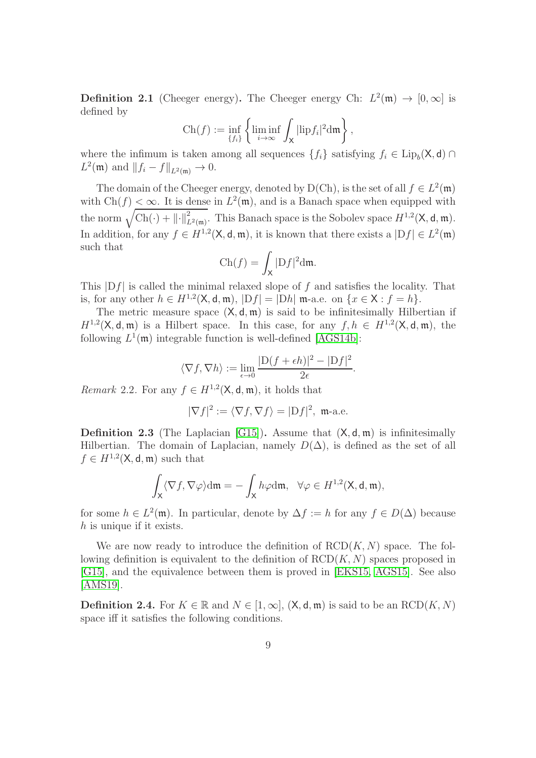**Definition 2.1** (Cheeger energy). The Cheeger energy Ch:  $L^2(\mathfrak{m}) \to [0, \infty]$  is defined by

$$
\operatorname{Ch}(f) := \inf_{\{f_i\}} \left\{ \liminf_{i \to \infty} \int_{\mathsf{X}} |\operatorname{lip} f_i|^2 d\mathfrak{m} \right\},\,
$$

where the infimum is taken among all sequences  $\{f_i\}$  satisfying  $f_i \in \text{Lip}_b(\mathsf{X}, \mathsf{d}) \cap$  $L^2(\mathfrak{m})$  and  $||f_i - f||_{L^2(\mathfrak{m})} \to 0.$ 

The domain of the Cheeger energy, denoted by D(Ch), is the set of all  $f \in L^2(\mathfrak{m})$ with  $\text{Ch}(f) \leq \infty$ . It is dense in  $L^2(\mathfrak{m})$ , and is a Banach space when equipped with the norm  $\sqrt{\text{Ch}(\cdot) + ||\cdot||_{L^2(\mathfrak{m})}^2}$ . This Banach space is the Sobolev space  $H^{1,2}(\mathsf{X}, \mathsf{d}, \mathfrak{m})$ . In addition, for any  $f \in H^{1,2}(\mathsf{X}, \mathsf{d}, \mathfrak{m})$ , it is known that there exists a  $|Df| \in L^2(\mathfrak{m})$ such that

$$
Ch(f) = \int_{\mathsf{X}} |Df|^2 d\mathfrak{m}.
$$

This  $|Df|$  is called the minimal relaxed slope of f and satisfies the locality. That is, for any other  $h \in H^{1,2}(\mathsf{X},\mathsf{d},\mathfrak{m}), |Df| = |Dh| \mathfrak{m}$ -a.e. on  $\{x \in \mathsf{X} : f = h\}.$ 

The metric measure space  $(X, d, m)$  is said to be infinitesimally Hilbertian if  $H^{1,2}(\mathsf{X},\mathsf{d},\mathfrak{m})$  is a Hilbert space. In this case, for any  $f, h \in H^{1,2}(\mathsf{X},\mathsf{d},\mathfrak{m})$ , the following  $L^1(\mathfrak{m})$  integrable function is well-defined [\[AGS14b\]](#page-57-2):

$$
\langle \nabla f, \nabla h \rangle := \lim_{\epsilon \to 0} \frac{|\mathcal{D}(f + \epsilon h)|^2 - |\mathcal{D}f|^2}{2\epsilon}.
$$

*Remark* 2.2. For any  $f \in H^{1,2}(\mathsf{X}, \mathsf{d}, \mathfrak{m})$ , it holds that

$$
|\nabla f|^2:=\langle \nabla f,\nabla f\rangle=|\mathcal{D} f|^2, \text{ m-a.e.}
$$

**Definition 2.3** (The Laplacian [\[G15\]](#page-59-0)). Assume that  $(X, d, m)$  is infinitesimally Hilbertian. The domain of Laplacian, namely  $D(\Delta)$ , is defined as the set of all  $f \in H^{1,2}(\mathsf{X},\mathsf{d},\mathfrak{m})$  such that

$$
\int_{\mathsf{X}} \langle \nabla f, \nabla \varphi \rangle \mathrm{d}\mathfrak{m} = -\int_{\mathsf{X}} h \varphi \mathrm{d}\mathfrak{m}, \quad \forall \varphi \in H^{1,2}(\mathsf{X}, \mathsf{d}, \mathfrak{m}),
$$

for some  $h \in L^2(\mathfrak{m})$ . In particular, denote by  $\Delta f := h$  for any  $f \in D(\Delta)$  because h is unique if it exists.

We are now ready to introduce the definition of  $\text{RCD}(K, N)$  space. The following definition is equivalent to the definition of  $RCD(K, N)$  spaces proposed in [\[G15\]](#page-59-0), and the equivalence between them is proved in [\[EKS15,](#page-58-1) [AGS15\]](#page-57-5). See also [\[AMS19\]](#page-57-3).

**Definition 2.4.** For  $K \in \mathbb{R}$  and  $N \in [1, \infty]$ ,  $(X, d, m)$  is said to be an RCD $(K, N)$ space iff it satisfies the following conditions.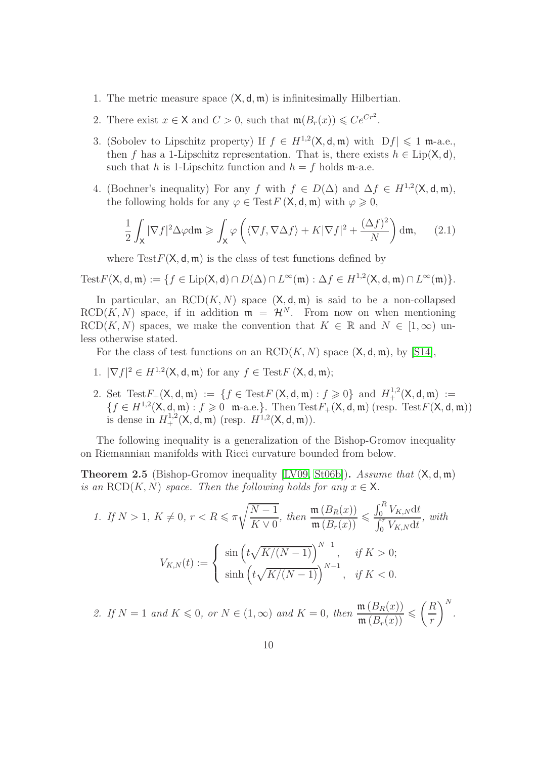- 1. The metric measure space  $(X, d, \mathfrak{m})$  is infinitesimally Hilbertian.
- 2. There exist  $x \in \mathsf{X}$  and  $C > 0$ , such that  $\mathfrak{m}(B_r(x)) \leqslant Ce^{Cr^2}$ .
- 3. (Sobolev to Lipschitz property) If  $f \in H^{1,2}(\mathsf{X}, \mathsf{d}, \mathfrak{m})$  with  $|Df| \leq 1$  m-a.e., then f has a 1-Lipschitz representation. That is, there exists  $h \in \text{Lip}(\mathsf{X}, \mathsf{d})$ , such that h is 1-Lipschitz function and  $h = f$  holds m-a.e.
- 4. (Bochner's inequality) For any  $f$  with  $f \in D(\Delta)$  and  $\Delta f \in H^{1,2}(\mathsf{X},\mathsf{d},\mathfrak{m})$ , the following holds for any  $\varphi \in \text{Test} F(X, \mathsf{d}, \mathfrak{m})$  with  $\varphi \geq 0$ ,

<span id="page-9-1"></span>
$$
\frac{1}{2} \int_{\mathsf{X}} |\nabla f|^2 \Delta \varphi \mathrm{d}\mathfrak{m} \ge \int_{\mathsf{X}} \varphi \left( \langle \nabla f, \nabla \Delta f \rangle + K |\nabla f|^2 + \frac{(\Delta f)^2}{N} \right) \mathrm{d}\mathfrak{m},\qquad(2.1)
$$

where  $TestF(X, d, m)$  is the class of test functions defined by

Test  $F(\mathsf{X}, \mathsf{d}, \mathfrak{m}) := \{ f \in \text{Lip}(\mathsf{X}, \mathsf{d}) \cap D(\Delta) \cap L^{\infty}(\mathfrak{m}) : \Delta f \in H^{1,2}(\mathsf{X}, \mathsf{d}, \mathfrak{m}) \cap L^{\infty}(\mathfrak{m}) \}.$ 

In particular, an  $RCD(K, N)$  space  $(X, d, m)$  is said to be a non-collapsed  $RCD(K, N)$  space, if in addition  $\mathfrak{m} = \mathcal{H}^{N}$ . From now on when mentioning  $RCD(K, N)$  spaces, we make the convention that  $K \in \mathbb{R}$  and  $N \in [1, \infty)$  unless otherwise stated.

For the class of test functions on an  $RCD(K, N)$  space  $(X, d, m)$ , by [\[S14\]](#page-60-6),

- 1.  $|\nabla f|^2 \in H^{1,2}(\mathsf{X}, \mathsf{d}, \mathfrak{m})$  for any  $f \in \text{Test} F(\mathsf{X}, \mathsf{d}, \mathfrak{m})$ ;
- 2. Set  $\text{Test } F_+(X, \mathsf{d}, \mathfrak{m}) := \{ f \in \text{Test } F(X, \mathsf{d}, \mathfrak{m}) : f \geq 0 \}$  and  $H_+^{1,2}(X, \mathsf{d}, \mathfrak{m}) :=$  ${f \in H^{1,2}(\mathsf{X},\mathsf{d},\mathfrak{m}) : f \geqslant 0 \text{ m-a.e.}}$ . Then  $\text{Test}F_+(\mathsf{X},\mathsf{d},\mathfrak{m})$  (resp.  $\text{Test}F(\mathsf{X},\mathsf{d},\mathfrak{m})$ ) is dense in  $H_+^{1,2}(\mathsf{X}, \mathsf{d}, \mathfrak{m})$  (resp.  $H^{1,2}(\mathsf{X}, \mathsf{d}, \mathfrak{m})$ ).

The following inequality is a generalization of the Bishop-Gromov inequality on Riemannian manifolds with Ricci curvature bounded from below.

<span id="page-9-0"></span>**Theorem 2.5** (Bishop-Gromov inequality [\[LV09,](#page-60-0) [St06b\]](#page-61-2)). Assume that  $(X, d, m)$ is an  $\text{RCD}(K, N)$  space. Then the following holds for any  $x \in X$ .

1. If 
$$
N > 1
$$
,  $K \neq 0$ ,  $r < R \leq \pi \sqrt{\frac{N-1}{K \vee 0}}$ , then  $\frac{\mathfrak{m}(B_R(x))}{\mathfrak{m}(B_r(x))} \leq \frac{\int_0^R V_{K,N} dt}{\int_0^r V_{K,N} dt}$ , with  

$$
V_{K,N}(t) := \begin{cases} \sin\left(t\sqrt{K/(N-1)}\right)^{N-1}, & \text{if } K > 0; \\ \sinh\left(t\sqrt{K/(N-1)}\right)^{N-1}, & \text{if } K < 0. \end{cases}
$$

2. If 
$$
N = 1
$$
 and  $K \le 0$ , or  $N \in (1, \infty)$  and  $K = 0$ , then  $\frac{\mathfrak{m}(B_R(x))}{\mathfrak{m}(B_r(x))} \le \left(\frac{R}{r}\right)^N$ .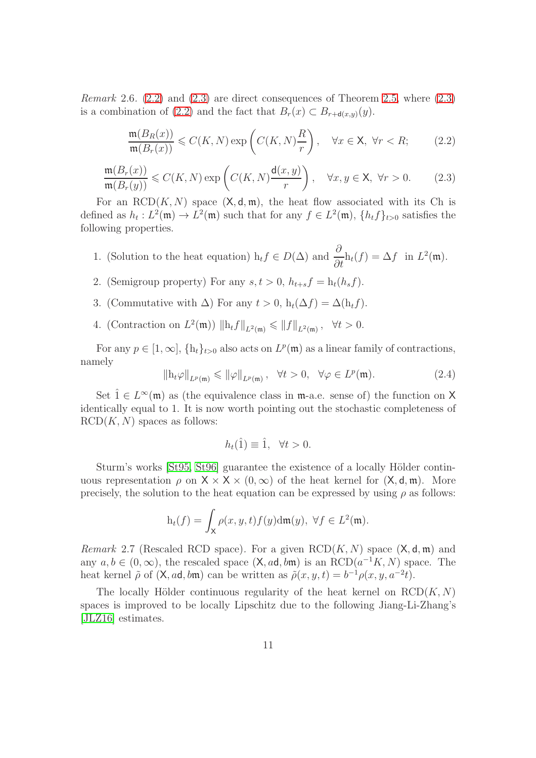*Remark* 2.6.  $(2.2)$  and  $(2.3)$  are direct consequences of Theorem [2.5,](#page-9-0) where  $(2.3)$ is a combination of [\(2.2\)](#page-10-0) and the fact that  $B_r(x) \subset B_{r+d(x,y)}(y)$ .

<span id="page-10-0"></span>
$$
\frac{\mathfrak{m}(B_R(x))}{\mathfrak{m}(B_r(x))} \leqslant C(K, N) \exp\left(C(K, N)\frac{R}{r}\right), \quad \forall x \in \mathsf{X}, \ \forall r < R; \tag{2.2}
$$

<span id="page-10-1"></span>
$$
\frac{\mathfrak{m}(B_r(x))}{\mathfrak{m}(B_r(y))} \leqslant C(K,N) \exp\left(C(K,N)\frac{\mathsf{d}(x,y)}{r}\right), \quad \forall x, y \in \mathsf{X}, \ \forall r > 0. \tag{2.3}
$$

For an  $RCD(K, N)$  space  $(X, d, m)$ , the heat flow associated with its Ch is defined as  $h_t: L^2(\mathfrak{m}) \to L^2(\mathfrak{m})$  such that for any  $f \in L^2(\mathfrak{m})$ ,  $\{h_t f\}_{t>0}$  satisfies the following properties.

- 1. (Solution to the heat equation)  $h_t f \in D(\Delta)$  and  $\frac{\partial}{\partial t} h_t(f) = \Delta f$  in  $L^2(\mathfrak{m})$ .
- 2. (Semigroup property) For any  $s, t > 0$ ,  $h_{t+s} f = h_t(h_s f)$ .
- 3. (Commutative with  $\Delta$ ) For any  $t > 0$ ,  $h_t(\Delta f) = \Delta(h_t f)$ .
- 4. (Contraction on  $L^2(\mathfrak{m})$ )  $\|\mathrm{h}_t f\|_{L^2(\mathfrak{m})} \leq \|f\|_{L^2(\mathfrak{m})}$ ,  $\forall t > 0$ .

For any  $p \in [1,\infty]$ ,  $\{h_t\}_{t>0}$  also acts on  $L^p(\mathfrak{m})$  as a linear family of contractions, namely

<span id="page-10-2"></span>
$$
\|\mathbf{h}_t\varphi\|_{L^p(\mathfrak{m})} \le \|\varphi\|_{L^p(\mathfrak{m})}, \quad \forall t > 0, \quad \forall \varphi \in L^p(\mathfrak{m}).\tag{2.4}
$$

Set  $\hat{1} \in L^{\infty}(\mathfrak{m})$  as (the equivalence class in  $\mathfrak{m}$ -a.e. sense of) the function on X identically equal to 1. It is now worth pointing out the stochastic completeness of  $RCD(K, N)$  spaces as follows:

$$
h_t(\hat{1}) \equiv \hat{1}, \quad \forall t > 0.
$$

Sturm's works [\[St95,](#page-61-3) [St96\]](#page-61-4) guarantee the existence of a locally Hölder continuous representation  $\rho$  on  $X \times X \times (0, \infty)$  of the heat kernel for  $(X, d, m)$ . More precisely, the solution to the heat equation can be expressed by using  $\rho$  as follows:

$$
h_t(f) = \int_X \rho(x, y, t) f(y) dm(y), \ \forall f \in L^2(\mathfrak{m}).
$$

*Remark* 2.7 (Rescaled RCD space). For a given  $RCD(K, N)$  space  $(X, d, m)$  and any  $a, b \in (0, \infty)$ , the rescaled space  $(X, ad, bm)$  is an  $RCD(a^{-1}K, N)$  space. The heat kernel  $\tilde{\rho}$  of  $(X, ad, bm)$  can be written as  $\tilde{\rho}(x, y, t) = b^{-1} \rho(x, y, a^{-2}t)$ .

The locally Hölder continuous regularity of the heat kernel on  $RCD(K, N)$ spaces is improved to be locally Lipschitz due to the following Jiang-Li-Zhang's [\[JLZ16\]](#page-60-2) estimates.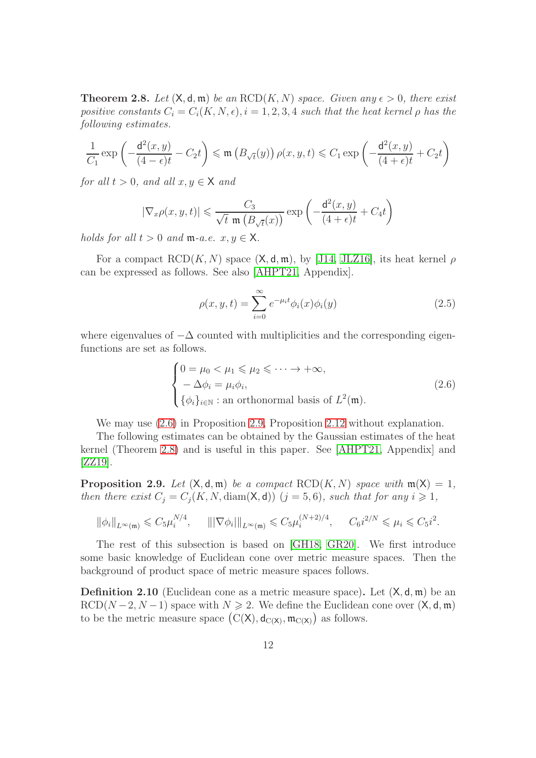<span id="page-11-2"></span>**Theorem 2.8.** Let  $(X, d, m)$  be an RCD $(K, N)$  space. Given any  $\epsilon > 0$ , there exist positive constants  $C_i = C_i(K, N, \epsilon)$ ,  $i = 1, 2, 3, 4$  such that the heat kernel  $\rho$  has the following estimates.

$$
\frac{1}{C_1} \exp \left(-\frac{\mathsf{d}^2(x,y)}{(4-\epsilon)t} - C_2 t\right) \leqslant \mathfrak{m}\left(B_{\sqrt{t}}(y)\right) \rho(x,y,t) \leqslant C_1 \exp \left(-\frac{\mathsf{d}^2(x,y)}{(4+\epsilon)t} + C_2 t\right)
$$

for all  $t > 0$ , and all  $x, y \in X$  and

$$
|\nabla_x \rho(x, y, t)| \leqslant \frac{C_3}{\sqrt{t} \pi \left(B_{\sqrt{t}}(x)\right)} \exp\left(-\frac{\mathrm{d}^2(x, y)}{(4 + \epsilon)t} + C_4 t\right)
$$

holds for all  $t > 0$  and  $\mathfrak{m}$ -a.e.  $x, y \in \mathsf{X}$ .

For a compact  $RCD(K, N)$  space  $(X, d, \mathfrak{m})$ , by [\[J14,](#page-60-7) [JLZ16\]](#page-60-2), its heat kernel  $\rho$ can be expressed as follows. See also [\[AHPT21,](#page-57-4) Appendix].

$$
\rho(x, y, t) = \sum_{i=0}^{\infty} e^{-\mu_i t} \phi_i(x) \phi_i(y) \qquad (2.5)
$$

where eigenvalues of  $-\Delta$  counted with multiplicities and the corresponding eigenfunctions are set as follows.

<span id="page-11-0"></span>
$$
\begin{cases}\n0 = \mu_0 < \mu_1 \leq \mu_2 \leq \cdots \to +\infty, \\
-\Delta \phi_i = \mu_i \phi_i, \\
\{\phi_i\}_{i \in \mathbb{N}} : \text{an orthonormal basis of } L^2(\mathfrak{m}).\n\end{cases} \tag{2.6}
$$

We may use  $(2.6)$  in Proposition [2.9,](#page-11-1) Proposition [2.12](#page-12-0) without explanation.

The following estimates can be obtained by the Gaussian estimates of the heat kernel (Theorem [2.8\)](#page-11-2) and is useful in this paper. See [\[AHPT21,](#page-57-4) Appendix] and [\[ZZ19\]](#page-61-5).

<span id="page-11-1"></span>**Proposition 2.9.** Let  $(X, d, m)$  be a compact  $RCD(K, N)$  space with  $m(X) = 1$ , then there exist  $C_j = C_j(K, N, \text{diam}(X, d))$   $(j = 5, 6)$ , such that for any  $i \geq 1$ ,

$$
\|\phi_i\|_{L^{\infty}(\mathfrak{m})} \leq C_5 \mu_i^{N/4}, \qquad |||\nabla \phi_i|||_{L^{\infty}(\mathfrak{m})} \leq C_5 \mu_i^{(N+2)/4}, \qquad C_6 i^{2/N} \leq \mu_i \leq C_5 i^2.
$$

The rest of this subsection is based on [\[GH18,](#page-59-4) [GR20\]](#page-59-5). We first introduce some basic knowledge of Euclidean cone over metric measure spaces. Then the background of product space of metric measure spaces follows.

**Definition 2.10** (Euclidean cone as a metric measure space). Let  $(X, d, m)$  be an  $RCD(N-2, N-1)$  space with  $N \ge 2$ . We define the Euclidean cone over  $(X, d, m)$ to be the metric measure space  $(C(X), d_{C(X)}, m_{C(X)})$  as follows.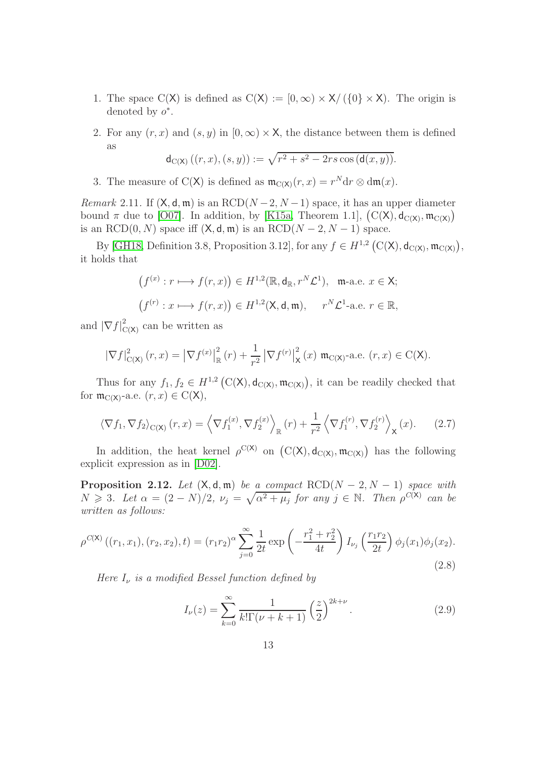- 1. The space  $C(X)$  is defined as  $C(X) := [0, \infty) \times X / (\{0\} \times X)$ . The origin is denoted by  $o^*$ .
- 2. For any  $(r, x)$  and  $(s, y)$  in  $[0, \infty) \times X$ , the distance between them is defined as

$$
\mathsf{d}_{C(\mathsf{X})}\left((r,x),(s,y)\right) := \sqrt{r^2 + s^2 - 2rs\cos\left(\mathsf{d}(x,y)\right)}.
$$

3. The measure of C(X) is defined as  $\mathfrak{m}_{C(X)}(r, x) = r^N dr \otimes dm(x)$ .

<span id="page-12-2"></span>Remark 2.11. If  $(X, d, m)$  is an RCD $(N-2, N-1)$  space, it has an upper diameter bound  $\pi$  due to [\[O07\]](#page-60-8). In addition, by [\[K15a,](#page-60-9) Theorem 1.1],  $(C(X), d_{C(X)}, m_{C(X)})$ is an RCD(0, N) space iff  $(X, d, \mathfrak{m})$  is an RCD( $N - 2, N - 1$ ) space.

By [\[GH18,](#page-59-4) Definition 3.8, Proposition 3.12], for any  $f \in H^{1,2} (C(X), \mathsf{d}_{C(X)}, \mathfrak{m}_{C(X)})$ , it holds that

$$
(f^{(x)}: r \longmapsto f(r,x)) \in H^{1,2}(\mathbb{R}, \mathsf{d}_{\mathbb{R}}, r^N \mathcal{L}^1), \quad \mathfrak{m} \text{-a.e. } x \in \mathsf{X};
$$

$$
(f^{(r)}: x \longmapsto f(r,x)) \in H^{1,2}(\mathsf{X}, \mathsf{d}, \mathfrak{m}), \qquad r^N \mathcal{L}^1 \text{-a.e. } r \in \mathbb{R},
$$

and  $|\nabla f|_{C(\mathsf{X})}^2$  can be written as

$$
\left|\nabla f\right|_{C(X)}^2(r,x) = \left|\nabla f^{(x)}\right|_{\mathbb{R}}^2(r) + \frac{1}{r^2} \left|\nabla f^{(r)}\right|_X^2(x) \, \mathfrak{m}_{C(X)}\text{-a.e. } (r,x) \in C(X).
$$

Thus for any  $f_1, f_2 \in H^{1,2} (C(X), \mathsf{d}_{C(X)}, \mathfrak{m}_{C(X)})$ , it can be readily checked that for  $\mathfrak{m}_{C(X)}$ -a.e.  $(r, x) \in C(X)$ ,

<span id="page-12-3"></span>
$$
\left\langle \nabla f_1, \nabla f_2 \right\rangle_{C(\mathsf{X})} (r, x) = \left\langle \nabla f_1^{(x)}, \nabla f_2^{(x)} \right\rangle_{\mathbb{R}} (r) + \frac{1}{r^2} \left\langle \nabla f_1^{(r)}, \nabla f_2^{(r)} \right\rangle_{\mathsf{X}} (x). \tag{2.7}
$$

In addition, the heat kernel  $\rho^{C(X)}$  on  $(C(X), d_{C(X)}, \mathfrak{m}_{C(X)})$  has the following explicit expression as in [\[D02\]](#page-58-7).

<span id="page-12-0"></span>**Proposition 2.12.** Let  $(X, d, m)$  be a compact  $RCD(N - 2, N - 1)$  space with  $N \geq 3$ . Let  $\alpha = (2 - N)/2$ ,  $\nu_j = \sqrt{\alpha^2 + \mu_j}$  for any  $j \in \mathbb{N}$ . Then  $\rho^{C(X)}$  can be written as follows:

<span id="page-12-1"></span>
$$
\rho^{C(X)}((r_1, x_1), (r_2, x_2), t) = (r_1 r_2)^{\alpha} \sum_{j=0}^{\infty} \frac{1}{2t} \exp\left(-\frac{r_1^2 + r_2^2}{4t}\right) I_{\nu_j}\left(\frac{r_1 r_2}{2t}\right) \phi_j(x_1) \phi_j(x_2).
$$
\n(2.8)

Here  $I_{\nu}$  is a modified Bessel function defined by

$$
I_{\nu}(z) = \sum_{k=0}^{\infty} \frac{1}{k! \Gamma(\nu + k + 1)} \left(\frac{z}{2}\right)^{2k+\nu}.
$$
 (2.9)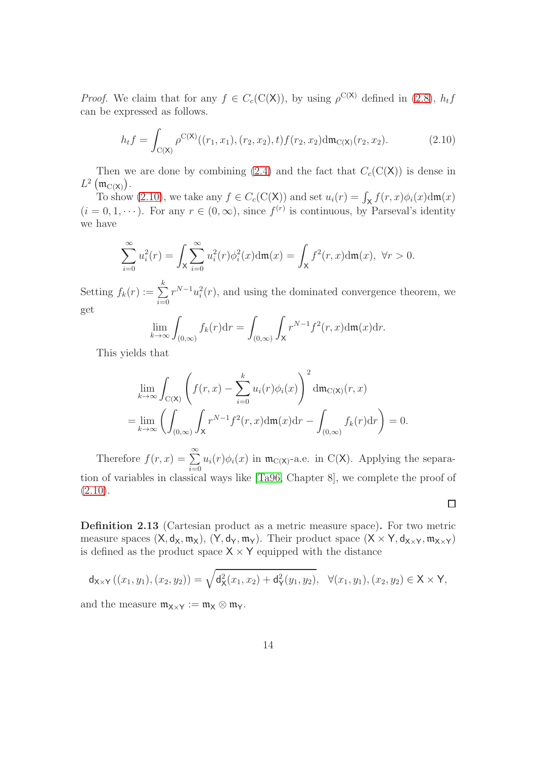*Proof.* We claim that for any  $f \in C_c(C(X))$ , by using  $\rho^{C(X)}$  defined in [\(2.8\)](#page-12-1),  $h_t f$ can be expressed as follows.

<span id="page-13-0"></span>
$$
h_t f = \int_{C(X)} \rho^{C(X)}((r_1, x_1), (r_2, x_2), t) f(r_2, x_2) dm_{C(X)}(r_2, x_2).
$$
 (2.10)

Then we are done by combining [\(2.4\)](#page-10-2) and the fact that  $C_c(C(X))$  is dense in  $L^2 \left( \mathfrak{m}_{C(X)} \right)$ .

To show [\(2.10\)](#page-13-0), we take any  $f \in C_c(C(X))$  and set  $u_i(r) = \int_X f(r, x) \phi_i(x) dm(x)$  $(i = 0, 1, \dots)$ . For any  $r \in (0, \infty)$ , since  $f^{(r)}$  is continuous, by Parseval's identity we have

$$
\sum_{i=0}^{\infty} u_i^2(r) = \int_{\mathsf{X}} \sum_{i=0}^{\infty} u_i^2(r) \phi_i^2(x) \mathrm{d}\mathfrak{m}(x) = \int_{\mathsf{X}} f^2(r, x) \mathrm{d}\mathfrak{m}(x), \ \forall r > 0.
$$

Setting  $f_k(r) := \sum_{k=1}^{k}$  $i=0$  $r^{N-1}u_i^2(r)$ , and using the dominated convergence theorem, we get

$$
\lim_{k \to \infty} \int_{(0,\infty)} f_k(r) dr = \int_{(0,\infty)} \int_X r^{N-1} f^2(r,x) dm(x) dr.
$$

This yields that

$$
\lim_{k \to \infty} \int_{C(X)} \left( f(r, x) - \sum_{i=0}^k u_i(r) \phi_i(x) \right)^2 d\mathfrak{m}_{C(X)}(r, x)
$$
  
= 
$$
\lim_{k \to \infty} \left( \int_{(0,\infty)} \int_X r^{N-1} f^2(r, x) d\mathfrak{m}(x) dr - \int_{(0,\infty)} f_k(r) dr \right) = 0.
$$

Therefore  $f(r, x) = \sum_{n=0}^{\infty}$  $i=0$  $u_i(r)\phi_i(x)$  in  $\mathfrak{m}_{C(X)}$ -a.e. in  $C(X)$ . Applying the separation of variables in classical ways like [\[Ta96,](#page-61-6) Chapter 8], we complete the proof of  $(2.10).$  $(2.10).$ 

 $\Box$ 

Definition 2.13 (Cartesian product as a metric measure space). For two metric measure spaces  $(X, d_X, m_X)$ ,  $(Y, d_Y, m_Y)$ . Their product space  $(X \times Y, d_{X \times Y}, m_{X \times Y})$ is defined as the product space  $X \times Y$  equipped with the distance

$$
\mathsf{d}_{\mathsf{X}\times\mathsf{Y}}\left((x_1,y_1),(x_2,y_2)\right)=\sqrt{\mathsf{d}_{\mathsf{X}}^2(x_1,x_2)+\mathsf{d}_{\mathsf{Y}}^2(y_1,y_2)},\ \ \forall (x_1,y_1),(x_2,y_2)\in\mathsf{X}\times\mathsf{Y},
$$

and the measure  $\mathfrak{m}_{X\times Y} := \mathfrak{m}_X \otimes \mathfrak{m}_Y$ .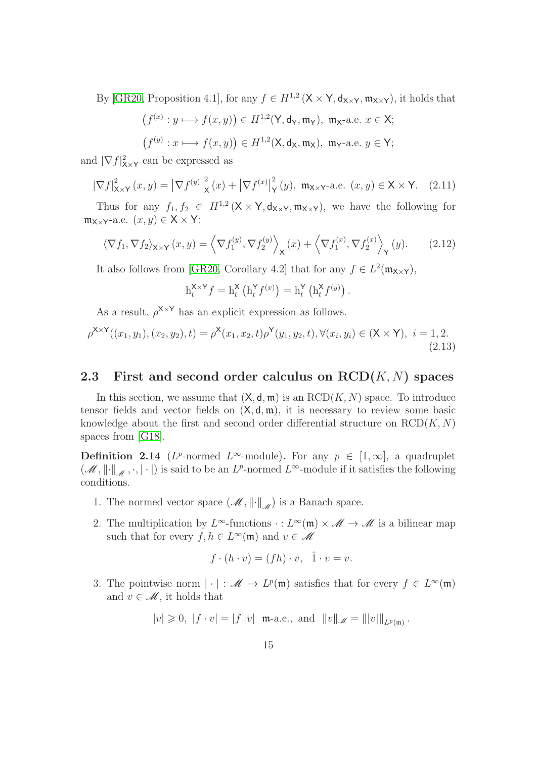By [\[GR20,](#page-59-5) Proposition 4.1], for any  $f \in H^{1,2}$  ( $\mathsf{X} \times \mathsf{Y}$ ,  $\mathsf{d}_{\mathsf{X} \times \mathsf{Y}}$ ,  $\mathfrak{m}_{\mathsf{X} \times \mathsf{Y}}$ ), it holds that

$$
(f^{(x)}: y \longmapsto f(x, y)) \in H^{1,2}(\mathsf{Y}, \mathsf{d}_{\mathsf{Y}}, \mathfrak{m}_{\mathsf{Y}}), \ \mathfrak{m}_{\mathsf{X}}\text{-a.e. } x \in \mathsf{X};
$$

 $(f^{(y)}: x \longmapsto f(x, y)) \in H^{1,2}(\mathsf{X}, \mathsf{d}_{\mathsf{X}}, \mathfrak{m}_{\mathsf{X}}), \ \mathfrak{m}_{\mathsf{Y}}\text{-a.e. } y \in \mathsf{Y};$ 

and  $|\nabla f|_{\mathsf{X}\times\mathsf{Y}}^2$  can be expressed as

<span id="page-14-4"></span>
$$
\left|\nabla f\right|_{\mathsf{X}\times\mathsf{Y}}^2(x,y) = \left|\nabla f^{(y)}\right|_{\mathsf{X}}^2(x) + \left|\nabla f^{(x)}\right|_{\mathsf{Y}}^2(y), \ \mathfrak{m}_{\mathsf{X}\times\mathsf{Y}}\text{-a.e. } (x,y) \in \mathsf{X} \times \mathsf{Y}. \tag{2.11}
$$

Thus for any  $f_1, f_2 \in H^{1,2} \times Y, d_{\mathsf{X} \times \mathsf{Y}}, \mathfrak{m}_{\mathsf{X} \times \mathsf{Y}}$ , we have the following for  $m_{X\times Y}$ -a.e.  $(x, y) \in X \times Y$ :

<span id="page-14-2"></span>
$$
\langle \nabla f_1, \nabla f_2 \rangle_{\mathbf{X} \times \mathbf{Y}} (x, y) = \left\langle \nabla f_1^{(y)}, \nabla f_2^{(y)} \right\rangle_{\mathbf{X}} (x) + \left\langle \nabla f_1^{(x)}, \nabla f_2^{(x)} \right\rangle_{\mathbf{Y}} (y). \tag{2.12}
$$

It also follows from [\[GR20,](#page-59-5) Corollary 4.2] that for any  $f \in L^2(\mathfrak{m}_{\mathsf{X}\times\mathsf{Y}})$ ,

$$
\mathbf{h}_t^{\mathsf{X} \times \mathsf{Y}} f = \mathbf{h}_t^{\mathsf{X}} \left( \mathbf{h}_t^{\mathsf{Y}} f^{(x)} \right) = \mathbf{h}_t^{\mathsf{Y}} \left( \mathbf{h}_t^{\mathsf{X}} f^{(y)} \right).
$$

As a result,  $\rho^{X \times Y}$  has an explicit expression as follows.

<span id="page-14-3"></span>
$$
\rho^{X \times Y}((x_1, y_1), (x_2, y_2), t) = \rho^{X}(x_1, x_2, t)\rho^{Y}(y_1, y_2, t), \forall (x_i, y_i) \in (X \times Y), \ i = 1, 2.
$$
\n(2.13)

#### <span id="page-14-0"></span>2.3 First and second order calculus on  $RCD(K, N)$  spaces

In this section, we assume that  $(X, d, \mathfrak{m})$  is an  $RCD(K, N)$  space. To introduce tensor fields and vector fields on  $(X, d, m)$ , it is necessary to review some basic knowledge about the first and second order differential structure on  $RCD(K, N)$ spaces from [\[G18\]](#page-59-6).

<span id="page-14-1"></span>**Definition 2.14** ( $L^p$ -normed  $L^\infty$ -module). For any  $p \in [1,\infty]$ , a quadruplet  $(\mathcal{M}, \|\cdot\|_{\mathcal{M}}, \cdot, |\cdot|)$  is said to be an  $L^p$ -normed  $L^{\infty}$ -module if it satisfies the following conditions.

- 1. The normed vector space  $(\mathcal{M}, \|\cdot\|_{\mathcal{M}})$  is a Banach space.
- 2. The multiplication by  $L^{\infty}$ -functions  $\cdot : L^{\infty}(\mathfrak{m}) \times \mathcal{M} \to \mathcal{M}$  is a bilinear map such that for every  $f, h \in L^{\infty}(\mathfrak{m})$  and  $v \in \mathcal{M}$

$$
f \cdot (h \cdot v) = (fh) \cdot v, \quad \hat{1} \cdot v = v.
$$

3. The pointwise norm  $|\cdot| : \mathcal{M} \to L^p(\mathfrak{m})$  satisfies that for every  $f \in L^{\infty}(\mathfrak{m})$ and  $v \in \mathcal{M}$ , it holds that

$$
|v|\geqslant 0, \ |f\cdot v|=|f\|v| \ \ \text{m-a.e., and} \ \ \|v\|_{\mathcal{M}}=\||v|\|_{L^p(\mathfrak{m})}\,.
$$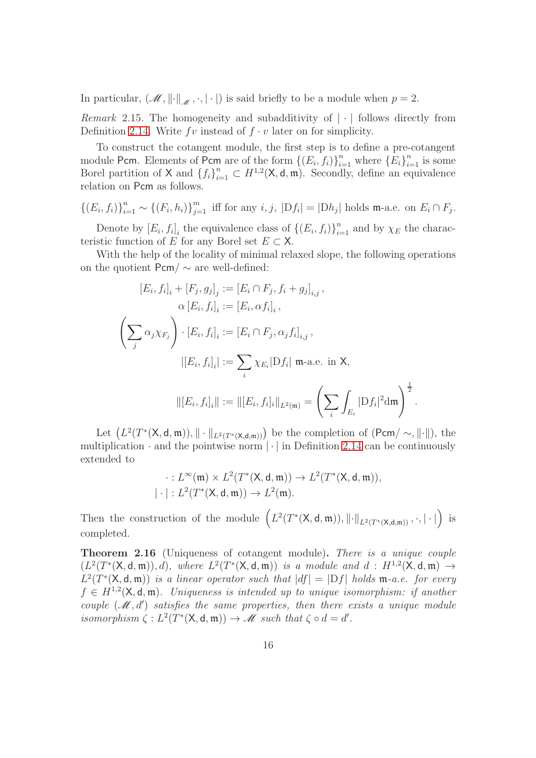In particular,  $(M, \|\cdot\|_{M}, \cdot, |\cdot|)$  is said briefly to be a module when  $p = 2$ .

*Remark* 2.15. The homogeneity and subadditivity of  $|\cdot|$  follows directly from Definition [2.14.](#page-14-1) Write  $fv$  instead of  $f \cdot v$  later on for simplicity.

To construct the cotangent module, the first step is to define a pre-cotangent module Pcm. Elements of Pcm are of the form  $\{(E_i, f_i)\}_{i=1}^n$  where  $\{E_i\}_{i=1}^n$  is some Borel partition of X and  $\{f_i\}_{i=1}^n \subset H^{1,2}(\mathsf{X},\mathsf{d},\mathfrak{m})$ . Secondly, define an equivalence relation on Pcm as follows.

$$
\{(E_i, f_i)\}_{i=1}^n \sim \{(F_i, h_i)\}_{j=1}^m \text{ iff for any } i, j, |Df_i| = |Dh_j| \text{ holds } \mathfrak{m}\text{-a.e. on } E_i \cap F_j.
$$

Denote by  $[E_i, f_i]_i$  the equivalence class of  $\{(E_i, f_i)\}_{i=1}^n$  and by  $\chi_E$  the characteristic function of E for any Borel set  $E \subset X$ .

With the help of the locality of minimal relaxed slope, the following operations on the quotient  $\text{Pcm}/\sim$  are well-defined:

$$
[E_i, f_i]_i + [F_j, g_j]_j := [E_i \cap F_j, f_i + g_j]_{i,j},
$$
  
\n
$$
\alpha [E_i, f_i]_i := [E_i, \alpha f_i]_i,
$$
  
\n
$$
\left(\sum_j \alpha_j \chi_{F_j}\right) \cdot [E_i, f_i]_i := [E_i \cap F_j, \alpha_j f_i]_{i,j},
$$
  
\n
$$
|[E_i, f_i]_i| := \sum_i \chi_{E_i} |Df_i| \text{ m-a.e. in X,}
$$
  
\n
$$
\| [E_i, f_i]_i \| := \| [E_i, f_i]_i \|_{L^2(\mathfrak{m})} = \left(\sum_i \int_{E_i} |Df_i|^2 d\mathfrak{m}\right)^{\frac{1}{2}}.
$$

Let  $(L^2(T^*(\mathsf{X},\mathsf{d},\mathfrak{m})),\Vert \cdot \Vert_{L^2(T^*(\mathsf{X},\mathsf{d},\mathfrak{m}))})$  be the completion of  $(\mathsf{Pcm}/\sim, \Vert \cdot \Vert)$ , the multiplication  $\cdot$  and the pointwise norm  $|\cdot|$  in Definition [2.14](#page-14-1) can be continuously extended to

$$
\cdot: L^{\infty}(\mathfrak{m}) \times L^{2}(T^{*}(\mathsf{X},\mathsf{d},\mathfrak{m})) \to L^{2}(T^{*}(\mathsf{X},\mathsf{d},\mathfrak{m})),
$$
  

$$
|\cdot|: L^{2}(T^{*}(\mathsf{X},\mathsf{d},\mathfrak{m})) \to L^{2}(\mathfrak{m}).
$$

Then the construction of the module  $(L^2(T^*(\mathsf{X},\mathsf{d},\mathfrak{m})),\lVert \cdot \rVert_{L^2(T^*(\mathsf{X},\mathsf{d},\mathfrak{m}))},\cdot,\lvert \cdot \rvert)$  is completed.

**Theorem 2.16** (Uniqueness of cotangent module). There is a unique couple  $(L^2(T^*(X, d, m)), d)$ , where  $L^2(T^*(X, d, m))$  is a module and  $d : H^{1,2}(X, d, m) \rightarrow$  $L^2(T^*(X, \mathsf{d}, \mathfrak{m}))$  is a linear operator such that  $|df| = |Df|$  holds  $\mathfrak{m}$ -a.e. for every  $f \in H^{1,2}(\mathsf{X}, \mathsf{d}, \mathfrak{m})$ . Uniqueness is intended up to unique isomorphism: if another couple  $(\mathcal{M}, d')$  satisfies the same properties, then there exists a unique module isomorphism  $\zeta : L^2(T^*(\mathsf{X}, \mathsf{d}, \mathfrak{m})) \to \mathscr{M}$  such that  $\zeta \circ d = d'$ .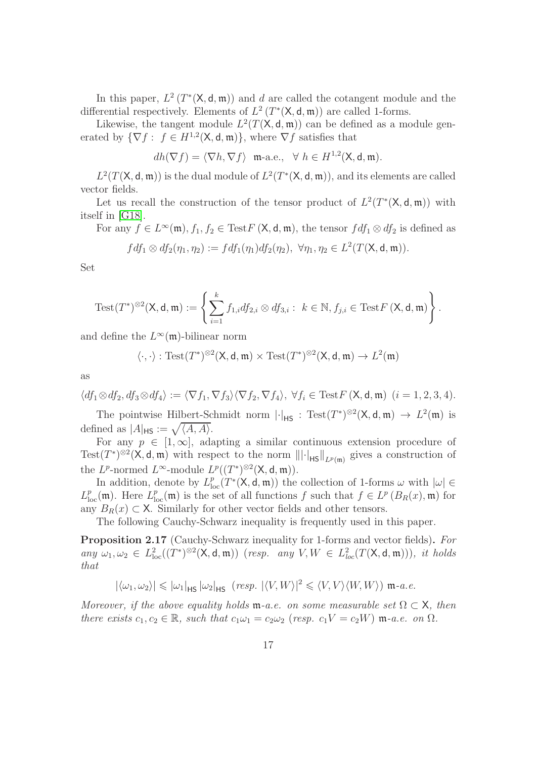In this paper,  $L^2(T^*(X, d, \mathfrak{m}))$  and d are called the cotangent module and the differential respectively. Elements of  $L^2(T^*(X, d, m))$  are called 1-forms.

Likewise, the tangent module  $L^2(T(\mathsf{X}, \mathsf{d}, \mathfrak{m}))$  can be defined as a module generated by  $\{\nabla f: f \in H^{1,2}(\mathsf{X}, \mathsf{d}, \mathfrak{m})\}\,$ , where  $\nabla f$  satisfies that

$$
dh(\nabla f) = \langle \nabla h, \nabla f \rangle \quad \text{m-a.e.,} \quad \forall \ h \in H^{1,2}(\mathsf{X}, \mathsf{d}, \mathfrak{m}).
$$

 $L^2(T(\mathsf{X},\mathsf{d},\mathfrak{m}))$  is the dual module of  $L^2(T^*(\mathsf{X},\mathsf{d},\mathfrak{m}))$ , and its elements are called vector fields.

Let us recall the construction of the tensor product of  $L^2(T^*(\mathsf{X},\mathsf{d},\mathfrak{m}))$  with itself in [\[G18\]](#page-59-6).

For any  $f \in L^{\infty}(\mathfrak{m}), f_1, f_2 \in \text{Test } F(\mathsf{X}, \mathsf{d}, \mathfrak{m}),$  the tensor  $f df_1 \otimes df_2$  is defined as

$$
fdf_1 \otimes df_2(\eta_1, \eta_2) := fdf_1(\eta_1)df_2(\eta_2), \ \forall \eta_1, \eta_2 \in L^2(T(\mathsf{X}, \mathsf{d}, \mathfrak{m})).
$$

Set

$$
\mathrm{Test}(T^*)^{\otimes 2}(\mathsf{X},\mathsf{d},\mathfrak{m}):=\left\{\sum_{i=1}^k f_{1,i}df_{2,i}\otimes df_{3,i}:~k\in\mathbb{N}, f_{j,i}\in \mathrm{Test} F\left(\mathsf{X},\mathsf{d},\mathfrak{m}\right)\right\}.
$$

and define the  $L^{\infty}(\mathfrak{m})$ -bilinear norm

$$
\langle \cdot, \cdot \rangle : \text{Test}(T^*)^{\otimes 2}(\mathsf{X}, \mathsf{d}, \mathfrak{m}) \times \text{Test}(T^*)^{\otimes 2}(\mathsf{X}, \mathsf{d}, \mathfrak{m}) \to L^2(\mathfrak{m})
$$

as

$$
\langle df_1 \otimes df_2, df_3 \otimes df_4 \rangle := \langle \nabla f_1, \nabla f_3 \rangle \langle \nabla f_2, \nabla f_4 \rangle, \ \forall f_i \in \text{Test} F \, (\mathsf{X}, \mathsf{d}, \mathfrak{m}) \ \ (i = 1, 2, 3, 4).
$$

The pointwise Hilbert-Schmidt norm  $|\cdot|_{\mathsf{HS}}$ : Test $(T^*)^{\otimes 2}(\mathsf{X},\mathsf{d},\mathfrak{m}) \to L^2(\mathfrak{m})$  is defined as  $|A|_{\mathsf{HS}} := \sqrt{\langle A, A \rangle}.$ 

For any  $p \in [1,\infty]$ , adapting a similar continuous extension procedure of Test(T<sup>\*</sup>)<sup> $\otimes$ 2</sup>(X, d, m) with respect to the norm  $\|\cdot\|_{HS}\|_{L^p(\mathfrak{m})}$  gives a construction of the  $L^p$ -normed  $L^{\infty}$ -module  $L^p((T^*)^{\otimes 2}(\mathsf{X},\mathsf{d},\mathfrak{m})).$ 

In addition, denote by  $L_{\text{loc}}^p(T^*(\mathsf{X},\mathsf{d},\mathfrak{m}))$  the collection of 1-forms  $\omega$  with  $|\omega| \in$  $L_{\text{loc}}^p(\mathfrak{m})$ . Here  $L_{\text{loc}}^p(\mathfrak{m})$  is the set of all functions f such that  $f \in L^p(B_R(x), \mathfrak{m})$  for any  $B_R(x) \subset X$ . Similarly for other vector fields and other tensors.

The following Cauchy-Schwarz inequality is frequently used in this paper.

Proposition 2.17 (Cauchy-Schwarz inequality for 1-forms and vector fields). For any  $\omega_1, \omega_2 \in L^2_{loc}((T^*)^{\otimes 2}(\mathsf{X}, \mathsf{d}, \mathfrak{m}))$  (resp. any  $V, W \in L^2_{loc}(T(\mathsf{X}, \mathsf{d}, \mathfrak{m})))$ , it holds that

$$
|\langle \omega_1, \omega_2 \rangle| \leqslant |\omega_1|_{\text{HS}} |\omega_2|_{\text{HS}} \ (resp. \ |\langle V, W \rangle|^2 \leqslant \langle V, V \rangle \langle W, W \rangle) \ \mathfrak{m}\text{-}a.e.
$$

Moreover, if the above equality holds  $\mathfrak{m}$ -a.e. on some measurable set  $\Omega \subset X$ , then there exists  $c_1, c_2 \in \mathbb{R}$ , such that  $c_1\omega_1 = c_2\omega_2$  (resp.  $c_1V = c_2W$ ) m-a.e. on  $\Omega$ .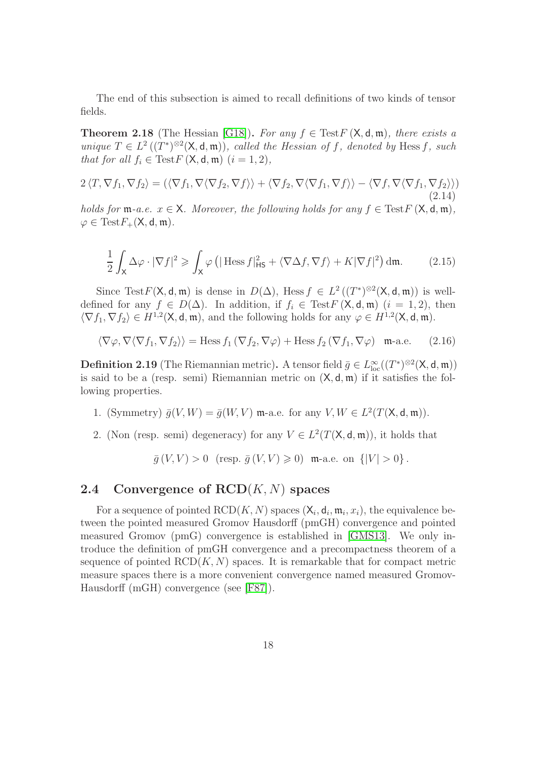The end of this subsection is aimed to recall definitions of two kinds of tensor fields.

**Theorem 2.18** (The Hessian [\[G18\]](#page-59-6)). For any  $f \in TestF(X, d, m)$ , there exists a unique  $T \in L^2((T^*)^{\otimes 2}(\mathsf{X},\mathsf{d},\mathfrak{m}))$ , called the Hessian of f, denoted by Hess f, such that for all  $f_i \in TestF(X, d, \mathfrak{m})$   $(i = 1, 2)$ ,

$$
2\langle T, \nabla f_1, \nabla f_2 \rangle = (\langle \nabla f_1, \nabla \langle \nabla f_2, \nabla f \rangle \rangle + \langle \nabla f_2, \nabla \langle \nabla f_1, \nabla f \rangle \rangle - \langle \nabla f, \nabla \langle \nabla f_1, \nabla f_2 \rangle \rangle)
$$
\n(2.14)

holds for  $\mathfrak{m}$ -a.e.  $x \in \mathsf{X}$ . Moreover, the following holds for any  $f \in \text{Test} F(\mathsf{X}, \mathsf{d}, \mathfrak{m})$ ,  $\varphi \in \text{Test}F_{+}(\mathsf{X}, \mathsf{d}, \mathfrak{m}).$ 

<span id="page-17-1"></span>
$$
\frac{1}{2} \int_{\mathsf{X}} \Delta \varphi \cdot |\nabla f|^2 \geqslant \int_{\mathsf{X}} \varphi \left( |\operatorname{Hess} f|_{\mathsf{HS}}^2 + \langle \nabla \Delta f, \nabla f \rangle + K |\nabla f|^2 \right) \mathrm{d}\mathfrak{m}.\tag{2.15}
$$

Since Test  $F(\mathsf{X}, \mathsf{d}, \mathfrak{m})$  is dense in  $D(\Delta)$ , Hess  $f \in L^2((T^*)^{\otimes 2}(\mathsf{X}, \mathsf{d}, \mathfrak{m}))$  is welldefined for any  $f \in D(\Delta)$ . In addition, if  $f_i \in TestF(X, d, \mathfrak{m})$   $(i = 1, 2)$ , then  $\langle \nabla f_1, \nabla f_2 \rangle \in H^{1,2}(\mathsf{X}, \mathsf{d}, \mathfrak{m})$ , and the following holds for any  $\varphi \in H^{1,2}(\mathsf{X}, \mathsf{d}, \mathfrak{m})$ .

<span id="page-17-2"></span>
$$
\langle \nabla \varphi, \nabla \langle \nabla f_1, \nabla f_2 \rangle \rangle = \text{Hess } f_1 \left( \nabla f_2, \nabla \varphi \right) + \text{Hess } f_2 \left( \nabla f_1, \nabla \varphi \right) \text{ m-a.e.} \qquad (2.16)
$$

**Definition 2.19** (The Riemannian metric). A tensor field  $\bar{g} \in L^{\infty}_{loc}((T^*)^{\otimes 2}(\mathsf{X},\mathsf{d},\mathfrak{m}))$ is said to be a (resp. semi) Riemannian metric on  $(X, d, \mathfrak{m})$  if it satisfies the following properties.

- 1. (Symmetry)  $\bar{g}(V, W) = \bar{g}(W, V)$  m-a.e. for any  $V, W \in L^2(T(\mathsf{X}, \mathsf{d}, \mathfrak{m}))$ .
- 2. (Non (resp. semi) degeneracy) for any  $V \in L^2(T(\mathsf{X}, \mathsf{d}, \mathfrak{m}))$ , it holds that

$$
\bar{g}\left(V,V\right)>0\text{ }\left(\text{resp. }\bar{g}\left(V,V\right)\geqslant0\right)\text{ } \text{ $${\mathfrak{m}$-a.e. on }\left\{\left|V\right|>0\right\}$.}
$$

#### <span id="page-17-0"></span>2.4 Convergence of  $\text{RCD}(K, N)$  spaces

For a sequence of pointed RCD $(K, N)$  spaces  $(\mathsf{X}_i, \mathsf{d}_i, \mathfrak{m}_i, x_i)$ , the equivalence between the pointed measured Gromov Hausdorff (pmGH) convergence and pointed measured Gromov (pmG) convergence is established in [\[GMS13\]](#page-59-7). We only introduce the definition of pmGH convergence and a precompactness theorem of a sequence of pointed  $\text{RCD}(K, N)$  spaces. It is remarkable that for compact metric measure spaces there is a more convenient convergence named measured Gromov-Hausdorff (mGH) convergence (see [\[F87\]](#page-58-8)).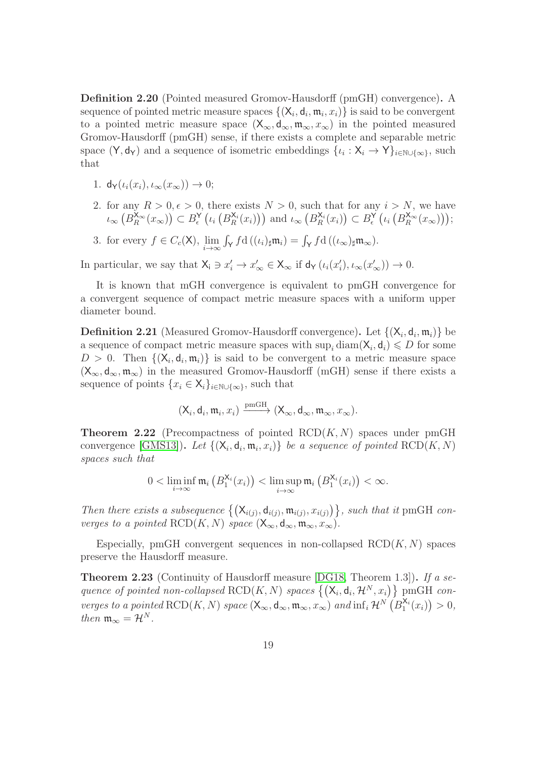<span id="page-18-0"></span>Definition 2.20 (Pointed measured Gromov-Hausdorff (pmGH) convergence). A sequence of pointed metric measure spaces  $\{(\mathsf{X}_i, \mathsf{d}_i, \mathfrak{m}_i, x_i)\}$  is said to be convergent to a pointed metric measure space  $(X_{\infty}, d_{\infty}, m_{\infty}, x_{\infty})$  in the pointed measured Gromov-Hausdorff (pmGH) sense, if there exists a complete and separable metric space  $(Y, d_Y)$  and a sequence of isometric embeddings  $\{\iota_i: X_i \to Y\}_{i \in \mathbb{N} \cup \{\infty\}}$ , such that

- 1.  $d_Y(\iota_i(x_i), \iota_\infty(x_\infty)) \to 0$ :
- 2. for any  $R > 0, \epsilon > 0$ , there exists  $N > 0$ , such that for any  $i > N$ , we have  $\iota_{\infty}\left(B_{R}^{\mathsf{X}_{\infty}}(x_{\infty})\right) \subset B_{\epsilon}^{\mathsf{Y}}\left(\iota_{i}\left(B_{R}^{\mathsf{X}_{i}}\right)\right)$  $\binom{\mathsf{X}_i}{R}(x_i)$ ) and  $\iota_{\infty}$   $\left(B_R^{\mathsf{X}_i}\right)$  $B_R^{\mathsf{X}_i}(x_i)$   $\subset B_{\epsilon}^{\mathsf{Y}}\left(\iota_i\left(B_R^{\mathsf{X}_{\infty}}(x_{\infty})\right)\right);$
- 3. for every  $f \in C_c(\mathsf{X})$ ,  $\lim_{i \to \infty}$  $\int_{\mathsf{Y}} f \mathrm{d} \left( (\iota_i)_{\sharp} \mathfrak{m}_i \right) = \int_{\mathsf{Y}} f \mathrm{d} \left( (\iota_\infty)_{\sharp} \mathfrak{m}_\infty \right).$

In particular, we say that  $X_i \ni x'_i \to x'_{\infty} \in X_{\infty}$  if  $d_Y(\iota_i(x'_i), \iota_{\infty}(x'_{\infty})) \to 0$ .

It is known that mGH convergence is equivalent to pmGH convergence for a convergent sequence of compact metric measure spaces with a uniform upper diameter bound.

**Definition 2.21** (Measured Gromov-Hausdorff convergence). Let  $\{(\mathsf{X}_i, \mathsf{d}_i, \mathfrak{m}_i)\}$  be a sequence of compact metric measure spaces with  $\sup_i \text{diam}(\mathsf{X}_i, \mathsf{d}_i) \leq D$  for some  $D > 0$ . Then  $\{(\mathsf{X}_i, \mathsf{d}_i, \mathfrak{m}_i)\}\$ is said to be convergent to a metric measure space  $(X_{\infty}, d_{\infty}, \mathfrak{m}_{\infty})$  in the measured Gromov-Hausdorff (mGH) sense if there exists a sequence of points  $\{x_i \in \mathsf{X}_i\}_{i \in \mathbb{N} \cup \{\infty\}}$ , such that

$$
(\mathsf{X}_i,\mathsf{d}_i,\mathfrak{m}_i,x_i)\xrightarrow{\mathrm{pmGH}} (\mathsf{X}_{\infty},\mathsf{d}_{\infty},\mathfrak{m}_{\infty},x_{\infty}).
$$

**Theorem 2.22** (Precompactness of pointed  $RCD(K, N)$  spaces under pmGH convergence [\[GMS13\]](#page-59-7)). Let  $\{ (X_i, d_i, m_i, x_i) \}$  be a sequence of pointed  $RCD(K, N)$ spaces such that

$$
0<\liminf_{i\to\infty}\mathfrak{m}_i\left(B_1^{X_i}(x_i)\right)<\limsup_{i\to\infty}\mathfrak{m}_i\left(B_1^{X_i}(x_i)\right)<\infty.
$$

Then there exists a subsequence  $\{(\mathsf{X}_{i(j)}, \mathsf{d}_{i(j)}, \mathfrak{m}_{i(j)}, x_{i(j)})\}$ , such that it pmGH converges to a pointed  $\text{RCD}(K, N)$  space  $(\mathsf{X}_{\infty}, \mathsf{d}_{\infty}, \mathfrak{m}_{\infty}, x_{\infty})$ .

Especially, pmGH convergent sequences in non-collapsed  $RCD(K, N)$  spaces preserve the Hausdorff measure.

<span id="page-18-1"></span>**Theorem 2.23** (Continuity of Hausdorff measure [\[DG18,](#page-58-2) Theorem 1.3]). If a sequence of pointed non-collapsed RCD(K, N) spaces  $\{(\mathsf{X}_i, \mathsf{d}_i, \mathcal{H}^N, x_i)\}$  pmGH converges to a pointed RCD(K, N) space  $(X_\infty, d_\infty, m_\infty, x_\infty)$  and  $\inf_i \mathcal{H}^{N'}(B_1^{X_i}(x_i)) > 0$ , then  $\mathfrak{m}_{\infty} = \mathcal{H}^N$ .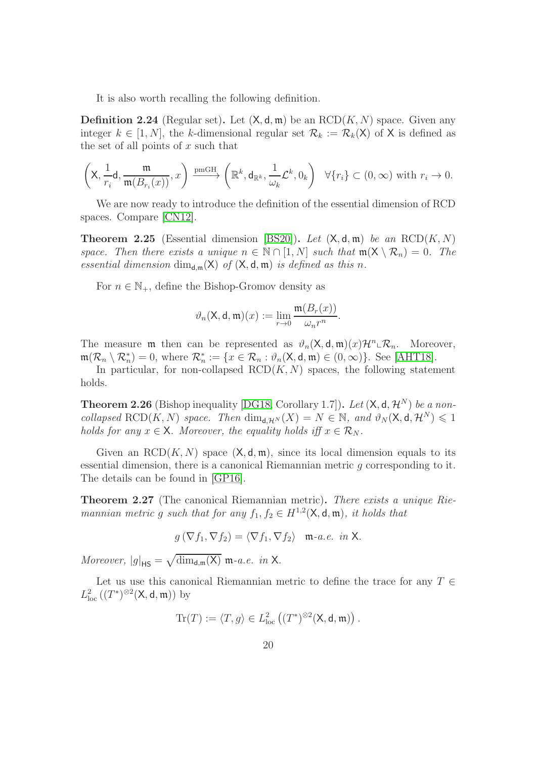It is also worth recalling the following definition.

<span id="page-19-0"></span>**Definition 2.24** (Regular set). Let  $(X, d, m)$  be an  $RCD(K, N)$  space. Given any integer  $k \in [1, N]$ , the k-dimensional regular set  $\mathcal{R}_k := \mathcal{R}_k(\mathsf{X})$  of X is defined as the set of all points of  $x$  such that

$$
\left(\mathsf{X},\frac{1}{r_i}\mathsf{d},\frac{\mathfrak{m}}{\mathfrak{m}(B_{r_i}(x))},x\right)\xrightarrow{\text{pmGH}}\left(\mathbb{R}^k,\mathsf{d}_{\mathbb{R}^k},\frac{1}{\omega_k}\mathcal{L}^k,0_k\right)\quad\forall\{r_i\}\subset(0,\infty)\text{ with }r_i\to 0.
$$

We are now ready to introduce the definition of the essential dimension of RCD spaces. Compare [\[CN12\]](#page-58-9).

**Theorem 2.25** (Essential dimension [\[BS20\]](#page-58-3)). Let  $(X, d, m)$  be an  $RCD(K, N)$ space. Then there exists a unique  $n \in \mathbb{N} \cap [1, N]$  such that  $\mathfrak{m}(X \setminus \mathcal{R}_n) = 0$ . The essential dimension  $\dim_{\mathsf{d},\mathfrak{m}}(\mathsf{X})$  of  $(\mathsf{X},\mathsf{d},\mathfrak{m})$  is defined as this n.

For  $n \in \mathbb{N}_+$ , define the Bishop-Gromov density as

$$
\vartheta_n(\mathsf{X},\mathsf{d},\mathfrak{m})(x) := \lim_{r \to 0} \frac{\mathfrak{m}(B_r(x))}{\omega_n r^n}.
$$

The measure **m** then can be represented as  $\vartheta_n(\mathsf{X}, \mathsf{d}, \mathfrak{m})(x) \mathcal{H}^n \mathcal{R}_n$ . Moreover,  $\mathfrak{m}(\mathcal{R}_n \setminus \mathcal{R}_n^*) = 0$ , where  $\mathcal{R}_n^* := \{x \in \mathcal{R}_n : \vartheta_n(\mathsf{X}, \mathsf{d}, \mathfrak{m}) \in (0, \infty)\}\.$  See [\[AHT18\]](#page-57-6).

In particular, for non-collapsed  $RCD(K, N)$  spaces, the following statement holds.

<span id="page-19-2"></span>**Theorem 2.26** (Bishop inequality [\[DG18,](#page-58-2) Corollary 1.7]). Let  $(X, d, \mathcal{H}^N)$  be a noncollapsed RCD(K, N) space. Then  $\dim_{d,\mathcal{H}^N}(X) = N \in \mathbb{N}$ , and  $\vartheta_N(\mathsf{X},\mathsf{d},\mathcal{H}^N) \leq 1$ holds for any  $x \in \mathsf{X}$ . Moreover, the equality holds iff  $x \in \mathcal{R}_N$ .

Given an RCD(K, N) space  $(X, d, m)$ , since its local dimension equals to its essential dimension, there is a canonical Riemannian metric g corresponding to it. The details can be found in [\[GP16\]](#page-59-8).

<span id="page-19-1"></span>Theorem 2.27 (The canonical Riemannian metric). There exists a unique Riemannian metric g such that for any  $f_1, f_2 \in H^{1,2}(\mathsf{X}, \mathsf{d}, \mathfrak{m})$ , it holds that

$$
g\left(\nabla f_1, \nabla f_2\right) = \langle \nabla f_1, \nabla f_2 \rangle \quad \text{m-a.e. in } X.
$$

Moreover,  $|g|_{\text{HS}} = \sqrt{\dim_{\mathsf{d},\mathfrak{m}}(X)}$  m-a.e. in X.

Let us use this canonical Riemannian metric to define the trace for any  $T \in$  $L^2_{\text{loc}}((T^*)^{\otimes 2}(\mathsf{X},\mathsf{d},\mathfrak{m}))$  by

$$
\mathrm{Tr}(T) := \langle T, g \rangle \in L^2_{\mathrm{loc}} \left( (T^*)^{\otimes 2} (\mathsf{X}, \mathsf{d}, \mathfrak{m}) \right).
$$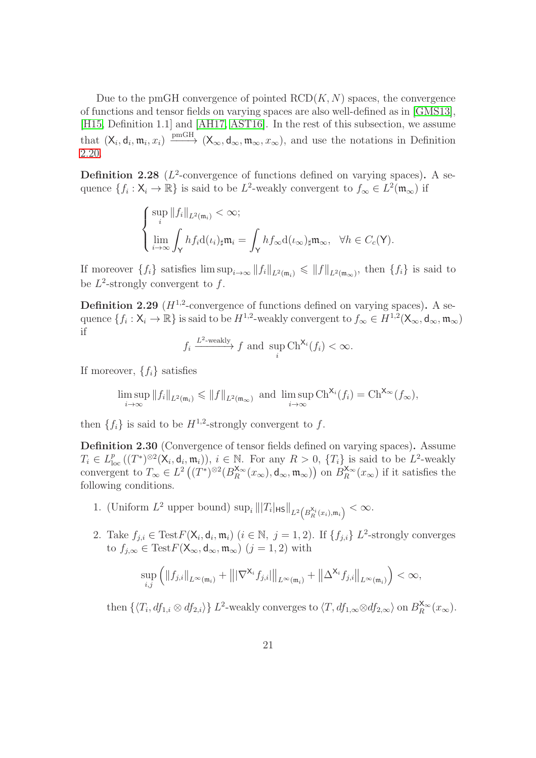Due to the pmGH convergence of pointed  $RCD(K, N)$  spaces, the convergence of functions and tensor fields on varying spaces are also well-defined as in [\[GMS13\]](#page-59-7), [\[H15,](#page-59-9) Definition 1.1] and [\[AH17,](#page-57-7) [AST16\]](#page-57-8). In the rest of this subsection, we assume that  $(X_i, d_i, m_i, x_i) \xrightarrow{\text{pmGH}} (X_\infty, d_\infty, m_\infty, x_\infty)$ , and use the notations in Definition [2.20.](#page-18-0)

**Definition 2.28** ( $L^2$ -convergence of functions defined on varying spaces). A sequence  $\{f_i: X_i \to \mathbb{R}\}\$ is said to be  $L^2$ -weakly convergent to  $f_\infty \in L^2(\mathfrak{m}_{\infty})$  if

$$
\begin{cases} \sup_{i} \|f_{i}\|_{L^{2}(\mathfrak{m}_{i})} < \infty; \\ \lim_{i \to \infty} \int_{\mathsf{Y}} h f_{i} d(\iota_{i})_{\sharp} \mathfrak{m}_{i} = \int_{\mathsf{Y}} h f_{\infty} d(\iota_{\infty})_{\sharp} \mathfrak{m}_{\infty}, \ \ \forall h \in C_{c}(\mathsf{Y}). \end{cases}
$$

If moreover  $\{f_i\}$  satisfies  $\limsup_{i\to\infty} ||f_i||_{L^2(\mathfrak{m}_i)} \le ||f||_{L^2(\mathfrak{m}_\infty)}$ , then  $\{f_i\}$  is said to be  $L^2$ -strongly convergent to f.

**Definition 2.29** ( $H^{1,2}$ -convergence of functions defined on varying spaces). A sequence  $\{f_i: X_i \to \mathbb{R}\}$  is said to be  $H^{1,2}$ -weakly convergent to  $f_\infty \in H^{1,2}(\mathsf{X}_\infty,\mathsf{d}_\infty,\mathfrak{m}_\infty)$ if

$$
f_i \xrightarrow{L^2\text{-weakly}} f
$$
 and  $\sup_i \text{Ch}^{\mathsf{X}_i}(f_i) < \infty$ .

If moreover,  $\{f_i\}$  satisfies

$$
\limsup_{i\to\infty}||f_i||_{L^2(\mathfrak{m}_i)} \leq ||f||_{L^2(\mathfrak{m}_{\infty})} \text{ and } \limsup_{i\to\infty} \text{Ch}^{\mathsf{X}_i}(f_i) = \text{Ch}^{\mathsf{X}_{\infty}}(f_{\infty}),
$$

then  $\{f_i\}$  is said to be  $H^{1,2}$ -strongly convergent to f.

Definition 2.30 (Convergence of tensor fields defined on varying spaces). Assume  $T_i \in L^p_{loc}((T^*)^{\otimes 2}(\mathsf{X}_i,\mathsf{d}_i,\mathfrak{m}_i)), i \in \mathbb{N}$ . For any  $R > 0$ ,  $\{T_i\}$  is said to be  $L^2$ -weakly convergent to  $T_{\infty} \in L^2((T^*)^{\otimes 2}(B_R^{\mathbf{X}_{\infty}}(x_{\infty}), \mathsf{d}_{\infty}, \mathfrak{m}_{\infty}))$  on  $B_R^{\mathbf{X}_{\infty}}(x_{\infty})$  if it satisfies the following conditions.

- 1. (Uniform  $L^2$  upper bound)  $\sup_i |||T_i|_{\text{HS}}||_{L^2(B_R^{\chi_i}(x_i), \mathfrak{m}_i)} < \infty$ .
- 2. Take  $f_{j,i} \in \text{Test}F(\mathsf{X}_i, \mathsf{d}_i, \mathfrak{m}_i)$   $(i \in \mathbb{N}, j = 1, 2)$ . If  $\{f_{j,i}\}\ L^2$ -strongly converges to  $f_{i,\infty} \in \text{Test} F(\mathsf{X}_{\infty}, \mathsf{d}_{\infty}, \mathfrak{m}_{\infty})$   $(j = 1, 2)$  with

$$
\sup_{i,j} (||f_{j,i}||_{L^{\infty}(\mathfrak{m}_{i})} + |||\nabla^{X_{i}} f_{j,i}|||_{L^{\infty}(\mathfrak{m}_{i})} + ||\Delta^{X_{i}} f_{j,i}||_{L^{\infty}(\mathfrak{m}_{i})}) < \infty,
$$

then  $\{\langle T_i, df_{1,i} \otimes df_{2,i}\rangle\} L^2$ -weakly converges to  $\langle T, df_{1,\infty} \otimes df_{2,\infty}\rangle$  on  $B_R^{\mathsf{X}_{\infty}}(x_{\infty})$ .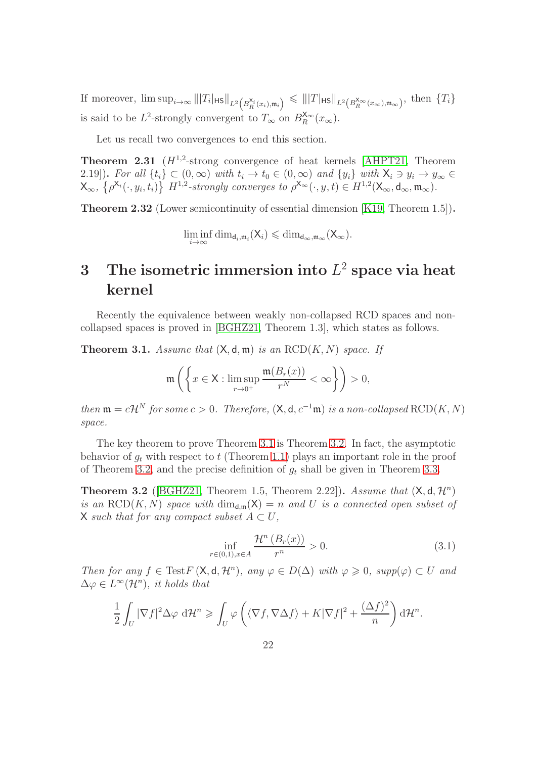If moreover,  $\limsup_{i\to\infty} |||T_i|$ <sub>HS</sub> $||_{L^2(B_R^{X_i}(x_i), \mathfrak{m}_i)} \leq |||T|$ <sub>HS</sub> $||_{L^2(B_R^{X_{\infty}}(x_{\infty}), \mathfrak{m}_{\infty})}$ , then  $\{T_i\}$ is said to be  $L^2$ -strongly convergent to  $T_\infty$  on  $B_R^{\mathsf{X}_\infty}(x_\infty)$ .

Let us recall two convergences to end this section.

<span id="page-21-4"></span>**Theorem 2.31** ( $H^{1,2}$ -strong convergence of heat kernels [\[AHPT21,](#page-57-4) Theorem 2.19]). For all  $\{t_i\} \subset (0,\infty)$  with  $t_i \to t_0 \in (0,\infty)$  and  $\{y_i\}$  with  $X_i \ni y_i \to y_\infty \in$  $\mathsf{X}_{\infty}$ ,  $\left\{\rho^{\mathsf{X}_{i}}(\cdot,y_{i},t_{i})\right\} H^{1,2}$ -strongly converges to  $\rho^{\mathsf{X}_{\infty}}(\cdot,y,t) \in H^{1,2}(\mathsf{X}_{\infty},\mathsf{d}_{\infty},\mathfrak{m}_{\infty})$ .

<span id="page-21-3"></span>Theorem 2.32 (Lower semicontinuity of essential dimension [\[K19,](#page-60-10) Theorem 1.5]).

lim inf  $\min_{i\to\infty} \dim_{\mathsf{d}_i,\mathfrak{m}_i}(\mathsf{X}_i) \leqslant \dim_{\mathsf{d}_\infty,\mathfrak{m}_\infty}(\mathsf{X}_\infty).$ 

# <span id="page-21-0"></span>3 The isometric immersion into  $L^2$  space via heat kernel

Recently the equivalence between weakly non-collapsed RCD spaces and noncollapsed spaces is proved in [\[BGHZ21,](#page-58-4) Theorem 1.3], which states as follows.

<span id="page-21-1"></span>**Theorem 3.1.** Assume that  $(X, d, m)$  is an  $RCD(K, N)$  space. If

$$
\mathfrak{m}\left(\left\{x \in \mathsf{X}: \limsup_{r \to 0^+} \frac{\mathfrak{m}(B_r(x))}{r^N} < \infty\right\}\right) > 0,
$$

then  $\mathfrak{m} = c\mathcal{H}^N$  for some  $c > 0$ . Therefore,  $(\mathsf{X}, \mathsf{d}, c^{-1}\mathfrak{m})$  is a non-collapsed  $\text{RCD}(K, N)$ space.

The key theorem to prove Theorem [3.1](#page-21-1) is Theorem [3.2.](#page-21-2) In fact, the asymptotic behavior of  $g_t$  with respect to t (Theorem [1.1\)](#page-3-1) plays an important role in the proof of Theorem [3.2,](#page-21-2) and the precise definition of  $g_t$  shall be given in Theorem [3.3.](#page-22-1)

<span id="page-21-2"></span>**Theorem 3.2** ([\[BGHZ21,](#page-58-4) Theorem 1.5, Theorem 2.22]). Assume that  $(X, d, \mathcal{H}^n)$ is an RCD(K, N) space with  $\dim_{d,m}(X) = n$  and U is a connected open subset of X such that for any compact subset  $A \subset U$ ,

$$
\inf_{r \in (0,1), x \in A} \frac{\mathcal{H}^n(B_r(x))}{r^n} > 0.
$$
\n(3.1)

Then for any  $f \in \text{Test}F(\mathsf{X},\mathsf{d},\mathcal{H}^n)$ , any  $\varphi \in D(\Delta)$  with  $\varphi \geq 0$ ,  $supp(\varphi) \subset U$  and  $\Delta \varphi \in L^{\infty}(\mathcal{H}^n)$ , it holds that

$$
\frac{1}{2} \int_U |\nabla f|^2 \Delta \varphi \, d\mathcal{H}^n \ge \int_U \varphi \left( \langle \nabla f, \nabla \Delta f \rangle + K |\nabla f|^2 + \frac{(\Delta f)^2}{n} \right) d\mathcal{H}^n.
$$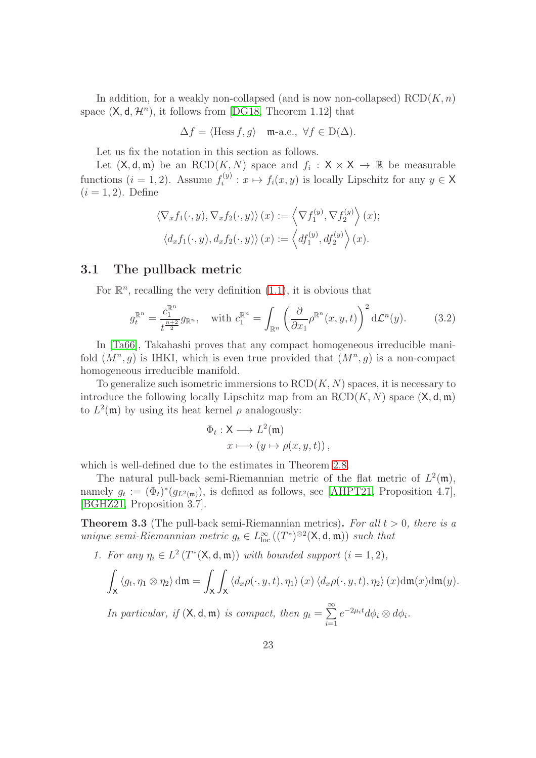In addition, for a weakly non-collapsed (and is now non-collapsed)  $RCD(K, n)$ space  $(X, d, \mathcal{H}^n)$ , it follows from [\[DG18,](#page-58-2) Theorem 1.12] that

$$
\Delta f = \langle \text{Hess}\, f, g \rangle \quad \text{m-a.e.,}\, \, \forall f \in \mathcal{D}(\Delta).
$$

Let us fix the notation in this section as follows.

Let  $(X, d, m)$  be an RCD $(K, N)$  space and  $f_i : X \times X \to \mathbb{R}$  be measurable functions  $(i = 1, 2)$ . Assume  $f_i^{(y)}$  $i_j^{(y)}: x \mapsto f_i(x, y)$  is locally Lipschitz for any  $y \in X$  $(i = 1, 2)$ . Define

$$
\langle \nabla_x f_1(\cdot, y), \nabla_x f_2(\cdot, y) \rangle (x) := \langle \nabla f_1^{(y)}, \nabla f_2^{(y)} \rangle (x);
$$
  

$$
\langle d_x f_1(\cdot, y), d_x f_2(\cdot, y) \rangle (x) := \langle df_1^{(y)}, df_2^{(y)} \rangle (x).
$$

#### <span id="page-22-0"></span>3.1 The pullback metric

For  $\mathbb{R}^n$ , recalling the very definition [\(1.1\)](#page-1-2), it is obvious that

$$
g_t^{\mathbb{R}^n} = \frac{c_1^{\mathbb{R}^n}}{t^{\frac{n+2}{2}}} g_{\mathbb{R}^n}, \quad \text{with } c_1^{\mathbb{R}^n} = \int_{\mathbb{R}^n} \left( \frac{\partial}{\partial x_1} \rho^{\mathbb{R}^n}(x, y, t) \right)^2 d\mathcal{L}^n(y). \tag{3.2}
$$

In [\[Ta66\]](#page-61-0), Takahashi proves that any compact homogeneous irreducible manifold  $(M^n, g)$  is IHKI, which is even true provided that  $(M^n, g)$  is a non-compact homogeneous irreducible manifold.

To generalize such isometric immersions to  $RCD(K, N)$  spaces, it is necessary to introduce the following locally Lipschitz map from an  $RCD(K, N)$  space  $(X, d, m)$ to  $L^2(\mathfrak{m})$  by using its heat kernel  $\rho$  analogously:

$$
\Phi_t: \mathsf{X} \longrightarrow L^2(\mathfrak{m})
$$
  

$$
x \longmapsto (y \mapsto \rho(x, y, t)),
$$

which is well-defined due to the estimates in Theorem [2.8.](#page-11-2)

The natural pull-back semi-Riemannian metric of the flat metric of  $L^2(\mathfrak{m})$ , namely  $g_t := (\Phi_t)^*(g_{L^2(\mathfrak{m})})$ , is defined as follows, see [\[AHPT21,](#page-57-4) Proposition 4.7], [\[BGHZ21,](#page-58-4) Proposition 3.7].

<span id="page-22-1"></span>**Theorem 3.3** (The pull-back semi-Riemannian metrics). For all  $t > 0$ , there is a unique semi-Riemannian metric  $g_t \in L^{\infty}_{loc}((T^*)^{\otimes 2}(\mathsf{X},\mathsf{d},\mathfrak{m}))$  such that

1. For any  $\eta_i \in L^2(T^*(\mathsf{X},\mathsf{d},\mathfrak{m}))$  with bounded support  $(i = 1,2)$ ,

$$
\int_{\mathsf{X}} \langle g_t, \eta_1 \otimes \eta_2 \rangle \, \mathrm{d}\mathfrak{m} = \int_{\mathsf{X}} \int_{\mathsf{X}} \langle d_x \rho(\cdot, y, t), \eta_1 \rangle(x) \, \langle d_x \rho(\cdot, y, t), \eta_2 \rangle(x) \mathrm{d}\mathfrak{m}(x) \mathrm{d}\mathfrak{m}(y).
$$

In particular, if  $(X, d, m)$  is compact, then  $g_t = \sum^{\infty}$  $i=1$  $e^{-2\mu_i t}d\phi_i\otimes d\phi_i.$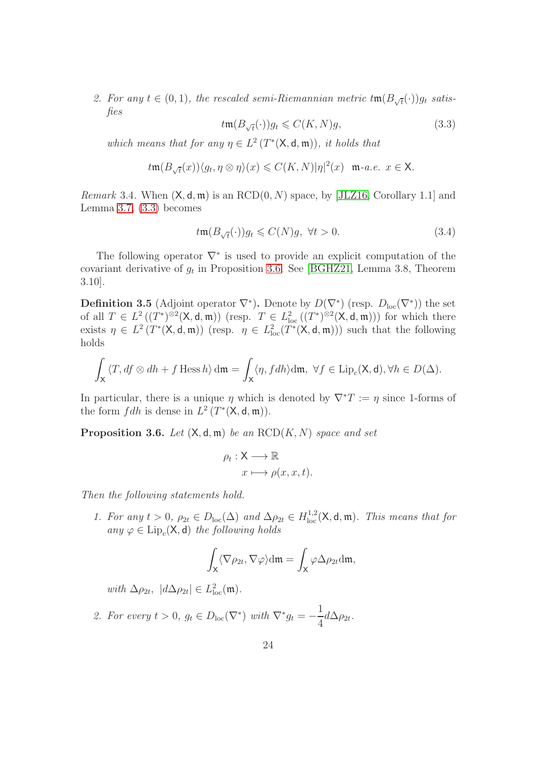2. For any  $t \in (0,1)$ , the rescaled semi-Riemannian metric  $\text{tm}(B_{\sqrt{t}}(\cdot))g_t$  satisfies

<span id="page-23-0"></span>
$$
tm(B_{\sqrt{t}}(\cdot))g_t \leqslant C(K,N)g,\tag{3.3}
$$

which means that for any  $\eta \in L^2(T^*(\mathsf{X}, \mathsf{d}, \mathfrak{m}))$ , it holds that

$$
t\mathfrak{m}(B_{\sqrt{t}}(x))\langle g_t,\eta\otimes \eta\rangle (x)\leqslant C(K,N)|\eta|^2(x)\quad \mathfrak{m}\text{-}a.e. \ \ x\in \mathsf{X}.
$$

*Remark* 3.4. When  $(X, d, m)$  is an RCD $(0, N)$  space, by [\[JLZ16,](#page-60-2) Corollary 1.1] and Lemma [3.7,](#page-24-0) [\(3.3\)](#page-23-0) becomes

<span id="page-23-2"></span>
$$
tm(B_{\sqrt{t}}(\cdot))g_t \leqslant C(N)g, \ \forall t > 0. \tag{3.4}
$$

The following operator  $\nabla^*$  is used to provide an explicit computation of the covariant derivative of  $g_t$  in Proposition [3.6.](#page-23-1) See [\[BGHZ21,](#page-58-4) Lemma 3.8, Theorem 3.10].

**Definition 3.5** (Adjoint operator  $\nabla^*$ ). Denote by  $D(\nabla^*)$  (resp.  $D_{\text{loc}}(\nabla^*)$ ) the set of all  $T \in L^2((T^*)^{\otimes 2}(\mathsf{X},\mathsf{d},\mathfrak{m}))$  (resp.  $T \in L^2_{loc}((T^*)^{\otimes 2}(\mathsf{X},\mathsf{d},\mathfrak{m}))$ ) for which there exists  $\eta \in L^2(T^*(\mathsf{X},\mathsf{d},\mathfrak{m}))$  (resp.  $\eta \in L^2_{\text{loc}}(T^*(\mathsf{X},\mathsf{d},\mathfrak{m}))$ ) such that the following holds

$$
\int_{\mathsf{X}} \langle T, df \otimes dh + f \operatorname{Hess} h \rangle \, d\mathfrak{m} = \int_{\mathsf{X}} \langle \eta, f dh \rangle \, d\mathfrak{m}, \ \forall f \in \operatorname{Lip}_{c}(\mathsf{X}, \mathsf{d}), \forall h \in D(\Delta).
$$

In particular, there is a unique  $\eta$  which is denoted by  $\nabla^*T := \eta$  since 1-forms of the form  $f dh$  is dense in  $L^2(T^*(X, d, m))$ .

<span id="page-23-1"></span>**Proposition 3.6.** Let  $(X, d, m)$  be an RCD $(K, N)$  space and set

$$
\rho_t: \mathsf{X} \longrightarrow \mathbb{R}
$$

$$
x \longmapsto \rho(x, x, t).
$$

Then the following statements hold.

1. For any  $t > 0$ ,  $\rho_{2t} \in D_{loc}(\Delta)$  and  $\Delta \rho_{2t} \in H^{1,2}_{loc}(\mathsf{X}, \mathsf{d}, \mathfrak{m})$ . This means that for any  $\varphi \in \text{Lip}_c(\mathsf{X}, \mathsf{d})$  the following holds

$$
\int_{\mathsf{X}} \langle \nabla \rho_{2t}, \nabla \varphi \rangle \mathrm{d}\mathfrak{m} = \int_{\mathsf{X}} \varphi \Delta \rho_{2t} \mathrm{d}\mathfrak{m},
$$

with  $\Delta \rho_{2t}$ ,  $|d\Delta \rho_{2t}| \in L^2_{loc}(\mathfrak{m})$ .

2. For every  $t > 0$ ,  $g_t \in D_{loc}(\nabla^*)$  with  $\nabla^* g_t = -$ 1  $\frac{1}{4}d\Delta \rho_{2t}$ .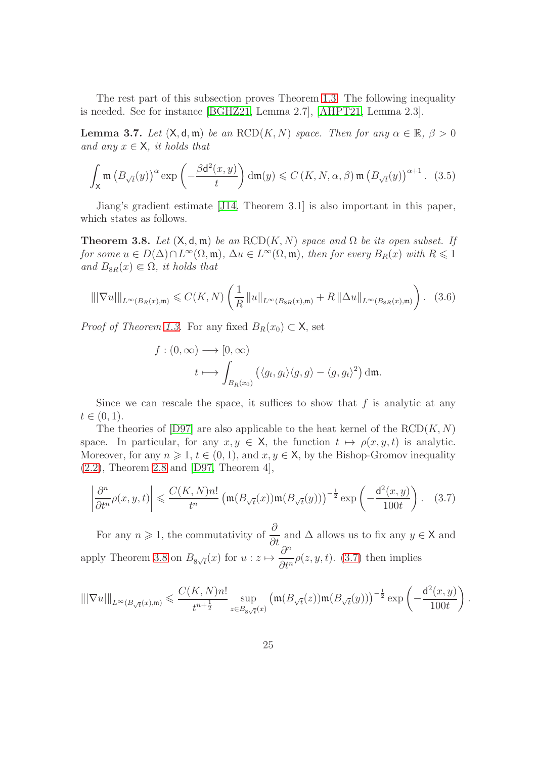The rest part of this subsection proves Theorem [1.3.](#page-3-2) The following inequality is needed. See for instance [\[BGHZ21,](#page-58-4) Lemma 2.7], [\[AHPT21,](#page-57-4) Lemma 2.3].

<span id="page-24-0"></span>**Lemma 3.7.** Let  $(X, d, m)$  be an  $RCD(K, N)$  space. Then for any  $\alpha \in \mathbb{R}, \beta > 0$ and any  $x \in \mathsf{X}$ , it holds that

$$
\int_{\mathsf{X}} \mathfrak{m}\left(B_{\sqrt{t}}(y)\right)^{\alpha} \exp\left(-\frac{\beta \mathsf{d}^{2}(x, y)}{t}\right) \mathrm{d}\mathfrak{m}(y) \leqslant C\left(K, N, \alpha, \beta\right) \mathfrak{m}\left(B_{\sqrt{t}}(y)\right)^{\alpha+1}.\tag{3.5}
$$

Jiang's gradient estimate [\[J14,](#page-60-7) Theorem 3.1] is also important in this paper, which states as follows.

<span id="page-24-1"></span>**Theorem 3.8.** Let  $(X, d, m)$  be an RCD $(K, N)$  space and  $\Omega$  be its open subset. If for some  $u \in D(\Delta) \cap L^{\infty}(\Omega, \mathfrak{m}), \Delta u \in L^{\infty}(\Omega, \mathfrak{m}),$  then for every  $B_R(x)$  with  $R \leq 1$ and  $B_{8R}(x) \in \Omega$ , it holds that

$$
\|\nabla u\|\|_{L^{\infty}(B_R(x), \mathfrak{m})} \leq C(K, N) \left( \frac{1}{R} \|u\|_{L^{\infty}(B_{8R}(x), \mathfrak{m})} + R \|\Delta u\|_{L^{\infty}(B_{8R}(x), \mathfrak{m})} \right). \tag{3.6}
$$

*Proof of Theorem [1.3.](#page-3-2)* For any fixed  $B_R(x_0) \subset X$ , set

<span id="page-24-2"></span>
$$
f:(0,\infty)\longrightarrow [0,\infty)
$$
  

$$
t\longmapsto \int_{B_R(x_0)} (\langle g_t,g_t\rangle\langle g,g\rangle - \langle g,g_t\rangle^2) \,d\mathfrak{m}.
$$

Since we can rescale the space, it suffices to show that  $f$  is analytic at any  $t \in (0, 1).$ 

The theories of  $[$ D97 $]$  are also applicable to the heat kernel of the RCD $(K, N)$ space. In particular, for any  $x, y \in X$ , the function  $t \mapsto \rho(x, y, t)$  is analytic. Moreover, for any  $n \geq 1$ ,  $t \in (0,1)$ , and  $x, y \in \mathsf{X}$ , by the Bishop-Gromov inequality [\(2.2\)](#page-10-0), Theorem [2.8](#page-11-2) and [\[D97,](#page-58-10) Theorem 4],

$$
\left|\frac{\partial^n}{\partial t^n}\rho(x,y,t)\right| \leqslant \frac{C(K,N)n!}{t^n} \left(\mathfrak{m}(B_{\sqrt{t}}(x))\mathfrak{m}(B_{\sqrt{t}}(y))\right)^{-\frac{1}{2}} \exp\left(-\frac{\mathsf{d}^2(x,y)}{100t}\right). \tag{3.7}
$$

For any  $n \geq 1$ , the commutativity of  $\frac{\partial}{\partial t}$  and  $\Delta$  allows us to fix any  $y \in \mathsf{X}$  and apply Theorem [3.8](#page-24-1) on  $B_{8\sqrt{t}}(x)$  for  $u: z \mapsto$  $\partial^n$  $\frac{\partial}{\partial t^n} \rho(z, y, t)$ . [\(3.7\)](#page-24-2) then implies

$$
\||\nabla u|\|_{L^\infty(B_{\sqrt{t}}(x),\mathfrak{m})} \leqslant \frac{C(K,N)n!}{t^{n+\frac{1}{2}}}\sup_{z\in B_{8\sqrt{t}}(x)}\left(\mathfrak{m}(B_{\sqrt{t}}(z))\mathfrak{m}(B_{\sqrt{t}}(y))\right)^{-\frac{1}{2}}\exp\left(-\frac{\mathsf{d}^2(x,y)}{100t}\right).
$$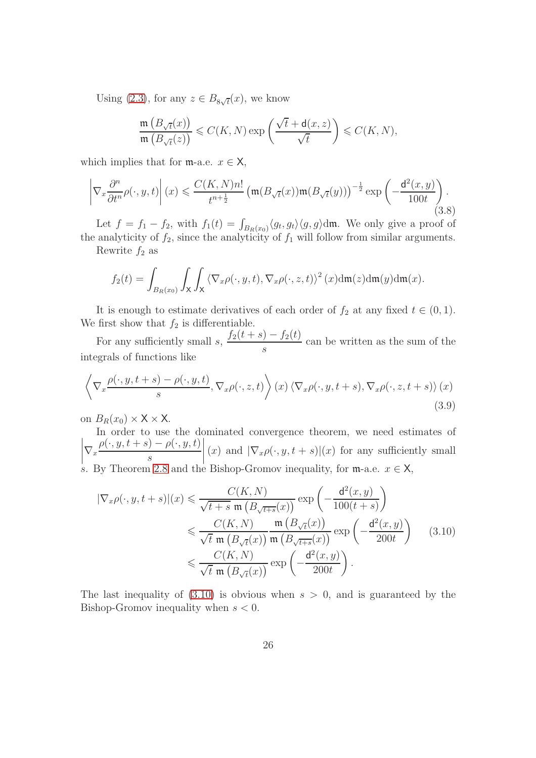Using [\(2.3\)](#page-10-1), for any  $z \in B_{8\sqrt{t}}(x)$ , we know

$$
\frac{\mathfrak{m}\left(B_{\sqrt{t}}(x)\right)}{\mathfrak{m}\left(B_{\sqrt{t}}(z)\right)} \leqslant C(K,N) \exp\left(\frac{\sqrt{t}+\mathsf{d}(x,z)}{\sqrt{t}}\right) \leqslant C(K,N),
$$

which implies that for  $m$ -a.e.  $x \in X$ ,

<span id="page-25-1"></span>
$$
\left|\nabla_x \frac{\partial^n}{\partial t^n} \rho(\cdot, y, t)\right| (x) \leqslant \frac{C(K, N) n!}{t^{n + \frac{1}{2}}} \left(\mathfrak{m}(B_{\sqrt{t}}(x)) \mathfrak{m}(B_{\sqrt{t}}(y))\right)^{-\frac{1}{2}} \exp\left(-\frac{\mathsf{d}^2(x, y)}{100t}\right). \tag{3.8}
$$

Let  $f = f_1 - f_2$ , with  $f_1(t) = \int_{B_R(x_0)} \langle g_t, g_t \rangle \langle g, g \rangle d\mathfrak{m}$ . We only give a proof of the analyticity of  $f_2$ , since the analyticity of  $f_1$  will follow from similar arguments. Rewrite  $f_2$  as

$$
f_2(t) = \int_{B_R(x_0)} \int_{\mathsf{X}} \int_{\mathsf{X}} \langle \nabla_x \rho(\cdot, y, t), \nabla_x \rho(\cdot, z, t) \rangle^2(x) d\mathfrak{m}(z) d\mathfrak{m}(y) d\mathfrak{m}(x).
$$

It is enough to estimate derivatives of each order of  $f_2$  at any fixed  $t \in (0,1)$ . We first show that  $f_2$  is differentiable.

For any sufficiently small s,  $\frac{f_2(t+s)-f_2(t)}{s}$ s can be written as the sum of the integrals of functions like

<span id="page-25-2"></span>
$$
\left\langle \nabla_x \frac{\rho(\cdot, y, t+s) - \rho(\cdot, y, t)}{s}, \nabla_x \rho(\cdot, z, t) \right\rangle (x) \left\langle \nabla_x \rho(\cdot, y, t+s), \nabla_x \rho(\cdot, z, t+s) \right\rangle (x)
$$
\n(3.9)

on  $B_R(x_0) \times \mathsf{X} \times \mathsf{X}$ .

In order to use the dominated convergence theorem, we need estimates of  $\begin{array}{|c|c|} \hline \multicolumn{1}{|c|}{3} & \multicolumn{1}{|c|}{4} \multicolumn{1}{|c|}{5} \multicolumn{1}{|c|}{6} \multicolumn{1}{|c|}{6} \multicolumn{1}{|c|}{6} \multicolumn{1}{|c|}{6} \multicolumn{1}{|c|}{6} \multicolumn{1}{|c|}{6} \multicolumn{1}{|c|}{6} \multicolumn{1}{|c|}{6} \multicolumn{1}{|c|}{6} \multicolumn{1}{|c|}{6} \multicolumn{1}{|c|}{6} \multicolumn{1}{|c|}{6} \multicolumn{1}{|c|$  $V_x$  $\rho(\cdot, y, t + s) - \rho(\cdot, y, t)$ s (x) and  $|\nabla_x \rho(\cdot, y, t + s)|(x)$  for any sufficiently small s. By Theorem [2.8](#page-11-2) and the Bishop-Gromov inequality, for  $m$ -a.e.  $x \in X$ ,

<span id="page-25-0"></span>
$$
|\nabla_x \rho(\cdot, y, t + s)|(x) \le \frac{C(K, N)}{\sqrt{t + s} \mathfrak{m}\left(B_{\sqrt{t+s}}(x)\right)} \exp\left(-\frac{\mathsf{d}^2(x, y)}{100(t + s)}\right)
$$
  

$$
\le \frac{C(K, N)}{\sqrt{t} \mathfrak{m}\left(B_{\sqrt{t}}(x)\right)} \frac{\mathfrak{m}\left(B_{\sqrt{t}}(x)\right)}{\mathfrak{m}\left(B_{\sqrt{t+s}}(x)\right)} \exp\left(-\frac{\mathsf{d}^2(x, y)}{200t}\right) \quad (3.10)
$$
  

$$
\le \frac{C(K, N)}{\sqrt{t} \mathfrak{m}\left(B_{\sqrt{t}}(x)\right)} \exp\left(-\frac{\mathsf{d}^2(x, y)}{200t}\right).
$$

The last inequality of  $(3.10)$  is obvious when  $s > 0$ , and is guaranteed by the Bishop-Gromov inequality when  $s < 0$ .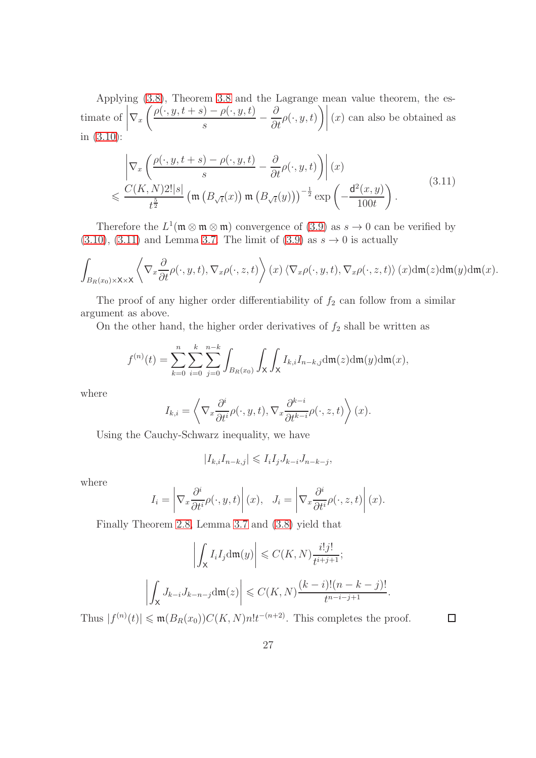Applying [\(3.8\)](#page-25-1), Theorem [3.8](#page-24-1) and the Lagrange mean value theorem, the estimate of  $\begin{array}{c} \begin{array}{c} \begin{array}{c} \end{array} \\ \begin{array}{c} \end{array} \end{array} \end{array}$  $V_x$  $\int \rho(\cdot, y, t + s) - \rho(\cdot, y, t)$  $\frac{1}{s}$  – ∂  $\frac{\partial}{\partial t}\rho(\cdot,y,t)$  $\bigg) \bigg|$  $(x)$  can also be obtained as in [\(3.10\)](#page-25-0):

<span id="page-26-0"></span>
$$
\left| \nabla_x \left( \frac{\rho(\cdot, y, t + s) - \rho(\cdot, y, t)}{s} - \frac{\partial}{\partial t} \rho(\cdot, y, t) \right) \right| (x)
$$
\n
$$
\leqslant \frac{C(K, N)2!|s|}{t^{\frac{5}{2}}} \left( \mathfrak{m} \left( B_{\sqrt{t}}(x) \right) \mathfrak{m} \left( B_{\sqrt{t}}(y) \right) \right)^{-\frac{1}{2}} \exp \left( -\frac{\mathsf{d}^2(x, y)}{100t} \right). \tag{3.11}
$$

Therefore the  $L^1(\mathfrak{m} \otimes \mathfrak{m} \otimes \mathfrak{m})$  convergence of [\(3.9\)](#page-25-2) as  $s \to 0$  can be verified by [\(3.10\)](#page-25-0), [\(3.11\)](#page-26-0) and Lemma [3.7.](#page-24-0) The limit of [\(3.9\)](#page-25-2) as  $s \to 0$  is actually

$$
\int_{B_R(x_0)\times \mathsf{X}\times \mathsf{X}} \left\langle \nabla_x \frac{\partial}{\partial t} \rho(\cdot, y, t), \nabla_x \rho(\cdot, z, t) \right\rangle(x) \left\langle \nabla_x \rho(\cdot, y, t), \nabla_x \rho(\cdot, z, t) \right\rangle(x) d\mathfrak{m}(z) d\mathfrak{m}(y) d\mathfrak{m}(x).
$$

The proof of any higher order differentiability of  $f_2$  can follow from a similar argument as above.

On the other hand, the higher order derivatives of  $f_2$  shall be written as

$$
f^{(n)}(t) = \sum_{k=0}^{n} \sum_{i=0}^{k} \sum_{j=0}^{n-k} \int_{B_R(x_0)} \int_{\mathsf{X}} \int_{\mathsf{X}} I_{k,i} I_{n-k,j} d\mathfrak{m}(z) d\mathfrak{m}(y) d\mathfrak{m}(x),
$$

where

$$
I_{k,i} = \left\langle \nabla_x \frac{\partial^i}{\partial t^i} \rho(\cdot, y, t), \nabla_x \frac{\partial^{k-i}}{\partial t^{k-i}} \rho(\cdot, z, t) \right\rangle(x).
$$

Using the Cauchy-Schwarz inequality, we have

$$
|I_{k,i}I_{n-k,j}| \leqslant I_iI_jJ_{k-i}J_{n-k-j},
$$

where

$$
I_i = \left| \nabla_x \frac{\partial^i}{\partial t^i} \rho(\cdot, y, t) \right| (x), \quad J_i = \left| \nabla_x \frac{\partial^i}{\partial t^i} \rho(\cdot, z, t) \right| (x).
$$

Finally Theorem [2.8,](#page-11-2) Lemma [3.7](#page-24-0) and [\(3.8\)](#page-25-1) yield that

$$
\left| \int_{\mathsf{X}} I_i I_j \mathrm{d}\mathfrak{m}(y) \right| \leqslant C(K, N) \frac{i! j!}{t^{i+j+1}};
$$

$$
\left| \int_{\mathsf{X}} J_{k-i} J_{k-n-j} \mathrm{d}\mathfrak{m}(z) \right| \leqslant C(K, N) \frac{(k-i)!(n-k-j)!}{t^{n-i-j+1}}.
$$

Thus  $|f^{(n)}(t)| \leq \mathfrak{m}(B_R(x_0))C(K,N)n!t^{-(n+2)}$ . This completes the proof.

 $\Box$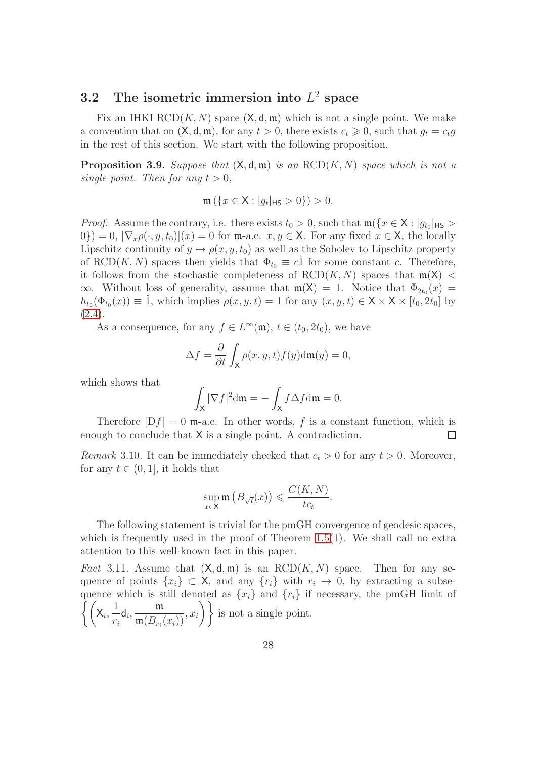# <span id="page-27-0"></span>3.2 The isometric immersion into  $L^2$  space

Fix an IHKI RCD $(K, N)$  space  $(X, d, \mathfrak{m})$  which is not a single point. We make a convention that on  $(X, d, \mathfrak{m})$ , for any  $t > 0$ , there exists  $c_t \geq 0$ , such that  $g_t = c_t g$ in the rest of this section. We start with the following proposition.

<span id="page-27-1"></span>**Proposition 3.9.** Suppose that  $(X, d, m)$  is an  $RCD(K, N)$  space which is not a single point. Then for any  $t > 0$ ,

$$
\mathfrak{m}\left(\{x \in \mathsf{X} : |g_t|_{\mathsf{HS}}>0\}\right) > 0.
$$

*Proof.* Assume the contrary, i.e. there exists  $t_0 > 0$ , such that  $\mathfrak{m}(\lbrace x \in X : |g_{t_0}|_{\text{HS}} >$  $(0)$ ) = 0,  $|\nabla_x \rho(\cdot, y, t_0)|(x) = 0$  for m-a.e.  $x, y \in \mathsf{X}$ . For any fixed  $x \in \mathsf{X}$ , the locally Lipschitz continuity of  $y \mapsto \rho(x, y, t_0)$  as well as the Sobolev to Lipschitz property of RCD(K, N) spaces then yields that  $\Phi_{t_0} \equiv c\hat{1}$  for some constant c. Therefore, it follows from the stochastic completeness of  $RCD(K, N)$  spaces that  $\mathfrak{m}(X)$  <  $\infty$ . Without loss of generality, assume that  $m(X) = 1$ . Notice that  $\Phi_{2t_0}(x) =$  $h_{t_0}(\Phi_{t_0}(x)) \equiv 1$ , which implies  $\rho(x, y, t) = 1$  for any  $(x, y, t) \in \mathsf{X} \times \mathsf{X} \times [t_0, 2t_0]$  by  $(2.4).$  $(2.4).$ 

As a consequence, for any  $f \in L^{\infty}(\mathfrak{m}), t \in (t_0, 2t_0)$ , we have

$$
\Delta f = \frac{\partial}{\partial t} \int_{\mathsf{X}} \rho(x, y, t) f(y) \mathrm{d}\mathfrak{m}(y) = 0,
$$

which shows that

$$
\int_{\mathsf{X}} |\nabla f|^2 \mathrm{d}\mathfrak{m} = -\int_{\mathsf{X}} f \Delta f \mathrm{d}\mathfrak{m} = 0.
$$

Therefore  $|Df| = 0$  m-a.e. In other words, f is a constant function, which is enough to conclude that X is a single point. A contradiction. П

*Remark* 3.10. It can be immediately checked that  $c_t > 0$  for any  $t > 0$ . Moreover, for any  $t \in (0, 1]$ , it holds that

$$
\sup_{x \in \mathsf{X}} \mathfrak{m}\left(B_{\sqrt{t}}(x)\right) \leqslant \frac{C(K, N)}{tc_t}.
$$

The following statement is trivial for the pmGH convergence of geodesic spaces, which is frequently used in the proof of Theorem  $1.5(1)$ . We shall call no extra attention to this well-known fact in this paper.

Fact 3.11. Assume that  $(X, d, m)$  is an  $RCD(K, N)$  space. Then for any sequence of points  $\{x_i\} \subset X$ , and any  $\{r_i\}$  with  $r_i \to 0$ , by extracting a subsequence which is still denoted as  $\{x_i\}$  and  $\{r_i\}$  if necessary, the pmGH limit of  $\left\{ \left( \mathsf{x}_{i},\right. \right.$ 1 ri  $\mathsf{d}_i$ m  $\frac{m}{\mathfrak{m}(B_{r_i}(x_i))}, x_i$  $\{\}$  is not a single point.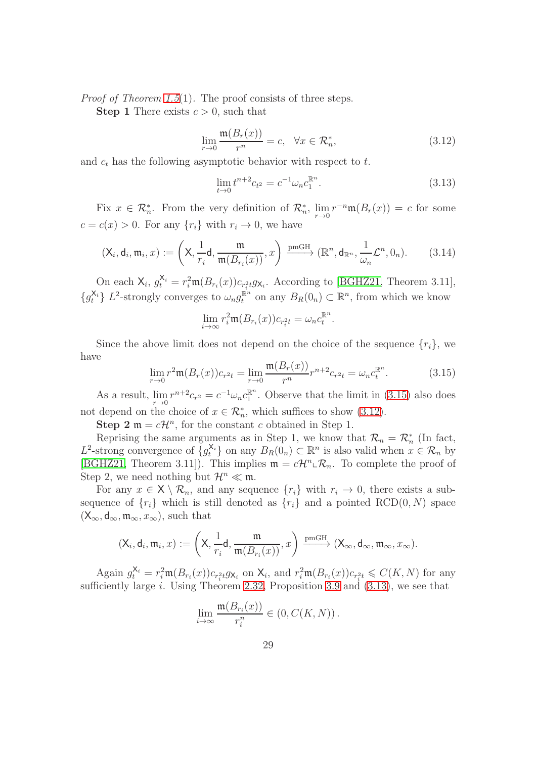*Proof of Theorem [1.5](#page-4-1)(1).* The proof consists of three steps.

**Step 1** There exists  $c > 0$ , such that

<span id="page-28-1"></span>
$$
\lim_{r \to 0} \frac{\mathfrak{m}(B_r(x))}{r^n} = c, \quad \forall x \in \mathcal{R}_n^*,
$$
\n(3.12)

and  $c_t$  has the following asymptotic behavior with respect to  $t$ .

<span id="page-28-2"></span>
$$
\lim_{t \to 0} t^{n+2} c_{t^2} = c^{-1} \omega_n c_1^{\mathbb{R}^n}.
$$
\n(3.13)

Fix  $x \in \mathcal{R}_n^*$ . From the very definition of  $\mathcal{R}_n^*$ ,  $\lim_{r \to 0} r^{-n} \mathfrak{m}(B_r(x)) = c$  for some  $c = c(x) > 0$ . For any  $\{r_i\}$  with  $r_i \to 0$ , we have

$$
(\mathsf{X}_i,\mathsf{d}_i,\mathfrak{m}_i,x):=\left(\mathsf{X},\frac{1}{r_i}\mathsf{d},\frac{\mathfrak{m}}{\mathfrak{m}(B_{r_i}(x))},x\right)\xrightarrow{\text{pmGH}}(\mathbb{R}^n,\mathsf{d}_{\mathbb{R}^n},\frac{1}{\omega_n}\mathcal{L}^n,0_n).
$$
 (3.14)

On each  $X_i$ ,  $g_t^{X_i} = r_i^2 \mathfrak{m}(B_{r_i}(x)) c_{r_i^2 t} g_{X_i}$ . According to [\[BGHZ21,](#page-58-4) Theorem 3.11],  ${g_t^{\chi_i}}$  L<sup>2</sup>-strongly converges to  $\omega_n g_t^{\mathbb{R}^n}$  $t^{n}$  on any  $B_{R}(0_{n}) \subset \mathbb{R}^{n}$ , from which we know

$$
\lim_{i \to \infty} r_i^2 \mathfrak{m}(B_{r_i}(x)) c_{r_i^2 t} = \omega_n c_t^{\mathbb{R}^n}.
$$

Since the above limit does not depend on the choice of the sequence  $\{r_i\}$ , we have

<span id="page-28-0"></span>
$$
\lim_{r \to 0} r^2 \mathfrak{m}(B_r(x)) c_{r^2 t} = \lim_{r \to 0} \frac{\mathfrak{m}(B_r(x))}{r^n} r^{n+2} c_{r^2 t} = \omega_n c_t^{\mathbb{R}^n}.
$$
 (3.15)

As a result,  $\lim_{r \to 0} r^{n+2} c_{r^2} = c^{-1} \omega_n c_1^{\mathbb{R}^n}$  $\frac{\mathbb{R}^n}{1}$ . Observe that the limit in [\(3.15\)](#page-28-0) also does not depend on the choice of  $x \in \mathcal{R}_n^*$ , which suffices to show [\(3.12\)](#page-28-1).

**Step 2** m =  $c\mathcal{H}^n$ , for the constant c obtained in Step 1.

Reprising the same arguments as in Step 1, we know that  $\mathcal{R}_n = \mathcal{R}_n^*$  (In fact,  $L^2$ -strong convergence of  $\{g_t^{\mathsf{X}_i}\}\$  on any  $B_R(0_n)$  ⊂  $\mathbb{R}^n$  is also valid when  $x \in \mathcal{R}_n$  by [\[BGHZ21,](#page-58-4) Theorem 3.11]). This implies  $\mathfrak{m} = c\mathcal{H}^n \mathcal{L} \mathcal{R}_n$ . To complete the proof of Step 2, we need nothing but  $\mathcal{H}^n \ll \mathfrak{m}$ .

For any  $x \in X \setminus \mathcal{R}_n$ , and any sequence  $\{r_i\}$  with  $r_i \to 0$ , there exists a subsequence of  $\{r_i\}$  which is still denoted as  $\{r_i\}$  and a pointed  $RCD(0, N)$  space  $(X_\infty, d_\infty, \mathfrak{m}_\infty, x_\infty)$ , such that

$$
({\sf X}_i, {\sf d}_i, {\frak m}_i, x):=\left({\sf X}, \frac{1}{r_i}{\sf d}, \frac{{\frak m}}{{\frak m}(B_{r_i}(x))}, x\right) \xrightarrow{\operatorname{pmGH}} ({\sf X}_\infty, {\sf d}_\infty, {\frak m}_\infty, x_\infty).
$$

Again  $g_t^{\chi_i} = r_i^2 \mathfrak{m}(B_{r_i}(x)) c_{r_i^2 t} g_{\chi_i}$  on  $\chi_i$ , and  $r_i^2 \mathfrak{m}(B_{r_i}(x)) c_{r_i^2 t} \leqslant C(K, N)$  for any sufficiently large *i*. Using Theorem [2.32,](#page-21-3) Proposition [3.9](#page-27-1) and  $(3.13)$ , we see that

$$
\lim_{i \to \infty} \frac{\mathfrak{m}(B_{r_i}(x))}{r_i^n} \in (0, C(K, N)).
$$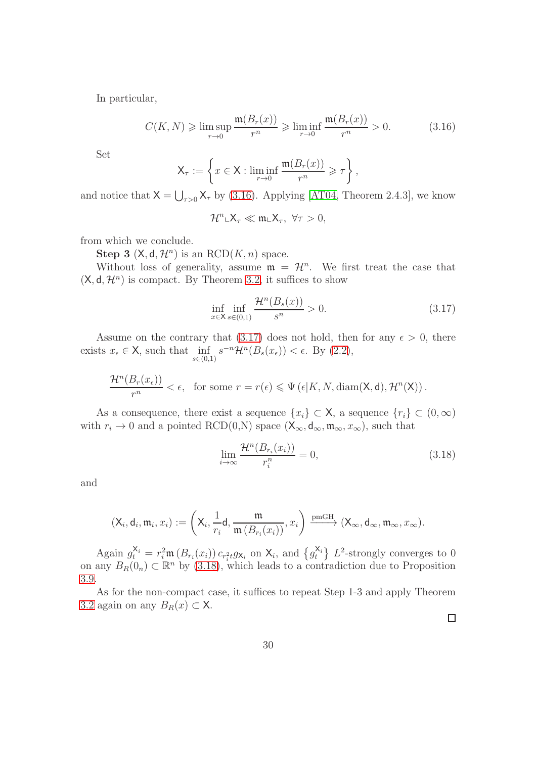In particular,

<span id="page-29-0"></span>
$$
C(K, N) \geqslant \limsup_{r \to 0} \frac{\mathfrak{m}(B_r(x))}{r^n} \geqslant \liminf_{r \to 0} \frac{\mathfrak{m}(B_r(x))}{r^n} > 0.
$$
 (3.16)

Set

$$
\mathsf{X}_{\tau} := \left\{ x \in \mathsf{X} : \liminf_{r \to 0} \frac{\mathfrak{m}(B_r(x))}{r^n} \geqslant \tau \right\},\,
$$

and notice that  $X = \bigcup_{\tau>0} X_{\tau}$  by [\(3.16\)](#page-29-0). Applying [\[AT04,](#page-57-9) Theorem 2.4.3], we know

$$
\mathcal{H}^n\llcorner X_\tau\ll\mathfrak{m}\llcorner X_\tau,~\forall\tau>0,
$$

from which we conclude.

**Step 3**  $(X, d, \mathcal{H}^n)$  is an  $RCD(K, n)$  space.

Without loss of generality, assume  $\mathfrak{m} = \mathcal{H}^n$ . We first treat the case that  $({\mathsf{X}},{\mathsf{d}},{\mathcal{H}}^n)$  is compact. By Theorem [3.2,](#page-21-2) it suffices to show

<span id="page-29-1"></span>
$$
\inf_{x \in \mathsf{X}} \inf_{s \in (0,1)} \frac{\mathcal{H}^n(B_s(x))}{s^n} > 0.
$$
\n(3.17)

Assume on the contrary that [\(3.17\)](#page-29-1) does not hold, then for any  $\epsilon > 0$ , there exists  $x_{\epsilon} \in \mathsf{X}$ , such that  $\inf_{s \in (0,1)}$  $s^{-n} \mathcal{H}^n(B_s(x_\epsilon)) < \epsilon$ . By [\(2.2\)](#page-10-0),

$$
\frac{\mathcal{H}^n(B_r(x_\epsilon))}{r^n} < \epsilon, \quad \text{for some } r = r(\epsilon) \leqslant \Psi\left(\epsilon | K, N, \text{diam}(X, \mathsf{d}), \mathcal{H}^n(X)\right).
$$

As a consequence, there exist a sequence  $\{x_i\} \subset \mathsf{X}$ , a sequence  $\{r_i\} \subset (0,\infty)$ with  $r_i \to 0$  and a pointed RCD(0,N) space  $(X_\infty, d_\infty, m_\infty, x_\infty)$ , such that

<span id="page-29-2"></span>
$$
\lim_{i \to \infty} \frac{\mathcal{H}^n(B_{r_i}(x_i))}{r_i^n} = 0,
$$
\n(3.18)

and

$$
(\mathsf{X}_i,\mathsf{d}_i,\mathfrak{m}_i,x_i):=\left(\mathsf{X}_i,\frac{1}{r_i}\mathsf{d},\frac{\mathfrak{m}}{\mathfrak{m}\left(B_{r_i}(x_i)\right)},x_i\right)\xrightarrow{\mathrm{pmGH}}(\mathsf{X}_{\infty},\mathsf{d}_{\infty},\mathfrak{m}_{\infty},x_{\infty}).
$$

Again  $g_t^{\chi_i} = r_i^2 \mathfrak{m}(B_{r_i}(x_i)) c_{r_i^2 t} g_{\chi_i}$  on  $\chi_i$ , and  $\{g_t^{\chi_i}\}\ L^2$ -strongly converges to 0 on any  $B_R(0_n) \subset \mathbb{R}^n$  by [\(3.18\)](#page-29-2), which leads to a contradiction due to Proposition [3.9.](#page-27-1)

As for the non-compact case, it suffices to repeat Step 1-3 and apply Theorem [3.2](#page-21-2) again on any  $B_R(x) \subset \mathsf{X}$ .

 $\Box$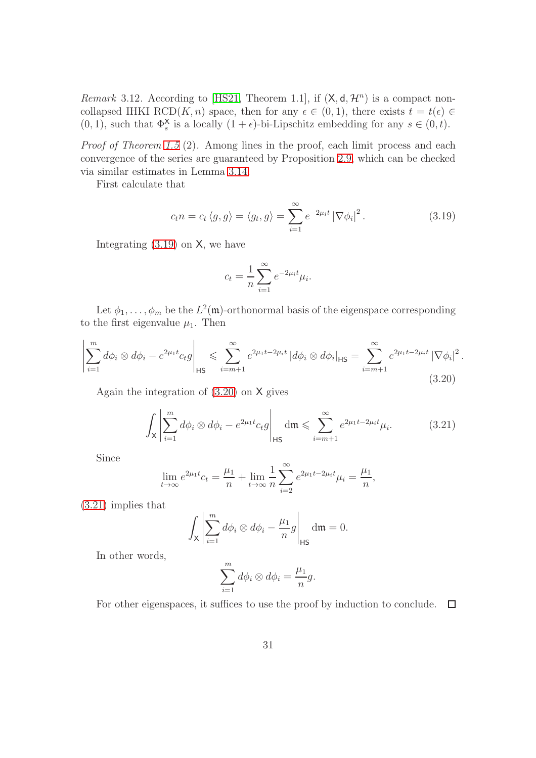Remark 3.12. According to [\[HS21,](#page-59-10) Theorem 1.1], if  $(X, d, \mathcal{H}^n)$  is a compact noncollapsed IHKI RCD(K, n) space, then for any  $\epsilon \in (0,1)$ , there exists  $t = t(\epsilon) \in$  $(0, 1)$ , such that  $\Phi_s^{\mathsf{X}}$  is a locally  $(1 + \epsilon)$ -bi-Lipschitz embedding for any  $s \in (0, t)$ .

Proof of Theorem [1.5](#page-4-1) (2). Among lines in the proof, each limit process and each convergence of the series are guaranteed by Proposition [2.9,](#page-11-1) which can be checked via similar estimates in Lemma [3.14.](#page-32-1)

First calculate that

<span id="page-30-0"></span>
$$
c_t n = c_t \langle g, g \rangle = \langle g_t, g \rangle = \sum_{i=1}^{\infty} e^{-2\mu_i t} |\nabla \phi_i|^2.
$$
 (3.19)

Integrating  $(3.19)$  on X, we have

$$
c_t = \frac{1}{n} \sum_{i=1}^{\infty} e^{-2\mu_i t} \mu_i.
$$

Let  $\phi_1, \ldots, \phi_m$  be the  $L^2(\mathfrak{m})$ -orthonormal basis of the eigenspace corresponding to the first eigenvalue  $\mu_1$ . Then

<span id="page-30-1"></span>
$$
\left| \sum_{i=1}^{m} d\phi_i \otimes d\phi_i - e^{2\mu_1 t} c_t g \right|_{\text{HS}} \leq \sum_{i=m+1}^{\infty} e^{2\mu_1 t - 2\mu_i t} \left| d\phi_i \otimes d\phi_i \right|_{\text{HS}} = \sum_{i=m+1}^{\infty} e^{2\mu_1 t - 2\mu_i t} \left| \nabla \phi_i \right|^2.
$$
\n(3.20)

Again the integration of [\(3.20\)](#page-30-1) on X gives

<span id="page-30-2"></span>
$$
\int_{\mathsf{X}} \left| \sum_{i=1}^{m} d\phi_i \otimes d\phi_i - e^{2\mu_1 t} c_t g \right|_{\mathsf{HS}} \mathrm{d}\mathfrak{m} \leqslant \sum_{i=m+1}^{\infty} e^{2\mu_1 t - 2\mu_i t} \mu_i. \tag{3.21}
$$

Since

$$
\lim_{t \to \infty} e^{2\mu_1 t} c_t = \frac{\mu_1}{n} + \lim_{t \to \infty} \frac{1}{n} \sum_{i=2}^{\infty} e^{2\mu_1 t - 2\mu_i t} \mu_i = \frac{\mu_1}{n},
$$

[\(3.21\)](#page-30-2) implies that

$$
\int_{\mathsf{X}} \left| \sum_{i=1}^{m} d\phi_i \otimes d\phi_i - \frac{\mu_1}{n} g \right|_{\mathsf{HS}} \mathrm{d}\mathfrak{m} = 0.
$$

In other words,

$$
\sum_{i=1}^{m} d\phi_i \otimes d\phi_i = \frac{\mu_1}{n}g.
$$

For other eigenspaces, it suffices to use the proof by induction to conclude.  $\Box$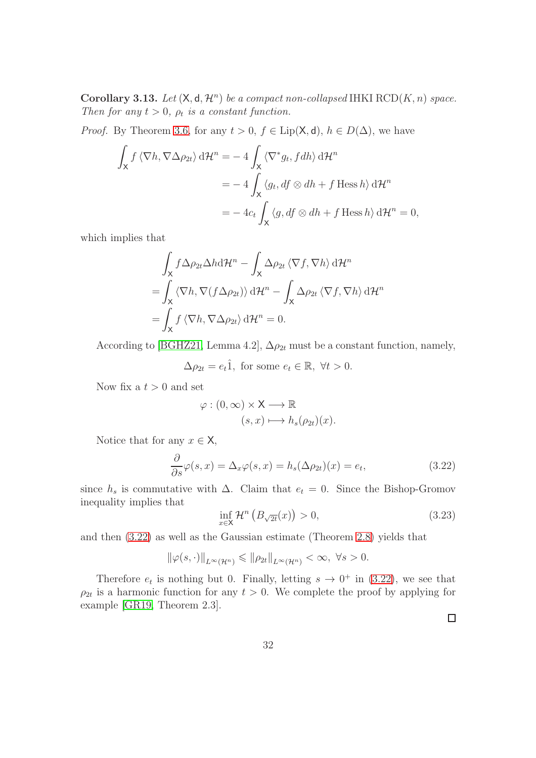<span id="page-31-1"></span>Corollary 3.13. Let  $(X, d, \mathcal{H}^n)$  be a compact non-collapsed IHKI  $RCD(K, n)$  space. Then for any  $t > 0$ ,  $\rho_t$  is a constant function.

*Proof.* By Theorem [3.6,](#page-23-1) for any  $t > 0$ ,  $f \in Lip(X, d)$ ,  $h \in D(\Delta)$ , we have

$$
\int_{\mathsf{X}} f \langle \nabla h, \nabla \Delta \rho_{2t} \rangle d\mathcal{H}^{n} = - 4 \int_{\mathsf{X}} \langle \nabla^{*} g_{t}, f dh \rangle d\mathcal{H}^{n}
$$
  
=  $- 4 \int_{\mathsf{X}} \langle g_{t}, df \otimes dh + f \operatorname{Hess} h \rangle d\mathcal{H}^{n}$   
=  $- 4c_{t} \int_{\mathsf{X}} \langle g, df \otimes dh + f \operatorname{Hess} h \rangle d\mathcal{H}^{n} = 0,$ 

which implies that

$$
\int_{\mathsf{X}} f \Delta \rho_{2t} \Delta h \mathrm{d} \mathcal{H}^{n} - \int_{\mathsf{X}} \Delta \rho_{2t} \langle \nabla f, \nabla h \rangle \mathrm{d} \mathcal{H}^{n}
$$
\n
$$
= \int_{\mathsf{X}} \langle \nabla h, \nabla (f \Delta \rho_{2t}) \rangle \mathrm{d} \mathcal{H}^{n} - \int_{\mathsf{X}} \Delta \rho_{2t} \langle \nabla f, \nabla h \rangle \mathrm{d} \mathcal{H}^{n}
$$
\n
$$
= \int_{\mathsf{X}} f \langle \nabla h, \nabla \Delta \rho_{2t} \rangle \mathrm{d} \mathcal{H}^{n} = 0.
$$

According to [\[BGHZ21,](#page-58-4) Lemma 4.2],  $\Delta \rho_{2t}$  must be a constant function, namely,

 $\Delta \rho_{2t} = e_t \hat{1}$ , for some  $e_t \in \mathbb{R}$ ,  $\forall t > 0$ .

Now fix a  $t > 0$  and set

$$
\varphi : (0, \infty) \times \mathsf{X} \longrightarrow \mathbb{R}
$$

$$
(s, x) \longmapsto h_s(\rho_{2t})(x).
$$

Notice that for any  $x \in \mathsf{X}$ ,

<span id="page-31-0"></span>
$$
\frac{\partial}{\partial s}\varphi(s,x) = \Delta_x \varphi(s,x) = h_s(\Delta \rho_{2t})(x) = e_t,
$$
\n(3.22)

since  $h_s$  is commutative with  $\Delta$ . Claim that  $e_t = 0$ . Since the Bishop-Gromov inequality implies that

$$
\inf_{x \in \mathsf{X}} \mathcal{H}^n\left(B_{\sqrt{2t}}(x)\right) > 0,\tag{3.23}
$$

and then [\(3.22\)](#page-31-0) as well as the Gaussian estimate (Theorem [2.8\)](#page-11-2) yields that

$$
\|\varphi(s,\cdot)\|_{L^{\infty}(\mathcal{H}^n)} \leqslant \|\rho_{2t}\|_{L^{\infty}(\mathcal{H}^n)} < \infty, \ \forall s > 0.
$$

Therefore  $e_t$  is nothing but 0. Finally, letting  $s \to 0^+$  in [\(3.22\)](#page-31-0), we see that  $\rho_{2t}$  is a harmonic function for any  $t > 0$ . We complete the proof by applying for example [\[GR19,](#page-59-11) Theorem 2.3].

 $\Box$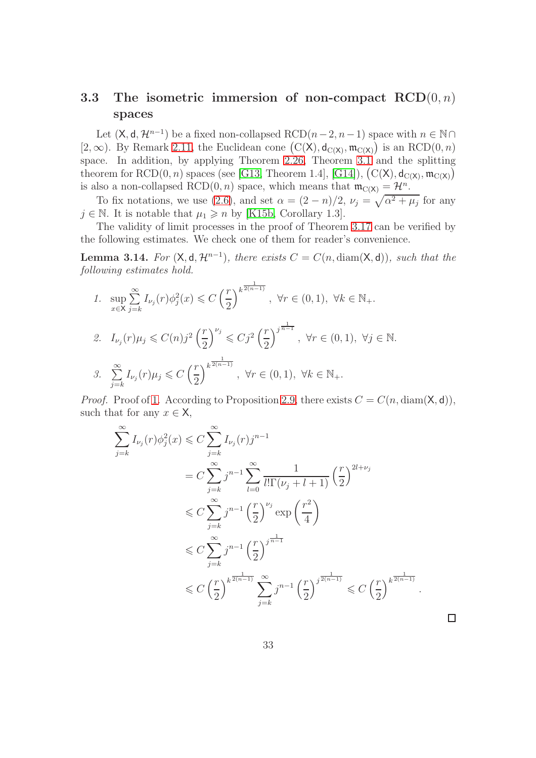# <span id="page-32-0"></span>3.3 The isometric immersion of non-compact  $\mathsf{RCD}(0,n)$ spaces

Let  $(X, d, \mathcal{H}^{n-1})$  be a fixed non-collapsed  $\text{RCD}(n-2, n-1)$  space with  $n \in \mathbb{N} \cap$ [2,  $\infty$ ). By Remark [2.11,](#page-12-2) the Euclidean cone  $(C(X), d_{C(X)}, \mathfrak{m}_{C(X)})$  is an RCD $(0, n)$ space. In addition, by applying Theorem [2.26,](#page-19-2) Theorem [3.1](#page-21-1) and the splitting theorem for RCD $(0, n)$  spaces (see [\[G13,](#page-58-0) Theorem 1.4], [\[G14\]](#page-58-11)),  $(C(X), d_{C(X)}, m_{C(X)})$ is also a non-collapsed RCD $(0, n)$  space, which means that  $\mathfrak{m}_{C(X)} = \mathcal{H}^n$ .

To fix notations, we use [\(2.6\)](#page-11-0), and set  $\alpha = (2 - n)/2$ ,  $\nu_j = \sqrt{\alpha^2 + \mu_j}$  for any  $j \in \mathbb{N}$ . It is notable that  $\mu_1 \geq n$  by [\[K15b,](#page-60-11) Corollary 1.3].

The validity of limit processes in the proof of Theorem [3.17](#page-34-0) can be verified by the following estimates. We check one of them for reader's convenience.

<span id="page-32-2"></span><span id="page-32-1"></span>**Lemma 3.14.** For  $(X, d, \mathcal{H}^{n-1})$ , there exists  $C = C(n, \text{diam}(X, d))$ , such that the following estimates hold.

1. 
$$
\sup_{x \in X} \sum_{j=k}^{\infty} I_{\nu_j}(r) \phi_j^2(x) \leq C \left(\frac{r}{2}\right)^{k^{\frac{1}{2(n-1)}}}, \forall r \in (0,1), \forall k \in \mathbb{N}_+.
$$
  
\n2. 
$$
I_{\nu_j}(r) \mu_j \leq C(n) j^2 \left(\frac{r}{2}\right)^{\nu_j} \leq C j^2 \left(\frac{r}{2}\right)^{j^{\frac{1}{n-1}}}, \forall r \in (0,1), \forall j \in \mathbb{N}.
$$
  
\n3. 
$$
\sum_{j=k}^{\infty} I_{\nu_j}(r) \mu_j \leq C \left(\frac{r}{2}\right)^{k^{\frac{1}{2(n-1)}}}, \forall r \in (0,1), \forall k \in \mathbb{N}_+.
$$

*Proof.* Proof of [1.](#page-32-2) According to Proposition [2.9,](#page-11-1) there exists  $C = C(n, \text{diam}(\mathsf{X}, \mathsf{d}))$ , such that for any  $x \in \mathsf{X}$ ,

$$
\sum_{j=k}^{\infty} I_{\nu_j}(r) \phi_j^2(x) \leq C \sum_{j=k}^{\infty} I_{\nu_j}(r) j^{n-1}
$$
\n
$$
= C \sum_{j=k}^{\infty} j^{n-1} \sum_{l=0}^{\infty} \frac{1}{l! \Gamma(\nu_j + l + 1)} \left(\frac{r}{2}\right)^{2l + \nu_j}
$$
\n
$$
\leq C \sum_{j=k}^{\infty} j^{n-1} \left(\frac{r}{2}\right)^{\nu_j} \exp\left(\frac{r^2}{4}\right)
$$
\n
$$
\leq C \sum_{j=k}^{\infty} j^{n-1} \left(\frac{r}{2}\right)^{j^{\frac{1}{n-1}}}
$$
\n
$$
\leq C \left(\frac{r}{2}\right)^{k^{\frac{1}{2(n-1)}}} \sum_{j=k}^{\infty} j^{n-1} \left(\frac{r}{2}\right)^{j^{\frac{1}{2(n-1)}}} \leq C \left(\frac{r}{2}\right)^{k^{\frac{1}{2(n-1)}}}
$$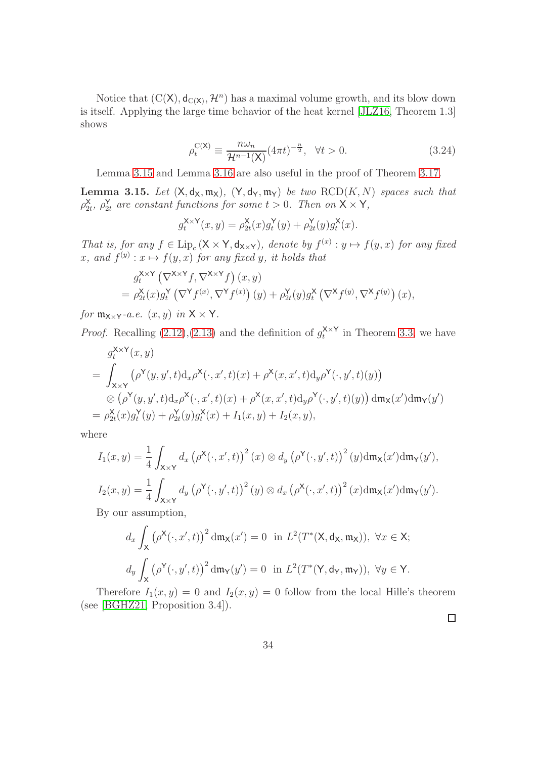Notice that  $(C(X), d_{C(X)}, \mathcal{H}^n)$  has a maximal volume growth, and its blow down is itself. Applying the large time behavior of the heat kernel [\[JLZ16,](#page-60-2) Theorem 1.3] shows

<span id="page-33-1"></span>
$$
\rho_t^{\mathcal{C}(\mathsf{X})} \equiv \frac{n\omega_n}{\mathcal{H}^{n-1}(\mathsf{X})} (4\pi t)^{-\frac{n}{2}}, \ \ \forall t > 0.
$$
\n(3.24)

Lemma [3.15](#page-33-0) and Lemma [3.16](#page-34-1) are also useful in the proof of Theorem [3.17.](#page-34-0)

<span id="page-33-0"></span>**Lemma 3.15.** Let  $(X, d_X, m_X)$ ,  $(Y, d_Y, m_Y)$  be two  $RCD(K, N)$  spaces such that  $\rho_{2i}^{\mathsf{X}}$  $X_{2t}$ ,  $\rho_{2t}^{Y}$  $Y_{2t}$  are constant functions for some  $t > 0$ . Then on  $X \times Y$ ,

$$
g_t^{\mathsf{X} \times \mathsf{Y}}(x, y) = \rho_{2t}^{\mathsf{X}}(x) g_t^{\mathsf{Y}}(y) + \rho_{2t}^{\mathsf{Y}}(y) g_t^{\mathsf{X}}(x).
$$

That is, for any  $f \in \text{Lip}_c(\mathsf{X} \times \mathsf{Y}, \mathsf{d}_{\mathsf{X} \times \mathsf{Y}})$ , denote by  $f^{(x)} : y \mapsto f(y, x)$  for any fixed  $x, \text{ and } f^{(y)}: x \mapsto f(y, x) \text{ for any fixed } y, \text{ it holds that}$ 

$$
g_t^{X\times Y} (\nabla^{X\times Y} f, \nabla^{X\times Y} f) (x, y)
$$
  
=  $\rho_{2t}^X(x) g_t^Y (\nabla^Y f^{(x)}, \nabla^Y f^{(x)}) (y) + \rho_{2t}^Y(y) g_t^X (\nabla^X f^{(y)}, \nabla^X f^{(y)}) (x),$ 

for  $m_{X\times Y}$ -a.e.  $(x, y)$  in  $X \times Y$ .

*Proof.* Recalling  $(2.12),(2.13)$  $(2.12),(2.13)$  and the definition of  $g_t^{X\times Y}$  in Theorem [3.3,](#page-22-1) we have

$$
g_t^{X\times Y}(x, y)
$$
  
= 
$$
\int_{X\times Y} (\rho^Y(y, y', t) d_x \rho^X(\cdot, x', t)(x) + \rho^X(x, x', t) d_y \rho^Y(\cdot, y', t)(y))
$$
  

$$
\otimes (\rho^Y(y, y', t) d_x \rho^X(\cdot, x', t)(x) + \rho^X(x, x', t) d_y \rho^Y(\cdot, y', t)(y)) d\mathfrak{m}_X(x') d\mathfrak{m}_Y(y')
$$
  
= 
$$
\rho_{2t}^X(x) g_t^Y(y) + \rho_{2t}^Y(y) g_t^X(x) + I_1(x, y) + I_2(x, y),
$$

where

$$
I_1(x,y) = \frac{1}{4} \int_{\mathsf{X} \times \mathsf{Y}} d_x \left( \rho^{\mathsf{X}}(\cdot, x', t) \right)^2(x) \otimes d_y \left( \rho^{\mathsf{Y}}(\cdot, y', t) \right)^2(y) d\mathfrak{m}_{\mathsf{X}}(x') d\mathfrak{m}_{\mathsf{Y}}(y'),
$$
  

$$
I_2(x,y) = \frac{1}{4} \int_{\mathsf{X} \times \mathsf{Y}} d_y \left( \rho^{\mathsf{Y}}(\cdot, y', t) \right)^2(y) \otimes d_x \left( \rho^{\mathsf{X}}(\cdot, x', t) \right)^2(x) d\mathfrak{m}_{\mathsf{X}}(x') d\mathfrak{m}_{\mathsf{Y}}(y').
$$

By our assumption,

$$
d_x \int_{\mathsf{X}} \left( \rho^{\mathsf{X}}(\cdot, x', t) \right)^2 d\mathfrak{m}_{\mathsf{X}}(x') = 0 \text{ in } L^2(T^*(\mathsf{X}, \mathsf{d}_{\mathsf{X}}, \mathfrak{m}_{\mathsf{X}})), \ \forall x \in \mathsf{X};
$$

$$
d_y \int_{\mathsf{X}} \left( \rho^{\mathsf{Y}}(\cdot, y', t) \right)^2 d\mathfrak{m}_{\mathsf{Y}}(y') = 0 \text{ in } L^2(T^*(\mathsf{Y}, \mathsf{d}_{\mathsf{Y}}, \mathfrak{m}_{\mathsf{Y}})), \ \forall y \in \mathsf{Y}.
$$

Therefore  $I_1(x, y) = 0$  and  $I_2(x, y) = 0$  follow from the local Hille's theorem (see [\[BGHZ21,](#page-58-4) Proposition 3.4]).

 $\Box$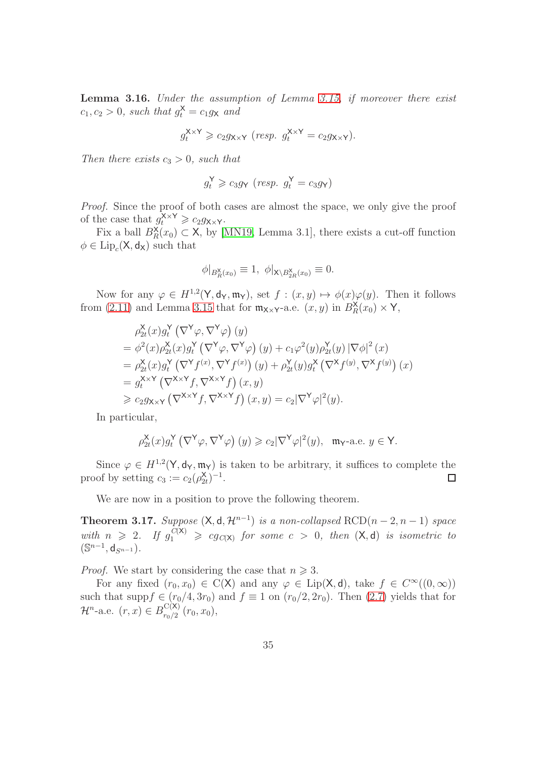<span id="page-34-1"></span>Lemma 3.16. Under the assumption of Lemma [3.15,](#page-33-0) if moreover there exist  $c_1, c_2 > 0$ , such that  $g_t^{\mathsf{X}} = c_1 g_{\mathsf{X}}$  and

$$
g_t^{X\times Y} \ge c_2 g_{X\times Y}
$$
 (resp.  $g_t^{X\times Y} = c_2 g_{X\times Y}$ ).

Then there exists  $c_3 > 0$ , such that

$$
g_t^{\mathsf{Y}} \geq c_3 g_{\mathsf{Y}} \ (resp. \ g_t^{\mathsf{Y}} = c_3 g_{\mathsf{Y}})
$$

Proof. Since the proof of both cases are almost the space, we only give the proof of the case that  $g_t^{\chi_{\times}\chi} \geq c_2 g_{\chi_{\times}\chi}$ .

Fix a ball  $B_R^{\chi}(x_0) \subset X$ , by [\[MN19,](#page-60-12) Lemma 3.1], there exists a cut-off function  $\phi \in \text{Lip}_c(\mathsf{X}, \mathsf{d}_{\mathsf{X}})$  such that

$$
\phi|_{B_R^{\mathsf{X}}(x_0)} \equiv 1, \ \phi|_{\mathsf{X} \setminus B_{2R}^{\mathsf{X}}(x_0)} \equiv 0.
$$

Now for any  $\varphi \in H^{1,2}(\mathsf{Y},\mathsf{d}_{\mathsf{Y}},\mathfrak{m}_{\mathsf{Y}})$ , set  $f : (x,y) \mapsto \phi(x)\varphi(y)$ . Then it follows from [\(2.11\)](#page-14-4) and Lemma [3.15](#page-33-0) that for  $m_{\mathsf{X}\times\mathsf{Y}}$ -a.e.  $(x, y)$  in  $B_R^{\mathsf{X}}(x_0) \times \mathsf{Y}$ ,

$$
\rho_{2t}^{\mathbf{X}}(x)g_{t}^{\mathbf{Y}}(\nabla^{\mathbf{Y}}\varphi, \nabla^{\mathbf{Y}}\varphi) (y)
$$
\n
$$
= \phi^{2}(x)\rho_{2t}^{\mathbf{X}}(x)g_{t}^{\mathbf{Y}}(\nabla^{\mathbf{Y}}\varphi, \nabla^{\mathbf{Y}}\varphi) (y) + c_{1}\varphi^{2}(y)\rho_{2t}^{\mathbf{Y}}(y) |\nabla\phi|^{2}(x)
$$
\n
$$
= \rho_{2t}^{\mathbf{X}}(x)g_{t}^{\mathbf{Y}}(\nabla^{\mathbf{Y}}f^{(x)}, \nabla^{\mathbf{Y}}f^{(x)}) (y) + \rho_{2t}^{\mathbf{Y}}(y)g_{t}^{\mathbf{X}}(\nabla^{\mathbf{X}}f^{(y)}, \nabla^{\mathbf{X}}f^{(y)}) (x)
$$
\n
$$
= g_{t}^{\mathbf{X}\times\mathbf{Y}}(\nabla^{\mathbf{X}\times\mathbf{Y}}f, \nabla^{\mathbf{X}\times\mathbf{Y}}f) (x, y)
$$
\n
$$
\geq c_{2}g_{\mathbf{X}\times\mathbf{Y}}(\nabla^{\mathbf{X}\times\mathbf{Y}}f, \nabla^{\mathbf{X}\times\mathbf{Y}}f) (x, y) = c_{2}|\nabla^{\mathbf{Y}}\varphi|^{2}(y).
$$

In particular,

$$
\rho_{2t}^{\mathsf{X}}(x)g_{t}^{\mathsf{Y}}\left(\nabla^{\mathsf{Y}}\varphi,\nabla^{\mathsf{Y}}\varphi\right)(y) \geqslant c_{2}|\nabla^{\mathsf{Y}}\varphi|^{2}(y), \quad \mathfrak{m}_{\mathsf{Y}}\text{-a.e. } y \in \mathsf{Y}.
$$

Since  $\varphi \in H^{1,2}(\mathsf{Y},\mathsf{d}_{\mathsf{Y}},\mathfrak{m}_{\mathsf{Y}})$  is taken to be arbitrary, it suffices to complete the proof by setting  $c_3 := c_2(\rho_{2i}^{\mathsf{X}})$  $_{2t}^{\mathsf{X}}$ )<sup>-1</sup>.  $\Box$ 

We are now in a position to prove the following theorem.

<span id="page-34-0"></span>**Theorem 3.17.** Suppose  $(X, d, \mathcal{H}^{n-1})$  is a non-collapsed  $\text{RCD}(n-2, n-1)$  space with  $n \geq 2$ . If  $g_1^{\overline{C(X)}} \geq c g_{C(X)}$  for some  $c > 0$ , then  $(X,d)$  is isometric to  $(\mathbb{S}^{n-1},\mathsf{d}_{S^{n-1}}).$ 

*Proof.* We start by considering the case that  $n \geq 3$ .

For any fixed  $(r_0, x_0) \in C(X)$  and any  $\varphi \in \text{Lip}(X, d)$ , take  $f \in C^{\infty}((0, \infty))$ such that supp $f \in (r_0/4, 3r_0)$  and  $f \equiv 1$  on  $(r_0/2, 2r_0)$ . Then  $(2.7)$  yields that for  $\mathcal{H}^n$ -a.e.  $(r, x) \in B_{r_0/2}^{\mathcal{C}(\mathsf{X})}$  $\frac{C(x)}{r_0/2}(r_0, x_0),$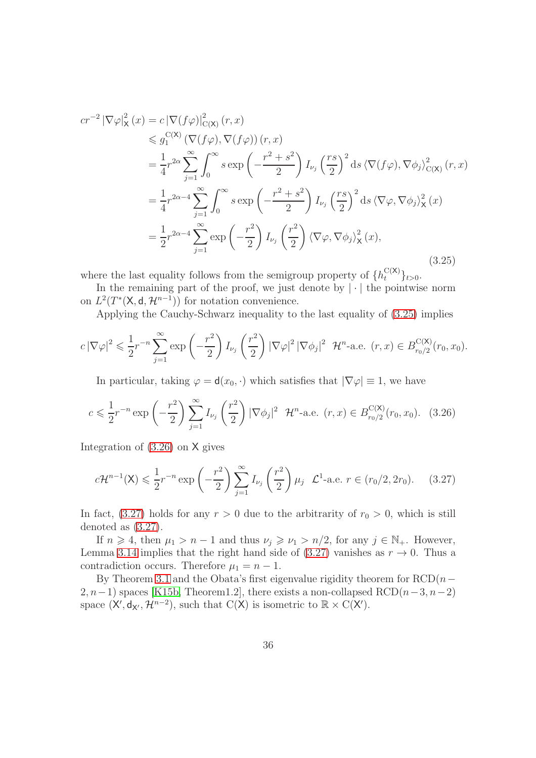<span id="page-35-0"></span>
$$
cr^{-2} |\nabla \varphi|_{\mathbf{x}}^{2}(x) = c |\nabla (f\varphi)|_{\mathcal{C}(\mathbf{X})}^{2}(r, x)
$$
  
\n
$$
\leq g_{1}^{\mathcal{C}(\mathbf{X})} (\nabla (f\varphi), \nabla (f\varphi)) (r, x)
$$
  
\n
$$
= \frac{1}{4} r^{2\alpha} \sum_{j=1}^{\infty} \int_{0}^{\infty} s \exp\left(-\frac{r^{2} + s^{2}}{2}\right) I_{\nu_{j}}\left(\frac{rs}{2}\right)^{2} ds \langle \nabla (f\varphi), \nabla \phi_{j} \rangle_{\mathcal{C}(\mathbf{X})}^{2}(r, x)
$$
  
\n
$$
= \frac{1}{4} r^{2\alpha - 4} \sum_{j=1}^{\infty} \int_{0}^{\infty} s \exp\left(-\frac{r^{2} + s^{2}}{2}\right) I_{\nu_{j}}\left(\frac{rs}{2}\right)^{2} ds \langle \nabla \varphi, \nabla \phi_{j} \rangle_{\mathbf{x}}^{2}(x)
$$
  
\n
$$
= \frac{1}{2} r^{2\alpha - 4} \sum_{j=1}^{\infty} \exp\left(-\frac{r^{2}}{2}\right) I_{\nu_{j}}\left(\frac{r^{2}}{2}\right) \langle \nabla \varphi, \nabla \phi_{j} \rangle_{\mathbf{x}}^{2}(x),
$$
  
\n(3.25)

where the last equality follows from the semigroup property of  $\{h_t^{C(X)}\}_{t>0}$ .

In the remaining part of the proof, we just denote by  $|\cdot|$  the pointwise norm on  $L^2(T^*(\mathsf{X},\mathsf{d},\mathcal{H}^{n-1}))$  for notation convenience.

Applying the Cauchy-Schwarz inequality to the last equality of [\(3.25\)](#page-35-0) implies

$$
c |\nabla \varphi|^2 \leq \frac{1}{2} r^{-n} \sum_{j=1}^{\infty} \exp\left(-\frac{r^2}{2}\right) I_{\nu_j}\left(\frac{r^2}{2}\right) |\nabla \varphi|^2 |\nabla \phi_j|^2 \mathcal{H}^n
$$
-a.e.  $(r, x) \in B_{r_0/2}^{C(X)}(r_0, x_0)$ .

In particular, taking  $\varphi = \mathsf{d}(x_0, \cdot)$  which satisfies that  $|\nabla \varphi| \equiv 1$ , we have

<span id="page-35-1"></span>
$$
c \leq \frac{1}{2} r^{-n} \exp\left(-\frac{r^2}{2}\right) \sum_{j=1}^{\infty} I_{\nu_j} \left(\frac{r^2}{2}\right) |\nabla \phi_j|^2 \mathcal{H}^n
$$
-a.e.  $(r, x) \in B_{r_0/2}^{C(\mathsf{X})}(r_0, x_0)$ . (3.26)

Integration of [\(3.26\)](#page-35-1) on X gives

<span id="page-35-2"></span>
$$
c\mathcal{H}^{n-1}(\mathsf{X}) \leq \frac{1}{2}r^{-n}\exp\left(-\frac{r^2}{2}\right)\sum_{j=1}^{\infty}I_{\nu_j}\left(\frac{r^2}{2}\right)\mu_j \quad \mathcal{L}^1\text{-a.e. } r \in (r_0/2, 2r_0). \tag{3.27}
$$

In fact, [\(3.27\)](#page-35-2) holds for any  $r > 0$  due to the arbitrarity of  $r_0 > 0$ , which is still denoted as [\(3.27\)](#page-35-2).

If  $n \geq 4$ , then  $\mu_1 > n-1$  and thus  $\nu_j \geq \nu_1 > n/2$ , for any  $j \in \mathbb{N}_+$ . However, Lemma [3.14](#page-32-1) implies that the right hand side of [\(3.27\)](#page-35-2) vanishes as  $r \to 0$ . Thus a contradiction occurs. Therefore  $\mu_1 = n - 1$ .

By Theorem [3.1](#page-21-1) and the Obata's first eigenvalue rigidity theorem for  $\text{RCD}(n-\text{C})$  $2, n-1$ ) spaces [\[K15b,](#page-60-11) Theorem1.2], there exists a non-collapsed RCD $(n-3, n-2)$ space  $(X', d_{X'}, \mathcal{H}^{n-2})$ , such that  $C(X)$  is isometric to  $\mathbb{R} \times C(X')$ .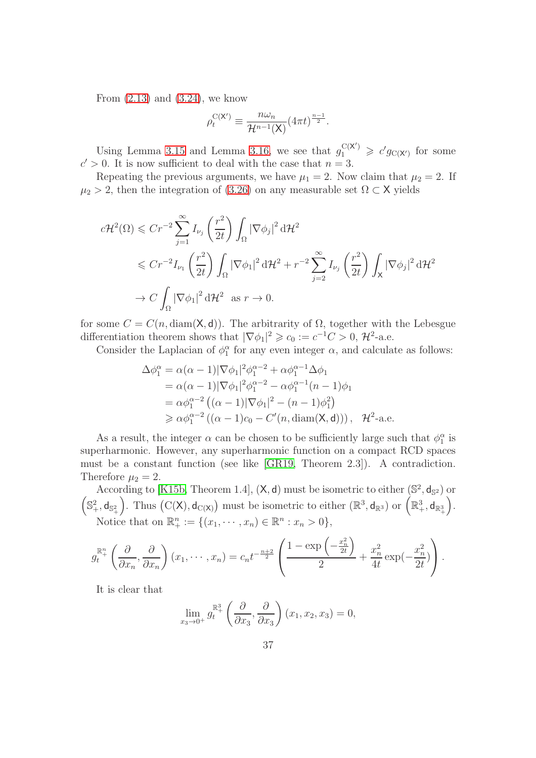From  $(2.13)$  and  $(3.24)$ , we know

$$
\rho_t^{\mathcal{C}(\mathsf{X}')} \equiv \frac{n\omega_n}{\mathcal{H}^{n-1}(\mathsf{X})} (4\pi t)^{\frac{n-1}{2}}.
$$

Using Lemma [3.15](#page-33-0) and Lemma [3.16,](#page-34-1) we see that  $g_1^{\mathcal{C}(X')} \geq c' g_{\mathcal{C}(X')}$  for some  $c' > 0$ . It is now sufficient to deal with the case that  $n = 3$ .

Repeating the previous arguments, we have  $\mu_1 = 2$ . Now claim that  $\mu_2 = 2$ . If  $\mu_2 > 2$ , then the integration of [\(3.26\)](#page-35-1) on any measurable set  $\Omega \subset X$  yields

$$
c\mathcal{H}^{2}(\Omega) \leqslant Cr^{-2} \sum_{j=1}^{\infty} I_{\nu_{j}}\left(\frac{r^{2}}{2t}\right) \int_{\Omega} |\nabla \phi_{j}|^{2} d\mathcal{H}^{2}
$$
  

$$
\leqslant Cr^{-2} I_{\nu_{1}}\left(\frac{r^{2}}{2t}\right) \int_{\Omega} |\nabla \phi_{1}|^{2} d\mathcal{H}^{2} + r^{-2} \sum_{j=2}^{\infty} I_{\nu_{j}}\left(\frac{r^{2}}{2t}\right) \int_{X} |\nabla \phi_{j}|^{2} d\mathcal{H}^{2}
$$
  

$$
\to C \int_{\Omega} |\nabla \phi_{1}|^{2} d\mathcal{H}^{2} \text{ as } r \to 0.
$$

for some  $C = C(n, \text{diam}(\mathsf{X}, \mathsf{d}))$ . The arbitrarity of  $\Omega$ , together with the Lebesgue differentiation theorem shows that  $|\nabla \phi_1|^2 \geq c_0 := c^{-1}C > 0$ ,  $\mathcal{H}^2$ -a.e.

Consider the Laplacian of  $\phi_1^{\alpha}$  for any even integer  $\alpha$ , and calculate as follows:

$$
\Delta \phi_1^{\alpha} = \alpha(\alpha - 1) |\nabla \phi_1|^2 \phi_1^{\alpha - 2} + \alpha \phi_1^{\alpha - 1} \Delta \phi_1
$$
  
\n
$$
= \alpha(\alpha - 1) |\nabla \phi_1|^2 \phi_1^{\alpha - 2} - \alpha \phi_1^{\alpha - 1} (n - 1) \phi_1
$$
  
\n
$$
= \alpha \phi_1^{\alpha - 2} ((\alpha - 1) |\nabla \phi_1|^2 - (n - 1) \phi_1^2)
$$
  
\n
$$
\geq \alpha \phi_1^{\alpha - 2} ((\alpha - 1)c_0 - C'(n, \text{diam}(X, d))), \mathcal{H}^2-\text{a.e.}
$$

As a result, the integer  $\alpha$  can be chosen to be sufficiently large such that  $\phi_1^{\alpha}$  is superharmonic. However, any superharmonic function on a compact RCD spaces must be a constant function (see like [\[GR19,](#page-59-11) Theorem 2.3]). A contradiction. Therefore  $\mu_2 = 2$ .

According to [\[K15b,](#page-60-11) Theorem 1.4],  $(X, d)$  must be isometric to either  $(\mathbb{S}^2, d_{\mathbb{S}^2})$  or  $\left(\mathbb{S}^2_+,\mathsf{d}_{\mathbb{S}^2_+}\right)$ ). Thus  $(C(X), d_{C(X)})$  must be isometric to either  $(\mathbb{R}^3, d_{\mathbb{R}^3})$  or  $(\mathbb{R}^3_+, d_{\mathbb{R}^3_+})$  . Notice that on  $\mathbb{R}^n_+ := \{(x_1, \dots, x_n) \in \mathbb{R}^n : x_n > 0\},\$ 

$$
g_t^{\mathbb{R}_+^n} \left( \frac{\partial}{\partial x_n}, \frac{\partial}{\partial x_n} \right) (x_1, \dots, x_n) = c_n t^{-\frac{n+2}{2}} \left( \frac{1 - \exp\left(-\frac{x_n^2}{2t}\right)}{2} + \frac{x_n^2}{4t} \exp\left(-\frac{x_n^2}{2t}\right) \right).
$$

It is clear that

$$
\lim_{x_3 \to 0^+} g_t^{\mathbb{R}^3_+} \left( \frac{\partial}{\partial x_3}, \frac{\partial}{\partial x_3} \right) (x_1, x_2, x_3) = 0,
$$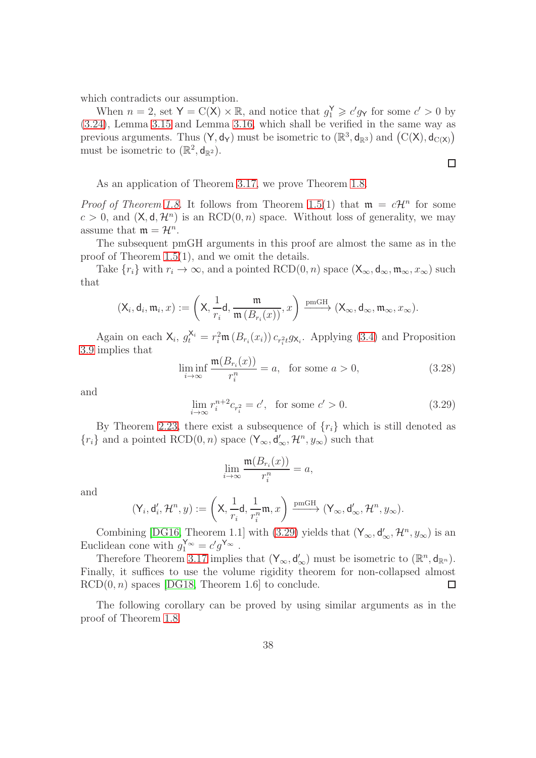which contradicts our assumption.

When  $n = 2$ , set  $Y = C(X) \times \mathbb{R}$ , and notice that  $g_1^{\mathbf{Y}} \geqslant c' g_{\mathbf{Y}}$  for some  $c' > 0$  by [\(3.24\)](#page-33-1), Lemma [3.15](#page-33-0) and Lemma [3.16,](#page-34-1) which shall be verified in the same way as previous arguments. Thus  $(Y, d_Y)$  must be isometric to  $(\mathbb{R}^3, d_{\mathbb{R}^3})$  and  $(C(X), d_{C(X)})$ must be isometric to  $(\mathbb{R}^2, \mathsf{d}_{\mathbb{R}^2})$ .

As an application of Theorem [3.17,](#page-34-0) we prove Theorem [1.8.](#page-5-1)

*Proof of Theorem [1.8.](#page-5-1)* It follows from Theorem [1.5\(](#page-4-1)1) that  $\mathfrak{m} = c\mathcal{H}^n$  for some  $c > 0$ , and  $(X, d, \mathcal{H}^n)$  is an RCD $(0, n)$  space. Without loss of generality, we may assume that  $\mathfrak{m} = \mathcal{H}^n$ .

The subsequent pmGH arguments in this proof are almost the same as in the proof of Theorem [1.5\(](#page-4-1)1), and we omit the details.

Take  $\{r_i\}$  with  $r_i \to \infty$ , and a pointed RCD(0, n) space  $(\mathsf{X}_{\infty}, \mathsf{d}_{\infty}, \mathfrak{m}_{\infty}, x_{\infty})$  such that

$$
({\sf X}_i, {\sf d}_i, {\frak m}_i, x):= \left({\sf X}, \frac{1}{r_i}{\sf d}, \frac{{\frak m}}{{\frak m}\left(B_{r_i}(x)\right)}, x\right) \xrightarrow{\operatorname{pmGH}} ({\sf X}_\infty, {\sf d}_\infty, {\frak m}_\infty, x_\infty).
$$

Again on each  $\mathsf{X}_i$ ,  $g_t^{\mathsf{X}_i} = r_i^2 \mathfrak{m}(B_{r_i}(x_i)) c_{r_i^2} g_{\mathsf{X}_i}$ . Applying [\(3.4\)](#page-23-2) and Proposition [3.9](#page-27-1) implies that

$$
\liminf_{i \to \infty} \frac{\mathfrak{m}(B_{r_i}(x))}{r_i^n} = a, \text{ for some } a > 0,
$$
\n(3.28)

and

<span id="page-37-0"></span>
$$
\lim_{i \to \infty} r_i^{n+2} c_{r_i^2} = c', \text{ for some } c' > 0.
$$
\n(3.29)

By Theorem [2.23,](#page-18-1) there exist a subsequence of  $\{r_i\}$  which is still denoted as  ${r_i}$  and a pointed RCD(0, n) space  $(\mathsf{Y}_{\infty}, \mathsf{d}_{\infty}', \mathcal{H}^n, y_{\infty})$  such that

$$
\lim_{i \to \infty} \frac{\mathfrak{m}(B_{r_i}(x))}{r_i^n} = a,
$$

and

$$
(\mathsf{Y}_i,\mathsf{d}_i',\mathcal{H}^n,y):=\left(\mathsf{X},\frac{1}{r_i}\mathsf{d},\frac{1}{r_i^n}\mathfrak{m},x\right)\xrightarrow{\mathrm{pmGH}}(\mathsf{Y}_\infty,\mathsf{d}_\infty',\mathcal{H}^n,y_\infty).
$$

Combining [\[DG16,](#page-58-12) Theorem 1.1] with [\(3.29\)](#page-37-0) yields that  $(Y_{\infty}, d'_{\infty}, \mathcal{H}^n, y_{\infty})$  is an Euclidean cone with  $g_1^{\mathsf{Y}_{\infty}} = c' g^{\mathsf{Y}_{\infty}}$ .

Therefore Theorem [3.17](#page-34-0) implies that  $(Y_{\infty}, d'_{\infty})$  must be isometric to  $(\mathbb{R}^n, d_{\mathbb{R}^n})$ . Finally, it suffices to use the volume rigidity theorem for non-collapsed almost  $RCD(0, n)$  spaces [\[DG18,](#page-58-2) Theorem 1.6] to conclude.  $\Box$ 

The following corollary can be proved by using similar arguments as in the proof of Theorem [1.8.](#page-5-1)

 $\Box$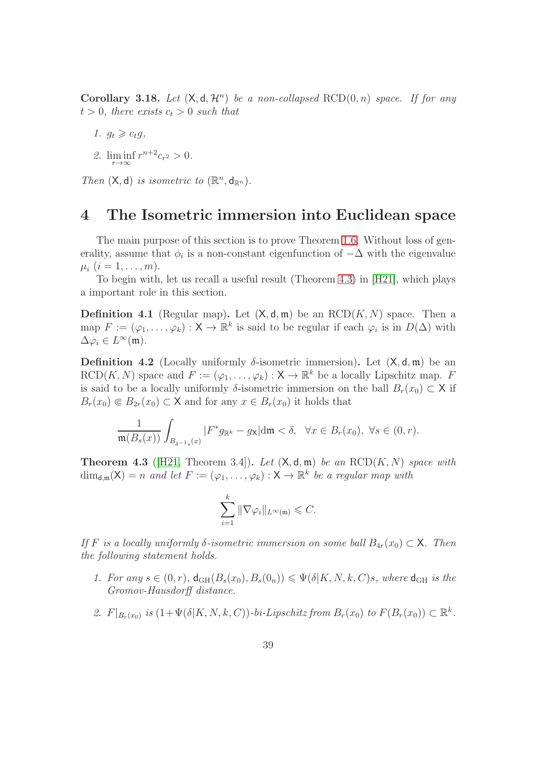<span id="page-38-2"></span>Corollary 3.18. Let  $(X, d, \mathcal{H}^n)$  be a non-collapsed  $RCD(0, n)$  space. If for any  $t > 0$ , there exists  $c_t > 0$  such that

$$
1. \, g_t \geqslant c_t g,
$$

2. 
$$
\liminf_{r \to \infty} r^{n+2} c_{r^2} > 0.
$$

Then  $(X, d)$  is isometric to  $(\mathbb{R}^n, d_{\mathbb{R}^n})$ .

## <span id="page-38-0"></span>4 The Isometric immersion into Euclidean space

The main purpose of this section is to prove Theorem [1.6.](#page-4-0) Without loss of generality, assume that  $\phi_i$  is a non-constant eigenfunction of  $-\Delta$  with the eigenvalue  $\mu_i$   $(i = 1, \ldots, m)$ .

To begin with, let us recall a useful result (Theorem [4.3\)](#page-38-1) in [\[H21\]](#page-59-1), which plays a important role in this section.

**Definition 4.1** (Regular map). Let  $(X, d, m)$  be an  $RCD(K, N)$  space. Then a map  $F := (\varphi_1, \ldots, \varphi_k) : \mathsf{X} \to \mathbb{R}^k$  is said to be regular if each  $\varphi_i$  is in  $D(\Delta)$  with  $\Delta\varphi_i \in L^\infty(\mathfrak{m}).$ 

Definition 4.2 (Locally uniformly  $\delta$ -isometric immersion). Let  $(X, d, m)$  be an  $RCD(K, N)$  space and  $F := (\varphi_1, \ldots, \varphi_k) : \mathsf{X} \to \mathbb{R}^k$  be a locally Lipschitz map. F is said to be a locally uniformly  $\delta$ -isometric immersion on the ball  $B_r(x_0) \subset X$  if  $B_r(x_0) \in B_{2r}(x_0) \subset \mathsf{X}$  and for any  $x \in B_r(x_0)$  it holds that

$$
\frac{1}{\mathfrak{m}(B_s(x))} \int_{B_{\delta^{-1}s}(x)} |F^* g_{\mathbb{R}^k} - g_{\mathsf{X}}| \mathrm{d}\mathfrak{m} < \delta, \quad \forall x \in B_r(x_0), \ \forall s \in (0, r).
$$

<span id="page-38-1"></span>**Theorem 4.3** ([\[H21,](#page-59-1) Theorem 3.4]). Let  $(X, d, m)$  be an  $RCD(K, N)$  space with  $\dim_{\mathbf{d},\mathfrak{m}}(\mathsf{X})=n$  and let  $F:=(\varphi_1,\ldots,\varphi_k): \mathsf{X}\to\mathbb{R}^k$  be a regular map with

$$
\sum_{i=1}^k \|\nabla \varphi_i\|_{L^\infty(\mathfrak{m})} \leqslant C.
$$

If F is a locally uniformly  $\delta$ -isometric immersion on some ball  $B_{4r}(x_0) \subset X$ . Then the following statement holds.

- 1. For any  $s \in (0, r)$ ,  $d_{GH}(B_s(x_0), B_s(0_n)) \leq \Psi(\delta | K, N, k, C)$ s, where  $d_{GH}$  is the Gromov-Hausdorff distance.
- 2.  $F|_{B_r(x_0)}$  is  $(1+\Psi(\delta|K, N, k, C))$ -bi-Lipschitz from  $B_r(x_0)$  to  $F(B_r(x_0)) \subset \mathbb{R}^k$ .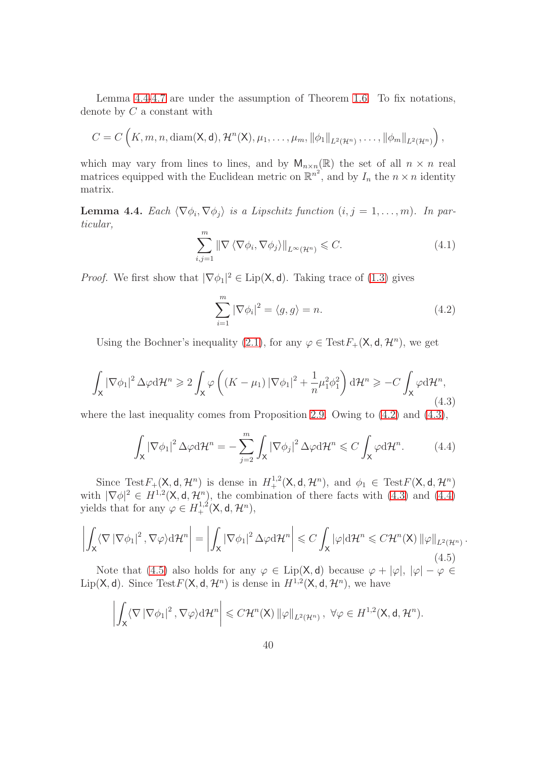Lemma [4.4-](#page-39-0)[4.7](#page-45-0) are under the assumption of Theorem [1.6.](#page-4-0) To fix notations, denote by  $C$  a constant with

$$
C=C\left(K,m,n,\mathrm{diam}(X,d),\mathcal{H}^n(X),\mu_1,\ldots,\mu_m,\|\phi_1\|_{L^2(\mathcal{H}^n)},\ldots,\|\phi_m\|_{L^2(\mathcal{H}^n)}\right),
$$

which may vary from lines to lines, and by  $M_{n \times n}(\mathbb{R})$  the set of all  $n \times n$  real matrices equipped with the Euclidean metric on  $\mathbb{R}^{n^2}$ , and by  $I_n$  the  $n \times n$  identity matrix.

<span id="page-39-0"></span>**Lemma 4.4.** Each  $\langle \nabla \phi_i, \nabla \phi_j \rangle$  is a Lipschitz function  $(i, j = 1, ..., m)$ . In particular,

$$
\sum_{i,j=1}^{m} \|\nabla \langle \nabla \phi_i, \nabla \phi_j \rangle\|_{L^{\infty}(\mathcal{H}^n)} \leq C.
$$
\n(4.1)

*Proof.* We first show that  $|\nabla \phi_1|^2 \in \text{Lip}(\mathsf{X}, \mathsf{d})$ . Taking trace of [\(1.3\)](#page-4-2) gives

<span id="page-39-1"></span>
$$
\sum_{i=1}^{m} |\nabla \phi_i|^2 = \langle g, g \rangle = n.
$$
 (4.2)

Using the Bochner's inequality [\(2.1\)](#page-9-1), for any  $\varphi \in TestF_{+}(\mathsf{X}, \mathsf{d}, \mathcal{H}^{n})$ , we get

<span id="page-39-2"></span>
$$
\int_{\mathsf{X}} |\nabla \phi_1|^2 \, \Delta \varphi \, \mathrm{d} \mathcal{H}^n \geq 2 \int_{\mathsf{X}} \varphi \left( (K - \mu_1) \left| \nabla \phi_1 \right|^2 + \frac{1}{n} \mu_1^2 \phi_1^2 \right) \mathrm{d} \mathcal{H}^n \geq -C \int_{\mathsf{X}} \varphi \, \mathrm{d} \mathcal{H}^n,\tag{4.3}
$$

where the last inequality comes from Proposition [2.9.](#page-11-1) Owing to  $(4.2)$  and  $(4.3)$ ,

<span id="page-39-3"></span>
$$
\int_{\mathsf{X}} |\nabla \phi_1|^2 \Delta \varphi \mathrm{d} \mathcal{H}^n = -\sum_{j=2}^m \int_{\mathsf{X}} |\nabla \phi_j|^2 \Delta \varphi \mathrm{d} \mathcal{H}^n \leq C \int_{\mathsf{X}} \varphi \mathrm{d} \mathcal{H}^n. \tag{4.4}
$$

Since  $\text{Test}F_{+}(\mathsf{X}, \mathsf{d}, \mathcal{H}^n)$  is dense in  $H_{+}^{1,2}(\mathsf{X}, \mathsf{d}, \mathcal{H}^n)$ , and  $\phi_1 \in \text{Test}F(\mathsf{X}, \mathsf{d}, \mathcal{H}^n)$ with  $|\nabla \phi|^2 \in H^{1,2}(\mathsf{X},\mathsf{d},\mathcal{H}^n)$ , the combination of there facts with [\(4.3\)](#page-39-2) and [\(4.4\)](#page-39-3) yields that for any  $\varphi \in H_+^{1,2}(\mathsf{X}, \mathsf{d}, \mathcal{H}^n)$ ,

<span id="page-39-4"></span>
$$
\left| \int_{\mathsf{X}} \langle \nabla |\nabla \phi_1|^2, \nabla \varphi \rangle d\mathcal{H}^n \right| = \left| \int_{\mathsf{X}} |\nabla \phi_1|^2 \Delta \varphi d\mathcal{H}^n \right| \leqslant C \int_{\mathsf{X}} |\varphi| d\mathcal{H}^n \leqslant C \mathcal{H}^n(\mathsf{X}) \left\| \varphi \right\|_{L^2(\mathcal{H}^n)}.
$$
\n(4.5)

Note that [\(4.5\)](#page-39-4) also holds for any  $\varphi \in \text{Lip}(X, d)$  because  $\varphi + |\varphi|, |\varphi| - \varphi \in$ Lip(X, d). Since  $TestF(X, d, H^n)$  is dense in  $H^{1,2}(X, d, H^n)$ , we have

$$
\left| \int_{\mathsf{X}} \langle \nabla |\nabla \phi_1|^2 , \nabla \varphi \rangle d\mathcal{H}^n \right| \leqslant C\mathcal{H}^n(\mathsf{X}) \left\| \varphi \right\|_{L^2(\mathcal{H}^n)}, \ \forall \varphi \in H^{1,2}(\mathsf{X},\mathsf{d},\mathcal{H}^n).
$$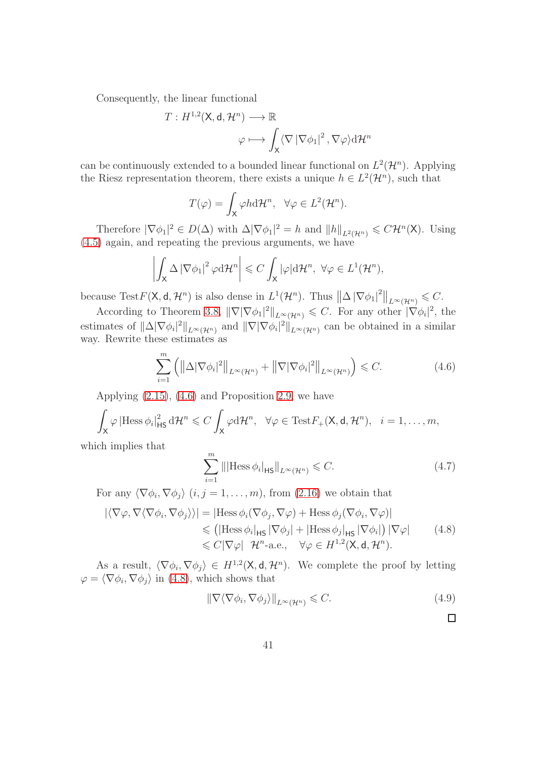Consequently, the linear functional

$$
T: H^{1,2}(\mathsf{X}, \mathsf{d}, \mathcal{H}^n) \longrightarrow \mathbb{R}
$$

$$
\varphi \longmapsto \int_{\mathsf{X}} \langle \nabla |\nabla \phi_1|^2, \nabla \varphi \rangle d\mathcal{H}^n
$$

can be continuously extended to a bounded linear functional on  $L^2(\mathcal{H}^n)$ . Applying the Riesz representation theorem, there exists a unique  $h \in L^2(\mathcal{H}^n)$ , such that

$$
T(\varphi) = \int_{\mathsf{X}} \varphi h \mathrm{d} \mathcal{H}^n, \ \ \forall \varphi \in L^2(\mathcal{H}^n).
$$

Therefore  $|\nabla \phi_1|^2 \in D(\Delta)$  with  $\Delta |\nabla \phi_1|^2 = h$  and  $||h||_{L^2(\mathcal{H}^n)} \leq C\mathcal{H}^n(\mathsf{X})$ . Using (4.[5\)](#page-39-4) again, and repeating the previous arguments, we have

$$
\left| \int_{\mathsf{X}} \Delta |\nabla \phi_1|^2 \, \varphi \mathrm{d} \mathcal{H}^n \right| \leqslant C \int_{\mathsf{X}} |\varphi| \mathrm{d} \mathcal{H}^n, \ \forall \varphi \in L^1(\mathcal{H}^n),
$$

because  $\text{Test}F(\mathsf{X}, \mathsf{d}, \mathcal{H}^n)$  is also dense in  $L^1(\mathcal{H}^n)$ . Thus  $\|\Delta |\nabla \phi_1|^2\|_{L^{\infty}(\mathcal{H}^n)} \leq C$ .

According to Theorem [3.8,](#page-24-1)  $\|\nabla |\nabla \phi_1|^2\|_{L^\infty(\mathcal{H}^n)} \leq C$ . For any other  $|\nabla \phi_i|^2$ , the estimates of  $\|\Delta |\nabla \phi_i|^2\|_{L^\infty(\mathcal{H}^n)}$  and  $\|\nabla |\nabla \phi_i|^2\|_{L^\infty(\mathcal{H}^n)}$  can be obtained in a similar way. Rewrite these estimates as

<span id="page-40-0"></span>
$$
\sum_{i=1}^{m} \left( \left\| \Delta |\nabla \phi_i|^2 \right\|_{L^\infty(\mathcal{H}^n)} + \left\| \nabla |\nabla \phi_i|^2 \right\|_{L^\infty(\mathcal{H}^n)} \right) \leqslant C. \tag{4.6}
$$

Applying [\(2.15\)](#page-17-1), [\(4.6\)](#page-40-0) and Proposition [2.9,](#page-11-1) we have

$$
\int_{\mathsf{X}} \varphi \, |\text{Hess}\,\phi_i|_{\text{HS}}^2 \, d\mathcal{H}^n \leqslant C \int_{\mathsf{X}} \varphi d\mathcal{H}^n, \quad \forall \varphi \in \text{Test}\, F_+(\mathsf{X},\mathsf{d},\mathcal{H}^n), \quad i=1,\ldots,m,
$$

which implies that

$$
\sum_{i=1}^{m} \left\| \left| \text{Hess } \phi_i \right|_{\text{HS}} \right\|_{L^\infty(\mathcal{H}^n)} \leqslant C. \tag{4.7}
$$

For any  $\langle \nabla \phi_i, \nabla \phi_j \rangle$   $(i, j = 1, ..., m)$ , from [\(2.16\)](#page-17-2) we obtain that

<span id="page-40-1"></span>
$$
|\langle \nabla \varphi, \nabla \langle \nabla \phi_i, \nabla \phi_j \rangle \rangle| = |\text{Hess } \phi_i(\nabla \phi_j, \nabla \varphi) + \text{Hess } \phi_j(\nabla \phi_i, \nabla \varphi)|
$$
  
\n
$$
\leq (|\text{Hess } \phi_i|_{\text{HS}} |\nabla \phi_j| + |\text{Hess } \phi_j|_{\text{HS}} |\nabla \phi_i|) |\nabla \varphi|
$$
  
\n
$$
\leq C |\nabla \varphi| \mathcal{H}^n \text{-a.e., } \forall \varphi \in H^{1,2}(\mathsf{X}, \mathsf{d}, \mathcal{H}^n).
$$
\n(4.8)

As a result,  $\langle \nabla \phi_i, \nabla \phi_j \rangle \in H^{1,2}(\mathsf{X}, \mathsf{d}, \mathcal{H}^n)$ . We complete the proof by letting  $\varphi = \langle \nabla \phi_i, \nabla \phi_j \rangle$  in [\(4.8\)](#page-40-1), which shows that

$$
\|\nabla \langle \nabla \phi_i, \nabla \phi_j \rangle\|_{L^\infty(\mathcal{H}^n)} \leq C. \tag{4.9}
$$

 $\Box$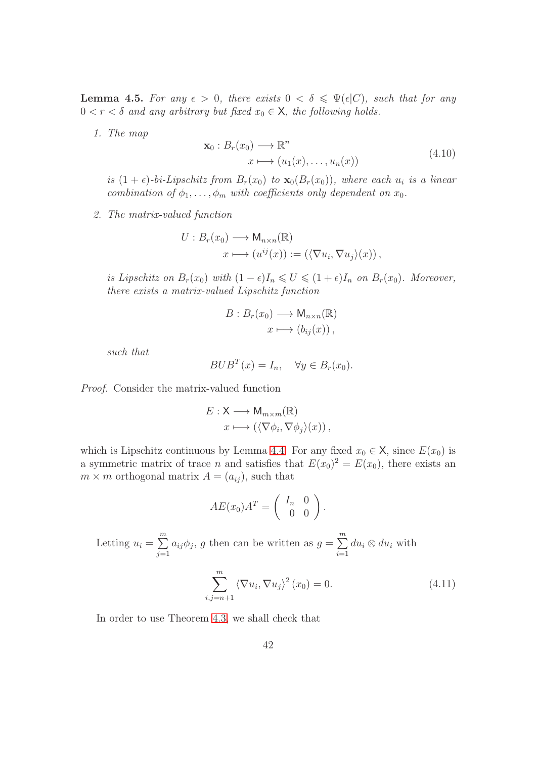<span id="page-41-3"></span>**Lemma 4.5.** For any  $\epsilon > 0$ , there exists  $0 < \delta \leq \Psi(\epsilon|C)$ , such that for any  $0 < r < \delta$  and any arbitrary but fixed  $x_0 \in \mathsf{X}$ , the following holds.

1. The map

<span id="page-41-1"></span>
$$
\mathbf{x}_0: B_r(x_0) \longrightarrow \mathbb{R}^n
$$
  

$$
x \longmapsto (u_1(x), \dots, u_n(x))
$$
 (4.10)

is  $(1+\epsilon)$ -bi-Lipschitz from  $B_r(x_0)$  to  $\mathbf{x}_0(B_r(x_0))$ , where each  $u_i$  is a linear combination of  $\phi_1, \ldots, \phi_m$  with coefficients only dependent on  $x_0$ .

<span id="page-41-2"></span>2. The matrix-valued function

$$
U: B_r(x_0) \longrightarrow \mathsf{M}_{n \times n}(\mathbb{R})
$$
  

$$
x \longmapsto (u^{ij}(x)) := (\langle \nabla u_i, \nabla u_j \rangle(x)),
$$

is Lipschitz on  $B_r(x_0)$  with  $(1 - \epsilon)I_n \leq U \leq (1 + \epsilon)I_n$  on  $B_r(x_0)$ . Moreover, there exists a matrix-valued Lipschitz function

$$
B: B_r(x_0) \longrightarrow \mathsf{M}_{n \times n}(\mathbb{R})
$$

$$
x \longmapsto (b_{ij}(x)),
$$

such that

$$
BUB^{T}(x) = I_n, \quad \forall y \in B_r(x_0).
$$

Proof. Consider the matrix-valued function

$$
E: \mathsf{X} \longrightarrow \mathsf{M}_{m \times m}(\mathbb{R})
$$

$$
x \longmapsto (\langle \nabla \phi_i, \nabla \phi_j \rangle(x)),
$$

which is Lipschitz continuous by Lemma [4.4.](#page-39-0) For any fixed  $x_0 \in X$ , since  $E(x_0)$  is a symmetric matrix of trace *n* and satisfies that  $E(x_0)^2 = E(x_0)$ , there exists an  $m \times m$  orthogonal matrix  $A = (a_{ij})$ , such that

$$
AE(x_0)A^T = \left(\begin{array}{cc} I_n & 0\\ 0 & 0 \end{array}\right).
$$

Letting  $u_i = \sum^m$  $j=1$  $a_{ij}\phi_j$ , g then can be written as  $g = \sum^m$  $\sum_{i=1} du_i \otimes du_i$  with  $\sum_{i=1}^{m}$  $\langle \nabla u_i, \nabla u_j \rangle^2 (x_0) = 0.$  (4.11)

In order to use Theorem [4.3,](#page-38-1) we shall check that

<span id="page-41-0"></span> $i,j=n+1$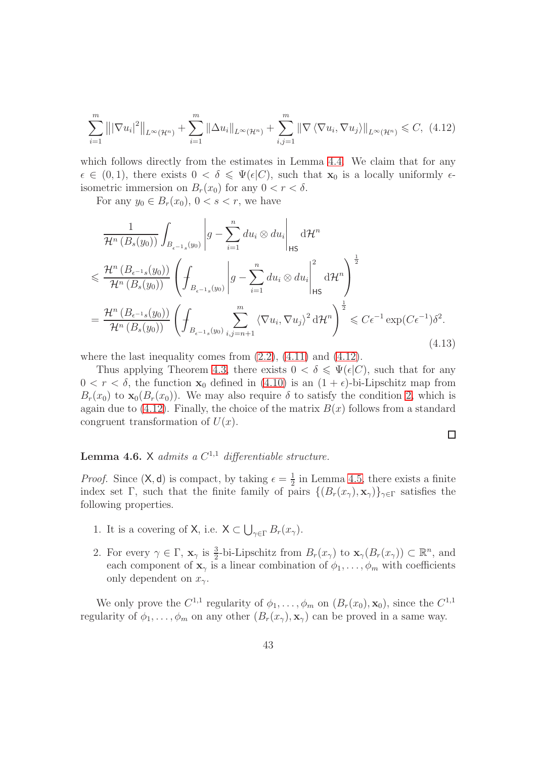<span id="page-42-0"></span>
$$
\sum_{i=1}^{m} \left\| |\nabla u_i|^2 \right\|_{L^{\infty}(\mathcal{H}^n)} + \sum_{i=1}^{m} \left\| \Delta u_i \right\|_{L^{\infty}(\mathcal{H}^n)} + \sum_{i,j=1}^{m} \left\| \nabla \left\langle \nabla u_i, \nabla u_j \right\rangle \right\|_{L^{\infty}(\mathcal{H}^n)} \leq C, \tag{4.12}
$$

which follows directly from the estimates in Lemma [4.4.](#page-39-0) We claim that for any  $\epsilon \in (0,1)$ , there exists  $0 < \delta \leq \Psi(\epsilon|C)$ , such that  $\mathbf{x}_0$  is a locally uniformly  $\epsilon$ isometric immersion on  $B_r(x_0)$  for any  $0 < r < \delta$ .

For any  $y_0 \in B_r(x_0)$ ,  $0 < s < r$ , we have

$$
\frac{1}{\mathcal{H}^{n}(B_{s}(y_{0}))}\int_{B_{\epsilon^{-1}s}(y_{0})}\left|g-\sum_{i=1}^{n}du_{i}\otimes du_{i}\right|_{\text{HS}}\text{d}\mathcal{H}^{n}
$$
\n
$$
\leq \frac{\mathcal{H}^{n}(B_{\epsilon^{-1}s}(y_{0}))}{\mathcal{H}^{n}(B_{s}(y_{0}))}\left(\int_{B_{\epsilon^{-1}s}(y_{0})}\left|g-\sum_{i=1}^{n}du_{i}\otimes du_{i}\right|_{\text{HS}}^{2}\text{d}\mathcal{H}^{n}\right)^{\frac{1}{2}}
$$
\n
$$
=\frac{\mathcal{H}^{n}(B_{\epsilon^{-1}s}(y_{0}))}{\mathcal{H}^{n}(B_{s}(y_{0}))}\left(\int_{B_{\epsilon^{-1}s}(y_{0})}\sum_{i,j=n+1}^{m}\left\langle\nabla u_{i},\nabla u_{j}\right\rangle^{2}\text{d}\mathcal{H}^{n}\right)^{\frac{1}{2}}\leq C\epsilon^{-1}\exp(C\epsilon^{-1})\delta^{2}.
$$
\n(4.13)

where the last inequality comes from  $(2.2)$ ,  $(4.11)$  and  $(4.12)$ .

Thus applying Theorem [4.3,](#page-38-1) there exists  $0 < \delta \leq \Psi(\epsilon|C)$ , such that for any  $0 < r < \delta$ , the function  $\mathbf{x}_0$  defined in [\(4.10\)](#page-41-1) is an  $(1 + \epsilon)$ -bi-Lipschitz map from  $B_r(x_0)$  to  $\mathbf{x}_0(B_r(x_0))$ . We may also require  $\delta$  to satisfy the condition [2,](#page-41-2) which is again due to [\(4.12\)](#page-42-0). Finally, the choice of the matrix  $B(x)$  follows from a standard congruent transformation of  $U(x)$ .

 $\Box$ 

### **Lemma 4.6.**  $X$  admits a  $C^{1,1}$  differentiable structure.

*Proof.* Since  $(X, d)$  is compact, by taking  $\epsilon = \frac{1}{2}$  $\frac{1}{2}$  in Lemma [4.5,](#page-41-3) there exists a finite index set Γ, such that the finite family of pairs  $\{(B_r(x_\gamma), \mathbf{x}_\gamma)\}_{\gamma \in \Gamma}$  satisfies the following properties.

- 1. It is a covering of X, i.e.  $X \subset \bigcup_{\gamma \in \Gamma} B_r(x_\gamma)$ .
- 2. For every  $\gamma \in \Gamma$ ,  $\mathbf{x}_{\gamma}$  is  $\frac{3}{2}$ -bi-Lipschitz from  $B_r(x_{\gamma})$  to  $\mathbf{x}_{\gamma}(B_r(x_{\gamma})) \subset \mathbb{R}^n$ , and each component of  $\mathbf{x}_{\gamma}$  is a linear combination of  $\phi_1, \ldots, \phi_m$  with coefficients only dependent on  $x_{\gamma}$ .

We only prove the  $C^{1,1}$  regularity of  $\phi_1, \ldots, \phi_m$  on  $(B_r(x_0), \mathbf{x}_0)$ , since the  $C^{1,1}$ regularity of  $\phi_1, \ldots, \phi_m$  on any other  $(B_r(x_\gamma), \mathbf{x}_\gamma)$  can be proved in a same way.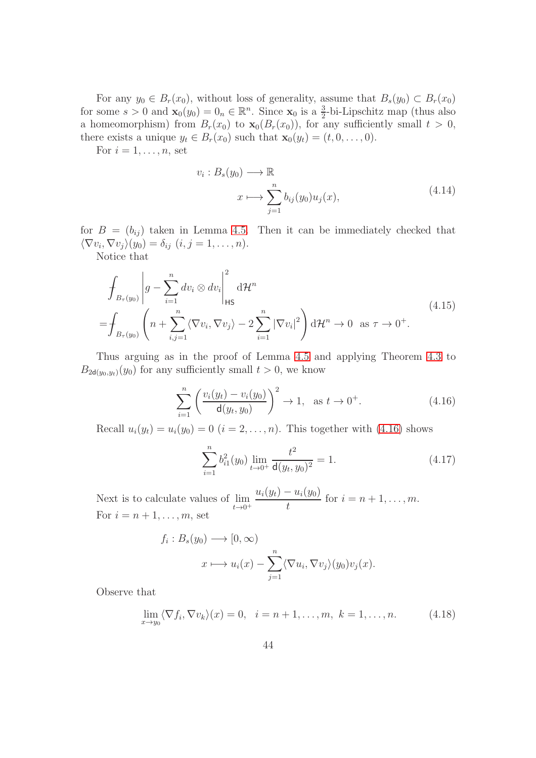For any  $y_0 \in B_r(x_0)$ , without loss of generality, assume that  $B_s(y_0) \subset B_r(x_0)$ for some  $s > 0$  and  $\mathbf{x}_0(y_0) = 0_n \in \mathbb{R}^n$ . Since  $\mathbf{x}_0$  is a  $\frac{3}{2}$ -bi-Lipschitz map (thus also a homeomorphism) from  $B_r(x_0)$  to  $\mathbf{x}_0(B_r(x_0))$ , for any sufficiently small  $t > 0$ , there exists a unique  $y_t \in B_r(x_0)$  such that  $\mathbf{x}_0(y_t) = (t, 0, \dots, 0)$ .

For  $i = 1, \ldots, n$ , set

<span id="page-43-4"></span>
$$
v_i: B_s(y_0) \longrightarrow \mathbb{R}
$$
  

$$
x \longmapsto \sum_{j=1}^n b_{ij}(y_0)u_j(x),
$$
 (4.14)

for  $B = (b_{ij})$  taken in Lemma [4.5.](#page-41-3) Then it can be immediately checked that  $\langle \nabla v_i, \nabla v_j \rangle(y_0) = \delta_{ij} \ (i, j = 1, \ldots, n).$ 

Notice that

<span id="page-43-1"></span>
$$
\int_{B_{\tau}(y_0)} \left| g - \sum_{i=1}^n dv_i \otimes dv_i \right|_{\text{HS}}^2 \mathrm{d} \mathcal{H}^n
$$
\n
$$
= \int_{B_{\tau}(y_0)} \left( n + \sum_{i,j=1}^n \langle \nabla v_i, \nabla v_j \rangle - 2 \sum_{i=1}^n |\nabla v_i|^2 \right) \mathrm{d} \mathcal{H}^n \to 0 \quad \text{as } \tau \to 0^+.
$$
\n(4.15)

Thus arguing as in the proof of Lemma [4.5](#page-41-3) and applying Theorem [4.3](#page-38-1) to  $B_{2d(y_0,y_t)}(y_0)$  for any sufficiently small  $t > 0$ , we know

<span id="page-43-0"></span>
$$
\sum_{i=1}^{n} \left( \frac{v_i(y_t) - v_i(y_0)}{\mathsf{d}(y_t, y_0)} \right)^2 \to 1, \text{ as } t \to 0^+.
$$
 (4.16)

Recall  $u_i(y_t) = u_i(y_0) = 0$   $(i = 2, \ldots, n)$ . This together with [\(4.16\)](#page-43-0) shows

<span id="page-43-3"></span>
$$
\sum_{i=1}^{n} b_{i1}^{2}(y_0) \lim_{t \to 0^{+}} \frac{t^2}{\mathsf{d}(y_t, y_0)^2} = 1.
$$
 (4.17)

Next is to calculate values of lim  $t\rightarrow 0^+$  $u_i(y_t) - u_i(y_0)$ t for  $i = n + 1, ..., m$ . For  $i = n + 1, \ldots, m$ , set

$$
f_i: B_s(y_0) \longrightarrow [0, \infty)
$$
  

$$
x \longmapsto u_i(x) - \sum_{j=1}^n \langle \nabla u_i, \nabla v_j \rangle (y_0) v_j(x).
$$

Observe that

<span id="page-43-2"></span>
$$
\lim_{x \to y_0} \langle \nabla f_i, \nabla v_k \rangle (x) = 0, \quad i = n+1, \dots, m, \quad k = 1, \dots, n. \tag{4.18}
$$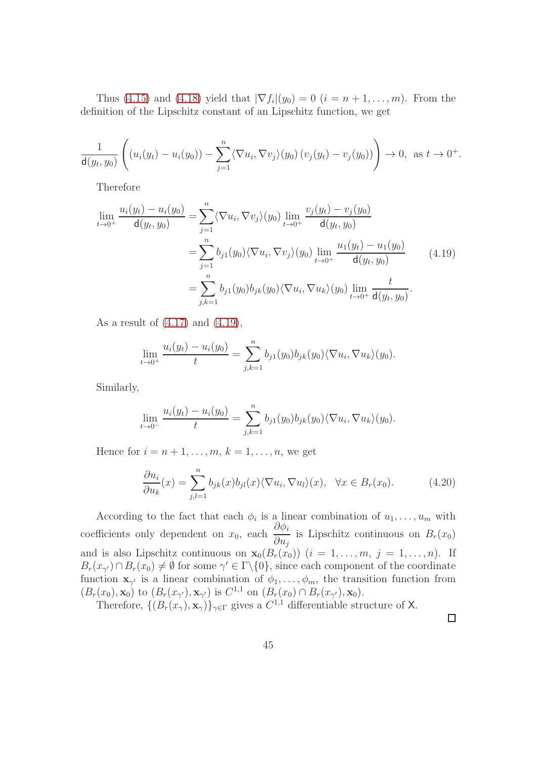Thus [\(4.15\)](#page-43-1) and [\(4.18\)](#page-43-2) yield that  $|\nabla f_i|(y_0) = 0$   $(i = n + 1, ..., m)$ . From the definition of the Lipschitz constant of an Lipschitz function, we get

$$
\frac{1}{\mathsf{d}(y_t, y_0)} \left( \left( u_i(y_t) - u_i(y_0) \right) - \sum_{j=1}^n \langle \nabla u_i, \nabla v_j \rangle(y_0) \left( v_j(y_t) - v_j(y_0) \right) \right) \to 0, \text{ as } t \to 0^+.
$$

Therefore

<span id="page-44-0"></span>
$$
\lim_{t \to 0^{+}} \frac{u_i(y_t) - u_i(y_0)}{\mathsf{d}(y_t, y_0)} = \sum_{j=1}^{n} \langle \nabla u_i, \nabla v_j \rangle (y_0) \lim_{t \to 0^{+}} \frac{v_j(y_t) - v_j(y_0)}{\mathsf{d}(y_t, y_0)}
$$
\n
$$
= \sum_{j=1}^{n} b_{j1}(y_0) \langle \nabla u_i, \nabla v_j \rangle (y_0) \lim_{t \to 0^{+}} \frac{u_1(y_t) - u_1(y_0)}{\mathsf{d}(y_t, y_0)} \qquad (4.19)
$$
\n
$$
= \sum_{j,k=1}^{n} b_{j1}(y_0) b_{jk}(y_0) \langle \nabla u_i, \nabla u_k \rangle (y_0) \lim_{t \to 0^{+}} \frac{t}{\mathsf{d}(y_t, y_0)}.
$$

As a result of [\(4.17\)](#page-43-3) and [\(4.19\)](#page-44-0),

$$
\lim_{t \to 0^+} \frac{u_i(y_t) - u_i(y_0)}{t} = \sum_{j,k=1}^n b_{j1}(y_0) b_{jk}(y_0) \langle \nabla u_i, \nabla u_k \rangle(y_0).
$$

Similarly,

$$
\lim_{t \to 0^-} \frac{u_i(y_t) - u_i(y_0)}{t} = \sum_{j,k=1}^n b_{j1}(y_0) b_{jk}(y_0) \langle \nabla u_i, \nabla u_k \rangle(y_0).
$$

Hence for  $i = n+1, \ldots, m, k = 1, \ldots, n$ , we get

<span id="page-44-1"></span>
$$
\frac{\partial u_i}{\partial u_k}(x) = \sum_{j,l=1}^n b_{jk}(x)b_{jl}(x)\langle \nabla u_i, \nabla u_l \rangle(x), \quad \forall x \in B_r(x_0). \tag{4.20}
$$

According to the fact that each  $\phi_i$  is a linear combination of  $u_1, \ldots, u_m$  with coefficients only dependent on  $x_0$ , each  $\frac{\partial \phi_i}{\partial x_0}$  $\partial u_j$ is Lipschitz continuous on  $B_r(x_0)$ and is also Lipschitz continuous on  $\mathbf{x}_0(B_r(x_0))$   $(i = 1, \ldots, m, j = 1, \ldots, n)$ . If  $B_r(x_{\gamma}) \cap B_r(x_0) \neq \emptyset$  for some  $\gamma' \in \Gamma \setminus \{0\}$ , since each component of the coordinate function  $\mathbf{x}_{\gamma'}$  is a linear combination of  $\phi_1, \ldots, \phi_m$ , the transition function from  $(B_r(x_0), \mathbf{x}_0)$  to  $(B_r(x_{\gamma'}), \mathbf{x}_{\gamma'})$  is  $C^{1,1}$  on  $(B_r(x_0) \cap B_r(x_{\gamma'}), \mathbf{x}_0)$ .

Therefore,  $\{(B_r(x_\gamma), \mathbf{x}_\gamma)\}_{\gamma \in \Gamma}$  gives a  $C^{1,1}$  differentiable structure of X.

 $\Box$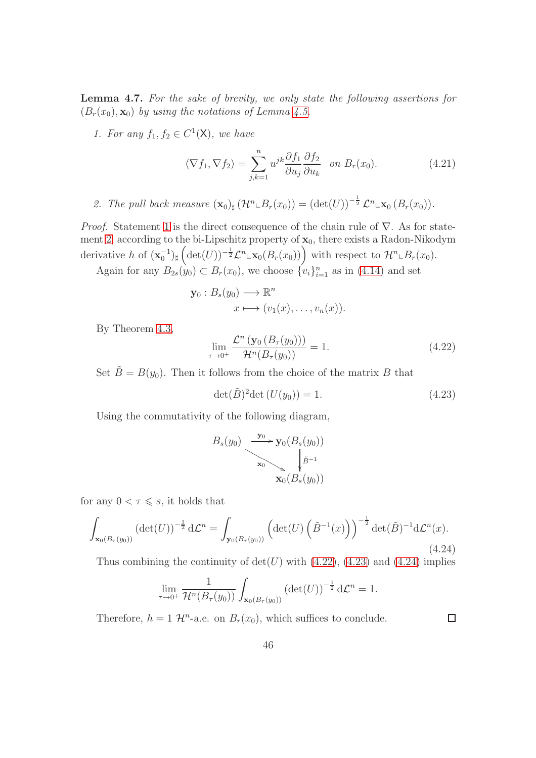<span id="page-45-1"></span><span id="page-45-0"></span>Lemma 4.7. For the sake of brevity, we only state the following assertions for  $(B_r(x_0), \mathbf{x}_0)$  by using the notations of Lemma [4.5.](#page-41-3)

1. For any  $f_1, f_2 \in C^1(\mathsf{X})$ , we have

$$
\langle \nabla f_1, \nabla f_2 \rangle = \sum_{j,k=1}^n u^{jk} \frac{\partial f_1}{\partial u_j} \frac{\partial f_2}{\partial u_k} \quad on \ B_r(x_0). \tag{4.21}
$$

<span id="page-45-2"></span>2. The pull back measure  $(\mathbf{x}_0)_\sharp (\mathcal{H}^n \llcorner B_r(x_0)) = (\det(U))^{-\frac{1}{2}} \mathcal{L}^n \llcorner \mathbf{x}_0 (B_r(x_0)).$ 

*Proof.* Statement [1](#page-45-1) is the direct consequence of the chain rule of  $\nabla$ . As for state-ment [2,](#page-45-2) according to the bi-Lipschitz property of  $x_0$ , there exists a Radon-Nikodym derivative h of  $(\mathbf{x}_0^{-1})_\sharp \left( \det(U)^{-\frac{1}{2}} \mathcal{L}^n \llcorner \mathbf{x}_0(B_r(x_0)) \right)$  with respect to  $\mathcal{H}^n \llcorner B_r(x_0)$ .

Again for any  $B_{2s}(y_0) \subset B_r(x_0)$ , we choose  $\{v_i\}_{i=1}^n$  as in [\(4.14\)](#page-43-4) and set

$$
\mathbf{y}_0: B_s(y_0) \longrightarrow \mathbb{R}^n
$$

$$
x \longmapsto (v_1(x), \dots, v_n(x)).
$$

By Theorem [4.3,](#page-38-1)

<span id="page-45-3"></span>
$$
\lim_{\tau \to 0^+} \frac{\mathcal{L}^n \left( \mathbf{y}_0 \left( B_\tau(y_0) \right) \right)}{\mathcal{H}^n(B_\tau(y_0))} = 1. \tag{4.22}
$$

Set  $\tilde{B} = B(y_0)$ . Then it follows from the choice of the matrix B that

<span id="page-45-4"></span>
$$
\det(\tilde{B})^2 \det\left(U(y_0)\right) = 1. \tag{4.23}
$$

Using the commutativity of the following diagram,

$$
B_s(y_0) \xrightarrow{\mathbf{y}_0} \mathbf{y}_0(B_s(y_0))
$$
  

$$
\begin{matrix} \downarrow \\ \downarrow \\ \mathbf{x}_0 \\ \mathbf{x}_0(B_s(y_0)) \end{matrix}
$$

for any  $0 < \tau \leqslant s$ , it holds that

<span id="page-45-5"></span>
$$
\int_{\mathbf{x}_0(B_\tau(y_0))} (\det(U))^{-\frac{1}{2}} d\mathcal{L}^n = \int_{\mathbf{y}_0(B_\tau(y_0))} \left( \det(U) \left( \tilde{B}^{-1}(x) \right) \right)^{-\frac{1}{2}} \det(\tilde{B})^{-1} d\mathcal{L}^n(x).
$$
\n(4.24)

Thus combining the continuity of  $det(U)$  with [\(4.22\)](#page-45-3), [\(4.23\)](#page-45-4) and [\(4.24\)](#page-45-5) implies

$$
\lim_{\tau \to 0^+} \frac{1}{\mathcal{H}^n(B_\tau(y_0))} \int_{\mathbf{x}_0(B_\tau(y_0))} (\det(U))^{-\frac{1}{2}} d\mathcal{L}^n = 1.
$$

Therefore,  $h = 1 \mathcal{H}^n$ -a.e. on  $B_r(x_0)$ , which suffices to conclude.

 $\Box$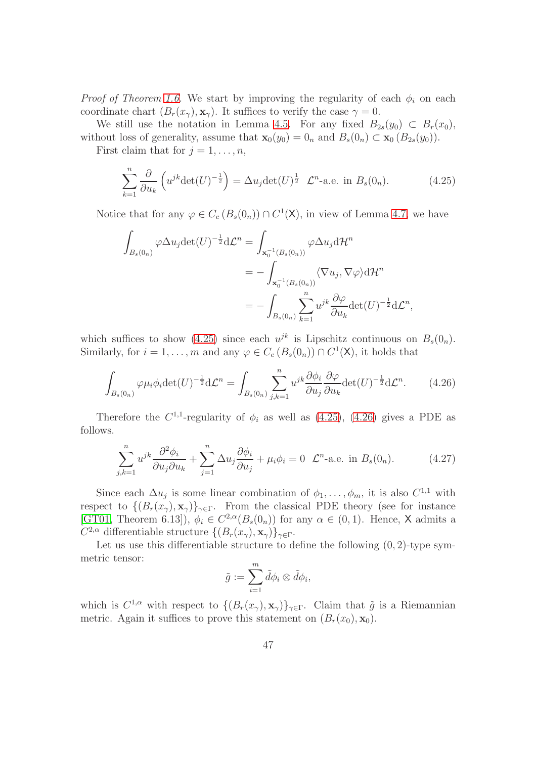*Proof of Theorem [1.6.](#page-4-0)* We start by improving the regularity of each  $\phi_i$  on each coordinate chart  $(B_r(x_\gamma), \mathbf{x}_\gamma)$ . It suffices to verify the case  $\gamma = 0$ .

We still use the notation in Lemma [4.5.](#page-41-3) For any fixed  $B_{2s}(y_0) \subset B_r(x_0)$ , without loss of generality, assume that  $\mathbf{x}_0(y_0) = 0_n$  and  $B_s(0_n) \subset \mathbf{x}_0 (B_{2s}(y_0))$ .

First claim that for  $j = 1, \ldots, n$ ,

<span id="page-46-0"></span>
$$
\sum_{k=1}^{n} \frac{\partial}{\partial u_k} \left( u^{jk} \det(U)^{-\frac{1}{2}} \right) = \Delta u_j \det(U)^{\frac{1}{2}} \mathcal{L}^n
$$
-a.e. in  $B_s(0_n)$ . (4.25)

Notice that for any  $\varphi \in C_c(B_s(0_n)) \cap C^1(\mathsf{X})$ , in view of Lemma [4.7,](#page-45-0) we have

$$
\int_{B_s(0_n)} \varphi \Delta u_j \det(U)^{-\frac{1}{2}} d\mathcal{L}^n = \int_{\mathbf{x}_0^{-1}(B_s(0_n))} \varphi \Delta u_j d\mathcal{H}^n
$$
  
= 
$$
- \int_{\mathbf{x}_0^{-1}(B_s(0_n))} \langle \nabla u_j, \nabla \varphi \rangle d\mathcal{H}^n
$$
  
= 
$$
- \int_{B_s(0_n)} \sum_{k=1}^n u^{jk} \frac{\partial \varphi}{\partial u_k} \det(U)^{-\frac{1}{2}} d\mathcal{L}^n,
$$

which suffices to show [\(4.25\)](#page-46-0) since each  $u^{jk}$  is Lipschitz continuous on  $B_s(0_n)$ . Similarly, for  $i = 1, ..., m$  and any  $\varphi \in C_c(B_s(0_n)) \cap C^1(\mathsf{X})$ , it holds that

<span id="page-46-1"></span>
$$
\int_{B_s(0_n)} \varphi \mu_i \phi_i \det(U)^{-\frac{1}{2}} d\mathcal{L}^n = \int_{B_s(0_n)} \sum_{j,k=1}^n u^{jk} \frac{\partial \phi_i}{\partial u_j} \frac{\partial \varphi}{\partial u_k} \det(U)^{-\frac{1}{2}} d\mathcal{L}^n.
$$
 (4.26)

Therefore the  $C^{1,1}$ -regularity of  $\phi_i$  as well as [\(4.25\)](#page-46-0), [\(4.26\)](#page-46-1) gives a PDE as follows.

<span id="page-46-2"></span>
$$
\sum_{j,k=1}^{n} u^{jk} \frac{\partial^2 \phi_i}{\partial u_j \partial u_k} + \sum_{j=1}^{n} \Delta u_j \frac{\partial \phi_i}{\partial u_j} + \mu_i \phi_i = 0 \quad \mathcal{L}^n
$$
-a.e. in  $B_s(0_n)$ . (4.27)

Since each  $\Delta u_j$  is some linear combination of  $\phi_1, \ldots, \phi_m$ , it is also  $C^{1,1}$  with respect to  $\{(B_r(x_\gamma), \mathbf{x}_\gamma)\}_{\gamma \in \Gamma}$ . From the classical PDE theory (see for instance [\[GT01,](#page-59-12) Theorem 6.13]),  $\phi_i \in C^{2,\alpha}(B_s(0_n))$  for any  $\alpha \in (0,1)$ . Hence, X admits a  $C^{2,\alpha}$  differentiable structure  $\{(B_r(x_\gamma), \mathbf{x}_\gamma)\}_{\gamma \in \Gamma}$ .

Let us use this differentiable structure to define the following  $(0, 2)$ -type symmetric tensor:

$$
\tilde{g} := \sum_{i=1}^m \tilde{d} \phi_i \otimes \tilde{d} \phi_i,
$$

which is  $C^{1,\alpha}$  with respect to  $\{(B_r(x_\gamma), \mathbf{x}_\gamma)\}_{\gamma \in \Gamma}$ . Claim that  $\tilde{g}$  is a Riemannian metric. Again it suffices to prove this statement on  $(B_r(x_0), \mathbf{x}_0)$ .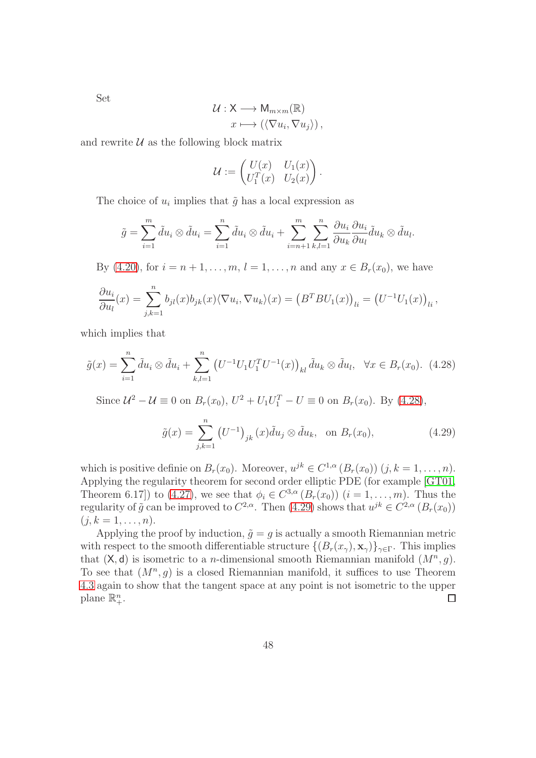$$
\mathcal{U}: \mathsf{X} \longrightarrow \mathsf{M}_{m \times m}(\mathbb{R})
$$

$$
x \longmapsto \left( \langle \nabla u_i, \nabla u_j \rangle \right),
$$

and rewrite  $U$  as the following block matrix

$$
\mathcal{U} := \begin{pmatrix} U(x) & U_1(x) \\ U_1^T(x) & U_2(x) \end{pmatrix}.
$$

The choice of  $u_i$  implies that  $\tilde{g}$  has a local expression as

$$
\tilde{g} = \sum_{i=1}^{m} \tilde{d}u_i \otimes \tilde{d}u_i = \sum_{i=1}^{n} \tilde{d}u_i \otimes \tilde{d}u_i + \sum_{i=n+1}^{m} \sum_{k,l=1}^{n} \frac{\partial u_i}{\partial u_k} \frac{\partial u_i}{\partial u_l} \tilde{d}u_k \otimes \tilde{d}u_l.
$$

By [\(4.20\)](#page-44-1), for  $i = n + 1, ..., m, l = 1, ..., n$  and any  $x \in B_r(x_0)$ , we have

$$
\frac{\partial u_i}{\partial u_l}(x) = \sum_{j,k=1}^n b_{jl}(x)b_{jk}(x)\langle \nabla u_i, \nabla u_k \rangle(x) = \left(B^T B U_1(x)\right)_{li} = \left(U^{-1} U_1(x)\right)_{li},
$$

which implies that

<span id="page-47-0"></span>
$$
\tilde{g}(x) = \sum_{i=1}^{n} \tilde{d}u_i \otimes \tilde{d}u_i + \sum_{k,l=1}^{n} \left( U^{-1} U_1 U_1^T U^{-1}(x) \right)_{kl} \tilde{d}u_k \otimes \tilde{d}u_l, \quad \forall x \in B_r(x_0). \tag{4.28}
$$

Since  $\mathcal{U}^2 - \mathcal{U} \equiv 0$  on  $B_r(x_0)$ ,  $U^2 + U_1 U_1^T - U \equiv 0$  on  $B_r(x_0)$ . By [\(4.28\)](#page-47-0),

<span id="page-47-1"></span>
$$
\tilde{g}(x) = \sum_{j,k=1}^{n} (U^{-1})_{jk} (x) \tilde{d}u_j \otimes \tilde{d}u_k, \text{ on } B_r(x_0), \tag{4.29}
$$

which is positive definie on  $B_r(x_0)$ . Moreover,  $u^{jk} \in C^{1,\alpha}(B_r(x_0))$   $(j, k = 1, ..., n)$ . Applying the regularity theorem for second order elliptic PDE (for example [\[GT01,](#page-59-12) Theorem 6.17]) to [\(4.27\)](#page-46-2), we see that  $\phi_i \in C^{3,\alpha}(B_r(x_0))$   $(i = 1, \ldots, m)$ . Thus the regularity of  $\tilde{g}$  can be improved to  $C^{2,\alpha}$ . Then [\(4.29\)](#page-47-1) shows that  $u^{jk} \in C^{2,\alpha}(B_r(x_0))$  $(j, k = 1, \ldots, n).$ 

Applying the proof by induction,  $\tilde{g} = g$  is actually a smooth Riemannian metric with respect to the smooth differentiable structure  $\{(B_r(x_\gamma), \mathbf{x}_\gamma)\}_{\gamma \in \Gamma}$ . This implies that  $(X, d)$  is isometric to a *n*-dimensional smooth Riemannian manifold  $(M^n, g)$ . To see that  $(M^n, g)$  is a closed Riemannian manifold, it suffices to use Theorem [4.3](#page-38-1) again to show that the tangent space at any point is not isometric to the upper plane  $\mathbb{R}^n_+$ . □

Set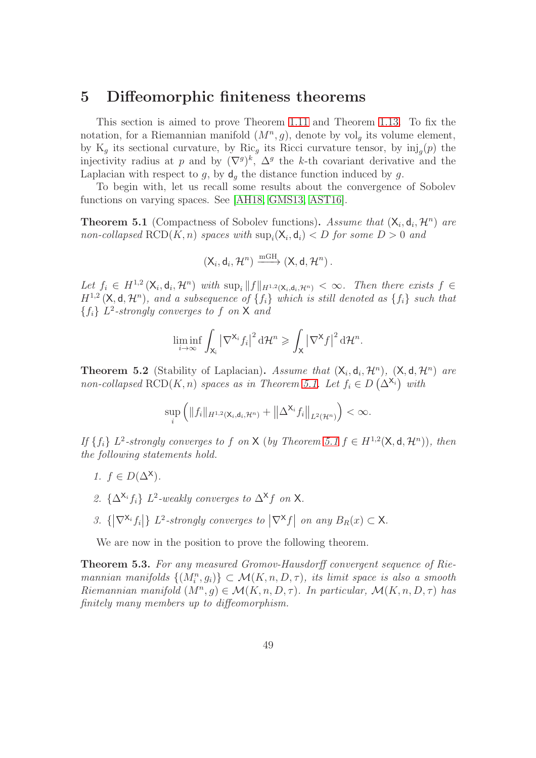## <span id="page-48-0"></span>5 Diffeomorphic finiteness theorems

This section is aimed to prove Theorem [1.11](#page-6-1) and Theorem [1.13.](#page-6-2) To fix the notation, for a Riemannian manifold  $(M^n, g)$ , denote by vol<sub>g</sub> its volume element, by  $K_g$  its sectional curvature, by Ric<sub>g</sub> its Ricci curvature tensor, by  $\text{inj}_g(p)$  the injectivity radius at p and by  $(\nabla^g)^k$ ,  $\Delta^g$  the k-th covariant derivative and the Laplacian with respect to g, by  $d<sub>g</sub>$  the distance function induced by g.

To begin with, let us recall some results about the convergence of Sobolev functions on varying spaces. See [\[AH18,](#page-57-10) [GMS13,](#page-59-7) [AST16\]](#page-57-8).

<span id="page-48-1"></span>**Theorem 5.1** (Compactness of Sobolev functions). Assume that  $(X_i, d_i, \mathcal{H}^n)$  are non-collapsed  $\text{RCD}(K, n)$  spaces with  $\sup_i (X_i, d_i) < D$  for some  $D > 0$  and

$$
({\mathsf{X}}_i, {\mathsf{d}}_i, {\mathcal{H}}^n) \xrightarrow{\operatorname{mGH}} ({\mathsf{X}}, {\mathsf{d}}, {\mathcal{H}}^n) \, .
$$

Let  $f_i \in H^{1,2}(\mathsf{X}_i,\mathsf{d}_i,\mathcal{H}^n)$  with  $\sup_i ||f||_{H^{1,2}(\mathsf{X}_i,\mathsf{d}_i,\mathcal{H}^n)} < \infty$ . Then there exists  $f \in$  $H^{1,2}(\mathsf{X},\mathsf{d},\mathcal{H}^n)$ , and a subsequence of  $\{f_i\}$  which is still denoted as  $\{f_i\}$  such that  ${f_i} L^2$ -strongly converges to f on X and

$$
\liminf_{i \to \infty} \int_{\mathsf{X}_i} \left| \nabla^{\mathsf{X}_i} f_i \right|^2 \mathrm{d} \mathcal{H}^n \geqslant \int_{\mathsf{X}} \left| \nabla^{\mathsf{X}} f \right|^2 \mathrm{d} \mathcal{H}^n.
$$

<span id="page-48-2"></span>**Theorem 5.2** (Stability of Laplacian). Assume that  $(X_i, d_i, \mathcal{H}^n)$ ,  $(X, d, \mathcal{H}^n)$  are non-collapsed  $\text{RCD}(K, n)$  spaces as in Theorem [5.1.](#page-48-1) Let  $f_i \in D(\Delta^{X_i})$  with

$$
\sup_{i}\left(\|f_{i}\|_{H^{1,2}\left(\mathsf{X}_{i},\mathsf{d}_{i},\mathcal{H}^{n}\right)}+\left\|\Delta^{\mathsf{X}_{i}}f_{i}\right\|_{L^{2}\left(\mathcal{H}^{n}\right)}\right)<\infty.
$$

If  $\{f_i\}$   $L^2$ -strongly converges to f on X (by Theorem [5.1](#page-48-1)  $f \in H^{1,2}(\mathsf{X},\mathsf{d},\mathcal{H}^n)$ ), then the following statements hold.

- 1.  $f \in D(\Delta^{\mathsf{X}})$ .
- 2.  $\{\Delta^{X_i} f_i\}$   $L^2$ -weakly converges to  $\Delta^X f$  on X.
- 3.  $\{|\nabla^{\mathsf{X}_i} f_i|\}$  L<sup>2</sup>-strongly converges to  $|\nabla^{\mathsf{X}} f|$  on any  $B_R(x) \subset \mathsf{X}$ .

We are now in the position to prove the following theorem.

<span id="page-48-3"></span>Theorem 5.3. For any measured Gromov-Hausdorff convergent sequence of Riemannian manifolds  $\{(M_i^n, g_i)\}\subset \mathcal{M}(K,n,D,\tau)$ , its limit space is also a smooth Riemannian manifold  $(M^n, g) \in \mathcal{M}(K, n, D, \tau)$ . In particular,  $\mathcal{M}(K, n, D, \tau)$  has finitely many members up to diffeomorphism.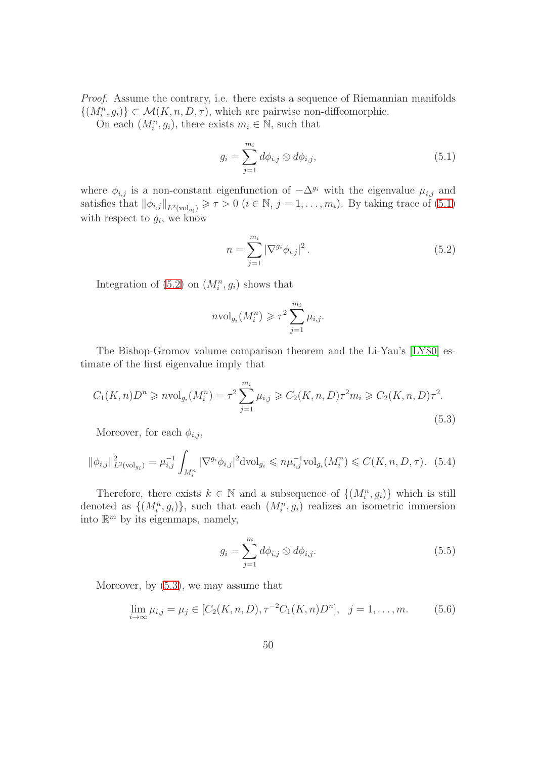Proof. Assume the contrary, i.e. there exists a sequence of Riemannian manifolds  $\{(M_i^n, g_i)\}\subset \mathcal{M}(K, n, D, \tau)$ , which are pairwise non-diffeomorphic.

On each  $(M_i^n, g_i)$ , there exists  $m_i \in \mathbb{N}$ , such that

<span id="page-49-0"></span>
$$
g_i = \sum_{j=1}^{m_i} d\phi_{i,j} \otimes d\phi_{i,j},
$$
\n(5.1)

where  $\phi_{i,j}$  is a non-constant eigenfunction of  $-\Delta^{g_i}$  with the eigenvalue  $\mu_{i,j}$  and satisfies that  $\|\phi_{i,j}\|_{L^2(\text{vol}_{g_i})} \geq \tau > 0$   $(i \in \mathbb{N}, j = 1, ..., m_i)$ . By taking trace of  $(5.1)$ with respect to  $g_i$ , we know

<span id="page-49-1"></span>
$$
n = \sum_{j=1}^{m_i} |\nabla^{g_i} \phi_{i,j}|^2.
$$
 (5.2)

Integration of  $(5.2)$  on  $(M_i^n, g_i)$  shows that

$$
nvol_{g_i}(M_i^n) \geqslant \tau^2 \sum_{j=1}^{m_i} \mu_{i,j}.
$$

The Bishop-Gromov volume comparison theorem and the Li-Yau's [\[LY80\]](#page-60-13) estimate of the first eigenvalue imply that

<span id="page-49-2"></span>
$$
C_1(K, n)D^n \geq n \text{vol}_{g_i}(M_i^n) = \tau^2 \sum_{j=1}^{m_i} \mu_{i,j} \geq C_2(K, n, D)\tau^2 m_i \geq C_2(K, n, D)\tau^2.
$$
\n(5.3)

Moreover, for each  $\phi_{i,j}$ ,

$$
\|\phi_{i,j}\|_{L^2(\text{vol}_{g_i})}^2 = \mu_{i,j}^{-1} \int_{M_i^n} |\nabla^{g_i} \phi_{i,j}|^2 \text{dvol}_{g_i} \leqslant n\mu_{i,j}^{-1} \text{vol}_{g_i}(M_i^n) \leqslant C(K, n, D, \tau). \tag{5.4}
$$

Therefore, there exists  $k \in \mathbb{N}$  and a subsequence of  $\{(M_i^n, g_i)\}\$  which is still denoted as  $\{(M_i^n, g_i)\}\$ , such that each  $(M_i^n, g_i)$  realizes an isometric immersion into  $\mathbb{R}^m$  by its eigenmaps, namely,

$$
g_i = \sum_{j=1}^{m} d\phi_{i,j} \otimes d\phi_{i,j}.
$$
 (5.5)

Moreover, by [\(5.3\)](#page-49-2), we may assume that

<span id="page-49-3"></span>
$$
\lim_{i \to \infty} \mu_{i,j} = \mu_j \in [C_2(K, n, D), \tau^{-2} C_1(K, n) D^n], \ \ j = 1, \dots, m. \tag{5.6}
$$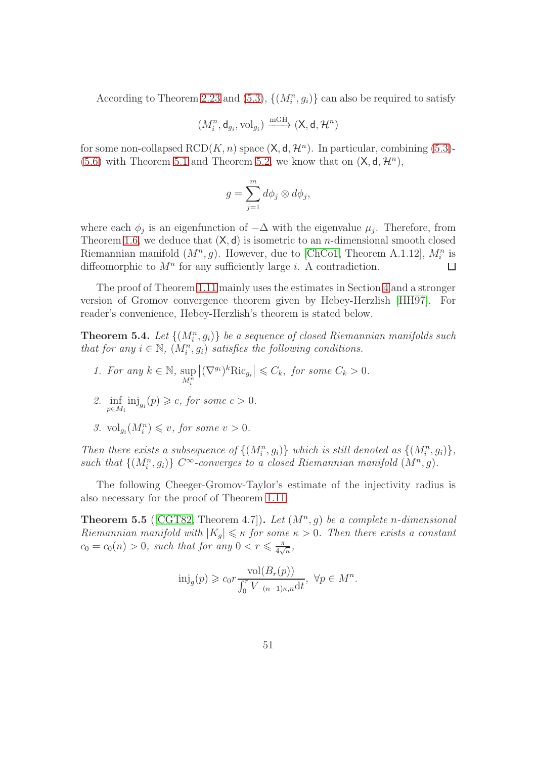According to Theorem [2.23](#page-18-1) and [\(5.3\)](#page-49-2),  $\{(M_i^n, g_i)\}\)$  can also be required to satisfy

$$
(M_i^n, \mathsf{d}_{g_i}, \mathrm{vol}_{g_i}) \xrightarrow{\mathrm{mGH}} (\mathsf{X}, \mathsf{d}, \mathcal{H}^n)
$$

for some non-collapsed RCD $(K, n)$  space  $(X, d, \mathcal{H}^n)$ . In particular, combining [\(5.3\)](#page-49-2)-[\(5.6\)](#page-49-3) with Theorem [5.1](#page-48-1) and Theorem [5.2,](#page-48-2) we know that on  $(\mathsf{X}, \mathsf{d}, \mathcal{H}^n)$ ,

$$
g = \sum_{j=1}^{m} d\phi_j \otimes d\phi_j,
$$

where each  $\phi_j$  is an eigenfunction of  $-\Delta$  with the eigenvalue  $\mu_j$ . Therefore, from Theorem [1.6,](#page-4-0) we deduce that  $(X, d)$  is isometric to an *n*-dimensional smooth closed Riemannian manifold  $(M^n, g)$ . However, due to [\[ChCo1,](#page-58-6) Theorem A.1.12],  $M_i^n$  is diffeomorphic to  $M<sup>n</sup>$  for any sufficiently large *i*. A contradiction.  $\Box$ 

The proof of Theorem [1.11](#page-6-1) mainly uses the estimates in Section [4](#page-38-0) and a stronger version of Gromov convergence theorem given by Hebey-Herzlish [\[HH97\]](#page-59-3). For reader's convenience, Hebey-Herzlish's theorem is stated below.

<span id="page-50-1"></span>**Theorem 5.4.** Let  $\{(M_i^n, g_i)\}\$ be a sequence of closed Riemannian manifolds such that for any  $i \in \mathbb{N}$ ,  $(M_i^n, g_i)$  satisfies the following conditions.

- 1. For any  $k \in \mathbb{N}$ , sup  $\lim_{M_i^n}$  $|(\nabla^{g_i})^k \text{Ric}_{g_i}| \leq C_k$ , for some  $C_k > 0$ .
- 2. inf  $\inf_{p \in M_i} \text{inj}_{g_i}(p) \geqslant c$ , for some  $c > 0$ .
- 3.  $vol_{g_i}(M_i^n) \leq v$ , for some  $v > 0$ .

Then there exists a subsequence of  $\{(M_i^n, g_i)\}\$  which is still denoted as  $\{(M_i^n, g_i)\}\$ , such that  $\{(M_i^n, g_i)\}\n\subset \infty$ -converges to a closed Riemannian manifold  $(M^n, g)$ .

The following Cheeger-Gromov-Taylor's estimate of the injectivity radius is also necessary for the proof of Theorem [1.11.](#page-6-1)

<span id="page-50-0"></span>**Theorem 5.5** ([\[CGT82,](#page-58-13) Theorem 4.7]). Let  $(M^n, g)$  be a complete n-dimensional Riemannian manifold with  $|K_g| \leq \kappa$  for some  $\kappa > 0$ . Then there exists a constant  $c_0 = c_0(n) > 0$ , such that for any  $0 < r \leq \frac{\pi}{4\sqrt{n}}$  $\frac{\pi}{4\sqrt{\kappa}},$ 

$$
\text{inj}_{g}(p) \geqslant c_{0} r \frac{\text{vol}(B_{r}(p))}{\int_{0}^{r} V_{-(n-1)\kappa,n} \, \mathrm{d}t}, \ \forall p \in M^{n}.
$$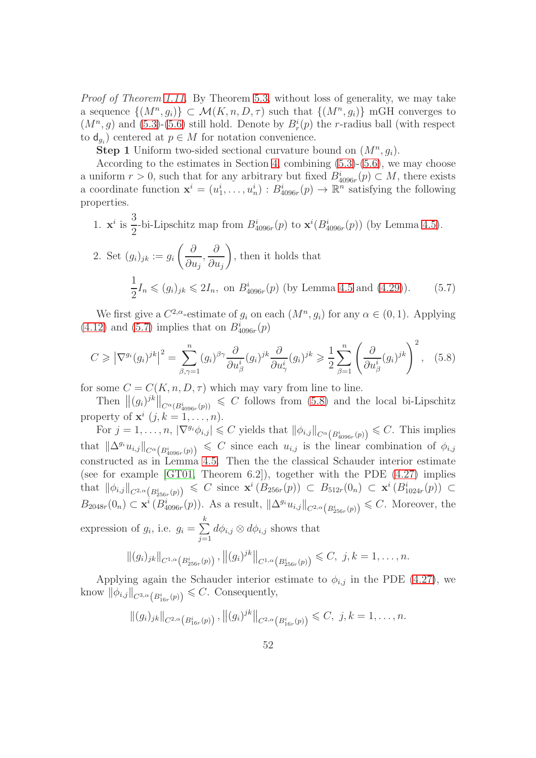Proof of Theorem [1.11.](#page-6-1) By Theorem [5.3,](#page-48-3) without loss of generality, we may take a sequence  $\{(M^n, g_i)\}\subset \mathcal{M}(K, n, D, \tau)$  such that  $\{(M^n, g_i)\}\text{ mGH converges to }$  $(M^n, g)$  and  $(5.3)-(5.6)$  $(5.3)-(5.6)$  still hold. Denote by  $B_r^i(p)$  the r-radius ball (with respect to  $d_{g_i}$  centered at  $p \in M$  for notation convenience.

**Step 1** Uniform two-sided sectional curvature bound on  $(M^n, g_i)$ .

According to the estimates in Section [4,](#page-38-0) combining [\(5.3\)](#page-49-2)-[\(5.6\)](#page-49-3), we may choose a uniform  $r > 0$ , such that for any arbitrary but fixed  $B_{4096r}^i(p) \subset M$ , there exists a coordinate function  $\mathbf{x}^i = (u_1^i, \dots, u_n^i) : B_{4096r}^i(p) \to \mathbb{R}^n$  satisfying the following properties.

\n- 1. 
$$
\mathbf{x}^i
$$
 is  $\frac{3}{2}$ -bi-Lipschitz map from  $B_{4096r}^i(p)$  to  $\mathbf{x}^i(B_{4096r}^i(p))$  (by Lemma 4.5).
\n- 2. Set  $(g_i)_{jk} := g_i\left(\frac{\partial}{\partial u_j}, \frac{\partial}{\partial u_j}\right)$ , then it holds that  $\frac{1}{2}I_n \leqslant (g_i)_{jk} \leqslant 2I_n$ , on  $B_{4096r}^i(p)$  (by Lemma 4.5 and (4.29)).
\n

<span id="page-51-0"></span>We first give a  $C^{2,\alpha}$ -estimate of  $g_i$  on each  $(M^n, g_i)$  for any  $\alpha \in (0,1)$ . Applying  $(4.12)$  and  $(5.7)$  implies that on  $B_{4096r}^{i}(p)$ 

<span id="page-51-1"></span>
$$
C \geqslant \left| \nabla^{g_i}(g_i)^{jk} \right|^2 = \sum_{\beta,\gamma=1}^n (g_i)^{\beta\gamma} \frac{\partial}{\partial u_{\beta}^i} (g_i)^{jk} \frac{\partial}{\partial u_{\gamma}^i} (g_i)^{jk} \geqslant \frac{1}{2} \sum_{\beta=1}^n \left( \frac{\partial}{\partial u_{\beta}^i} (g_i)^{jk} \right)^2, \quad (5.8)
$$

for some  $C = C(K, n, D, \tau)$  which may vary from line to line.

Then  $||(g_i)^{jk}||_{C^{\alpha}(B_4^k)}$ property of  $\mathbf{x}^i$   $(j, k = 1, ..., n)$ .  $\leq C$  follows from [\(5.8\)](#page-51-1) and the local bi-Lipschitz

For  $j = 1, \ldots, n$ ,  $|\nabla^{g_i} \phi_{i,j}| \leq C$  yields that  $\|\phi_{i,j}\|_{C^{\alpha}(B_{4096r}^i(p))} \leq C$ . This implies that  $\|\Delta^{g_i}u_{i,j}\|_{C^{\alpha}(B_{4096r}^i(p))} \leq C$  since each  $u_{i,j}$  is the linear combination of  $\phi_{i,j}$ constructed as in Lemma [4.5.](#page-41-3) Then the the classical Schauder interior estimate (see for example [\[GT01,](#page-59-12) Theorem 6.2]), together with the PDE [\(4.27\)](#page-46-2) implies that  $\|\phi_{i,j}\|_{C^{2,\alpha}(B_{256r}^i(p))} \leq C$  since  $\mathbf{x}^i(B_{256r}(p)) \subset B_{512r}(0_n) \subset \mathbf{x}^i(B_{1024r}^i(p)) \subset$  $B_{2048r}(0_n) \subset \mathbf{x}^i(B_{4096r}^i(p))$ . As a result,  $\|\Delta^{g_i}u_{i,j}\|_{C^{2,\alpha}(B_{256r}^i(p))} \leq C$ . Moreover, the

expression of  $g_i$ , i.e.  $g_i = \sum^k$  $\sum_{j=1} d\phi_{i,j} \otimes d\phi_{i,j}$  shows that

$$
\|(g_i)_{jk}\|_{C^{1,\alpha}\big(B^i_{256r}(p)\big)},\|(g_i)^{jk}\|_{C^{1,\alpha}\big(B^i_{256r}(p)\big)}\leqslant C,\ j,k=1,\ldots,n.
$$

Applying again the Schauder interior estimate to  $\phi_{i,j}$  in the PDE [\(4.27\)](#page-46-2), we know  $\|\phi_{i,j}\|_{C^{3,\alpha}(B_{16r}^i(p))} \leqslant C$ . Consequently,

$$
||(g_i)_{jk}||_{C^{2,\alpha}(B_{16r}^i(p))}, ||(g_i)^{jk}||_{C^{2,\alpha}(B_{16r}^i(p))} \leq C, j,k = 1,\ldots,n.
$$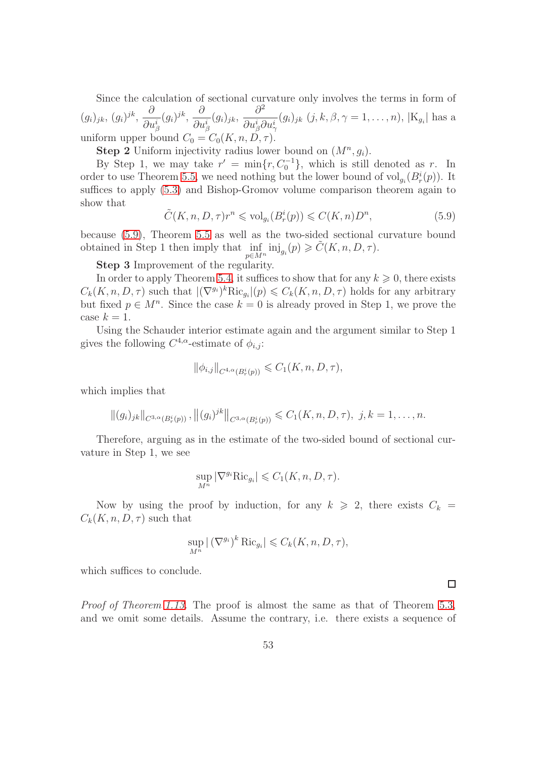Since the calculation of sectional curvature only involves the terms in form of  $(g_i)_{jk}, (g_i)^{jk},$ ∂  $\partial u^i_\beta$  $(g_i)^{jk}$ ,  $\partial$  $\partial u^i_\beta$  $(g_i)_{jk},$  $\partial^2$  $\frac{\partial}{\partial u_{\beta}^{i}} \frac{\partial u_{\gamma}^{i}}{\partial u_{\gamma}^{i}} (g_{i})_{jk}$  (j, k,  $\beta, \gamma = 1, ..., n$ ), |K<sub>g<sub>i</sub></sub>| has a uniform upper bound  $C_0 = C_0(K, n, D, \tau)$ .

**Step 2** Uniform injectivity radius lower bound on  $(M^n, g_i)$ .

By Step 1, we may take  $r' = \min\{r, C_0^{-1}\}\$ , which is still denoted as r. In order to use Theorem [5.5,](#page-50-0) we need nothing but the lower bound of  $\mathrm{vol}_{g_i}(B_r^i(p))$ . It suffices to apply [\(5.3\)](#page-49-2) and Bishop-Gromov volume comparison theorem again to show that

<span id="page-52-0"></span>
$$
\tilde{C}(K,n,D,\tau)r^n \leqslant \text{vol}_{g_i}(B_r^i(p)) \leqslant C(K,n)D^n,\tag{5.9}
$$

because [\(5.9\)](#page-52-0), Theorem [5.5](#page-50-0) as well as the two-sided sectional curvature bound obtained in Step 1 then imply that inf  $\inf_{p\in M^n} \text{inj}_{g_i}(p) \geqslant \tilde{C}(K,n,D,\tau).$ 

Step 3 Improvement of the regularity.

In order to apply Theorem [5.4,](#page-50-1) it suffices to show that for any  $k \geq 0$ , there exists  $C_k(K, n, D, \tau)$  such that  $|(\nabla^{g_i})^k \text{Ric}_{g_i}|(p) \leq C_k(K, n, D, \tau)$  holds for any arbitrary but fixed  $p \in M^n$ . Since the case  $k = 0$  is already proved in Step 1, we prove the case  $k = 1$ .

Using the Schauder interior estimate again and the argument similar to Step 1 gives the following  $C^{4,\alpha}$ -estimate of  $\phi_{i,j}$ :

$$
\|\phi_{i,j}\|_{C^{4,\alpha}(B_r^i(p))} \leqslant C_1(K,n,D,\tau),
$$

which implies that

$$
||(g_i)_{jk}||_{C^{3,\alpha}(B_r^i(p))}, ||(g_i)^{jk}||_{C^{3,\alpha}(B_r^i(p))} \leq C_1(K,n,D,\tau), \ j,k=1,\ldots,n.
$$

Therefore, arguing as in the estimate of the two-sided bound of sectional curvature in Step 1, we see

$$
\sup_{M^n} |\nabla^{g_i} \text{Ric}_{g_i}| \leqslant C_1(K, n, D, \tau).
$$

Now by using the proof by induction, for any  $k \geq 2$ , there exists  $C_k =$  $C_k(K, n, D, \tau)$  such that

$$
\sup_{M^n} |(\nabla^{g_i})^k \operatorname{Ric}_{g_i}| \leqslant C_k(K,n,D,\tau),
$$

which suffices to conclude.

Proof of Theorem [1.13.](#page-6-2) The proof is almost the same as that of Theorem [5.3,](#page-48-3) and we omit some details. Assume the contrary, i.e. there exists a sequence of

 $\Box$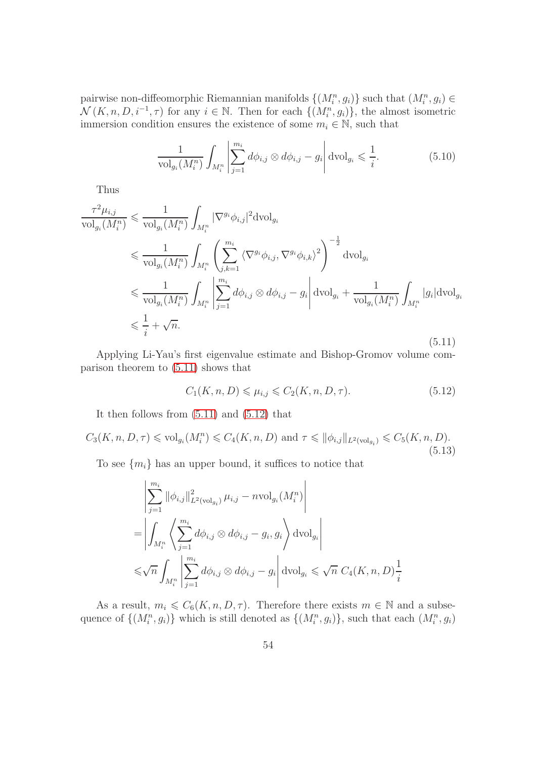pairwise non-diffeomorphic Riemannian manifolds  $\{(M_i^n, g_i)\}\$  such that  $(M_i^n, g_i) \in$  $\mathcal{N}(K,n,D,i^{-1},\tau)$  for any  $i \in \mathbb{N}$ . Then for each  $\{(M_i^n,g_i)\}\)$ , the almost isometric immersion condition ensures the existence of some  $m_i \in \mathbb{N}$ , such that

<span id="page-53-2"></span>
$$
\frac{1}{\text{vol}_{g_i}(M_i^n)} \int_{M_i^n} \left| \sum_{j=1}^{m_i} d\phi_{i,j} \otimes d\phi_{i,j} - g_i \right| d\text{vol}_{g_i} \leq \frac{1}{i}.
$$
 (5.10)

Thus

<span id="page-53-0"></span>
$$
\frac{\tau^2 \mu_{i,j}}{\text{vol}_{g_i}(M_i^n)} \leqslant \frac{1}{\text{vol}_{g_i}(M_i^n)} \int_{M_i^n} |\nabla^{g_i} \phi_{i,j}|^2 \text{dvol}_{g_i}
$$
\n
$$
\leqslant \frac{1}{\text{vol}_{g_i}(M_i^n)} \int_{M_i^n} \left( \sum_{j,k=1}^{m_i} \langle \nabla^{g_i} \phi_{i,j}, \nabla^{g_i} \phi_{i,k} \rangle^2 \right)^{-\frac{1}{2}} \text{dvol}_{g_i}
$$
\n
$$
\leqslant \frac{1}{\text{vol}_{g_i}(M_i^n)} \int_{M_i^n} \left| \sum_{j=1}^{m_i} d\phi_{i,j} \otimes d\phi_{i,j} - g_i \right| \text{dvol}_{g_i} + \frac{1}{\text{vol}_{g_i}(M_i^n)} \int_{M_i^n} |g_i| \text{dvol}_{g_i}
$$
\n
$$
\leqslant \frac{1}{i} + \sqrt{n}.
$$
\n(5.11)

Applying Li-Yau's first eigenvalue estimate and Bishop-Gromov volume comparison theorem to [\(5.11\)](#page-53-0) shows that

<span id="page-53-1"></span>
$$
C_1(K, n, D) \leqslant \mu_{i,j} \leqslant C_2(K, n, D, \tau). \tag{5.12}
$$

It then follows from  $(5.11)$  and  $(5.12)$  that

<span id="page-53-3"></span>
$$
C_3(K, n, D, \tau) \leqslant \text{vol}_{g_i}(M_i^n) \leqslant C_4(K, n, D) \text{ and } \tau \leqslant ||\phi_{i,j}||_{L^2(\text{vol}_{g_i})} \leqslant C_5(K, n, D). \tag{5.13}
$$

To see  $\{m_i\}$  has an upper bound, it suffices to notice that

$$
\begin{aligned}\n&\left|\sum_{j=1}^{m_i} \|\phi_{i,j}\|_{L^2(\text{vol}_{g_i})}^2 \mu_{i,j} - n \text{vol}_{g_i}(M_i^n)\right| \\
&=\left|\int_{M_i^n} \left\langle \sum_{j=1}^{m_i} d\phi_{i,j} \otimes d\phi_{i,j} - g_i, g_i \right\rangle \text{dvol}_{g_i}\right| \\
&\leq \sqrt{n} \int_{M_i^n} \left|\sum_{j=1}^{m_i} d\phi_{i,j} \otimes d\phi_{i,j} - g_i \right| \text{dvol}_{g_i} \leq \sqrt{n} \ C_4(K, n, D) \frac{1}{i}\n\end{aligned}
$$

As a result,  $m_i \leq C_6(K, n, D, \tau)$ . Therefore there exists  $m \in \mathbb{N}$  and a subsequence of  $\{(M_i^n, g_i)\}\$  which is still denoted as  $\{(M_i^n, g_i)\}\$ , such that each  $(M_i^n, g_i)\$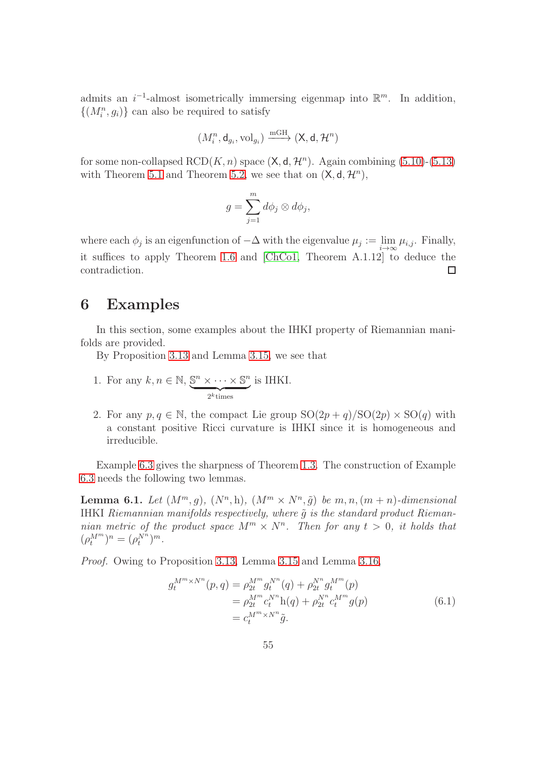admits an  $i^{-1}$ -almost isometrically immersing eigenmap into  $\mathbb{R}^m$ . In addition,  $\{(M_i^n, g_i)\}\)$  can also be required to satisfy

$$
(M^n_i,\mathsf{d}_{g_i},\mathrm{vol}_{g_i})\xrightarrow{\mathrm{mGH}} (\mathsf{X},\mathsf{d},\mathcal{H}^n)
$$

for some non-collapsed  $\text{RCD}(K, n)$  space  $(\mathsf{X}, \mathsf{d}, \mathcal{H}^n)$ . Again combining [\(5.10\)](#page-53-2)-[\(5.13\)](#page-53-3) with Theorem [5.1](#page-48-1) and Theorem [5.2,](#page-48-2) we see that on  $(X, d, \mathcal{H}^n)$ ,

$$
g = \sum_{j=1}^m d\phi_j \otimes d\phi_j,
$$

where each  $\phi_j$  is an eigenfunction of  $-\Delta$  with the eigenvalue  $\mu_j := \lim_{i \to \infty}$  $\lim_{i\to\infty}\mu_{i,j}$ . Finally, it suffices to apply Theorem [1.6](#page-4-0) and [\[ChCo1,](#page-58-6) Theorem A.1.12] to deduce the contradiction.  $\Box$ 

# <span id="page-54-0"></span>6 Examples

In this section, some examples about the IHKI property of Riemannian manifolds are provided.

By Proposition [3.13](#page-31-1) and Lemma [3.15,](#page-33-0) we see that

- 1. For any  $k, n \in \mathbb{N}, \mathbb{S}^n \times \cdots \times \mathbb{S}^n$  $2^k$ times is IHKI.
- 2. For any  $p, q \in \mathbb{N}$ , the compact Lie group  $SO(2p+q)/SO(2p) \times SO(q)$  with a constant positive Ricci curvature is IHKI since it is homogeneous and irreducible.

Example [6.3](#page-55-0) gives the sharpness of Theorem [1.3.](#page-3-2) The construction of Example [6.3](#page-55-0) needs the following two lemmas.

<span id="page-54-2"></span>**Lemma 6.1.** Let  $(M^m, g)$ ,  $(N^n, h)$ ,  $(M^m \times N^n, \tilde{g})$  be  $m, n, (m+n)$ -dimensional IHKI Riemannian manifolds respectively, where  $\tilde{g}$  is the standard product Riemannian metric of the product space  $M^m \times N^n$ . Then for any  $t > 0$ , it holds that  $(\rho_t^{M^m})^n = (\rho_t^{N^n})^m.$ 

Proof. Owing to Proposition [3.13,](#page-31-1) Lemma [3.15](#page-33-0) and Lemma [3.16,](#page-34-1)

<span id="page-54-1"></span>
$$
g_t^{M^m \times N^n}(p,q) = \rho_{2t}^{M^m} g_t^{N^n}(q) + \rho_{2t}^{N^n} g_t^{M^m}(p)
$$
  
= 
$$
\rho_{2t}^{M^m} c_t^{N^n} \mathbf{h}(q) + \rho_{2t}^{N^n} c_t^{M^m} g(p)
$$
  
= 
$$
c_t^{M^m \times N^n} \tilde{g}.
$$
 (6.1)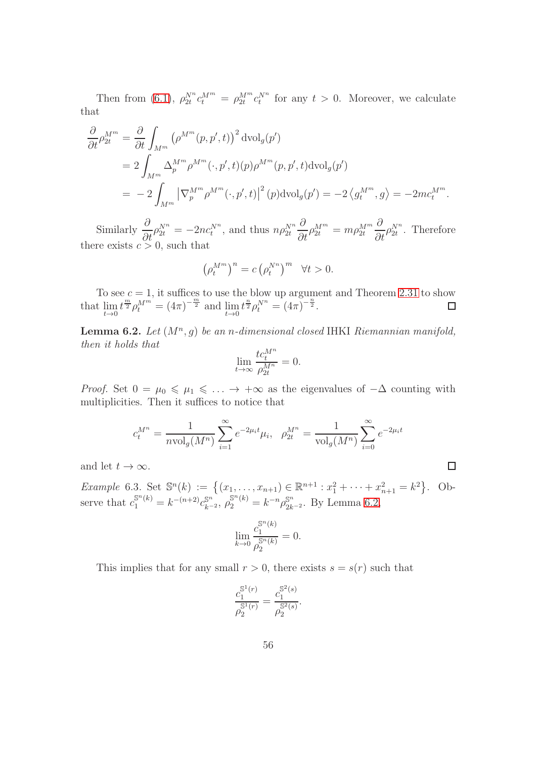Then from [\(6.1\)](#page-54-1),  $\rho_{2t}^{N^n} c_t^{M^m} = \rho_{2t}^{M^m} c_t^{N^n}$  for any  $t > 0$ . Moreover, we calculate that

$$
\frac{\partial}{\partial t} \rho_{2t}^{M^m} = \frac{\partial}{\partial t} \int_{M^m} (\rho^{M^m}(p, p', t))^2 \, \text{dvol}_g(p')
$$
\n
$$
= 2 \int_{M^m} \Delta_p^{M^m} \rho^{M^m}(\cdot, p', t)(p) \rho^{M^m}(p, p', t) \text{dvol}_g(p')
$$
\n
$$
= -2 \int_{M^m} |\nabla_p^{M^m} \rho^{M^m}(\cdot, p', t)|^2 (p) \text{dvol}_g(p') = -2 \langle g_t^{M^m}, g \rangle = -2mc_t^{M^m}.
$$

Similarly  $\frac{\partial}{\partial x}$  $\frac{\partial}{\partial t} \rho_{2t}^{N^n} = -2nc_t^{N^n}$ , and thus  $n \rho_{2t}^{N^n}$ ∂  $\frac{\partial}{\partial t} \rho_{2t}^{M^m} = m \rho_{2t}^{M^m}$ ∂  $\frac{\partial}{\partial t} \rho_{2t}^{N^n}$ . Therefore there exists  $c > 0$ , such that

$$
\left(\rho_t^{M^m}\right)^n = c \left(\rho_t^{N^n}\right)^m \quad \forall t > 0.
$$

To see  $c = 1$ , it suffices to use the blow up argument and Theorem [2.31](#page-21-4) to show that lim  $t\rightarrow 0$  $t^{\frac{m}{2}} \rho_t^{M^{m'}} = (4\pi)^{-\frac{m}{2}}$  and  $\lim_{t \to 0}$  $t\rightarrow 0$  $t^{\frac{n}{2}}\rho_t^{N^n} = (4\pi)^{-\frac{n}{2}}.$ 

<span id="page-55-1"></span>**Lemma 6.2.** Let  $(M^n, g)$  be an n-dimensional closed IHKI Riemannian manifold, then it holds that

$$
\lim_{t \to \infty} \frac{tc_t^{M^n}}{\rho_{2t}^{M^n}} = 0.
$$

*Proof.* Set  $0 = \mu_0 \leq \mu_1 \leq \ldots \to +\infty$  as the eigenvalues of  $-\Delta$  counting with multiplicities. Then it suffices to notice that

$$
c_t^{M^n} = \frac{1}{n \text{vol}_g(M^n)} \sum_{i=1}^{\infty} e^{-2\mu_i t} \mu_i, \ \ \rho_{2t}^{M^n} = \frac{1}{\text{vol}_g(M^n)} \sum_{i=0}^{\infty} e^{-2\mu_i t}
$$

 $\Box$ 

and let  $t \to \infty$ .

<span id="page-55-0"></span>Example 6.3. Set  $\mathbb{S}^n(k) := \{(x_1, \ldots, x_{n+1}) \in \mathbb{R}^{n+1} : x_1^2 + \cdots + x_{n+1}^2 = k^2\}.$  Observe that  $c_1^{\mathbb{S}^n(k)} = k^{-(n+2)} c_{k-2}^{\mathbb{S}^n}$ ,  $\rho_2^{\mathbb{S}^n(k)} = k^{-n} \rho_{2k-2}^{\mathbb{S}^n}$ . By Lemma [6.2,](#page-55-1)

$$
\lim_{k\to 0}\frac{c^{\mathbb{S}^n(k)}_1}{\rho^{\mathbb{S}^n(k)}_2}=0.
$$

This implies that for any small  $r > 0$ , there exists  $s = s(r)$  such that

$$
\frac{c_1^{\mathbb{S}^1(r)}}{\rho_2^{\mathbb{S}^1(r)}} = \frac{c_1^{\mathbb{S}^2(s)}}{\rho_2^{\mathbb{S}^2(s)}}.
$$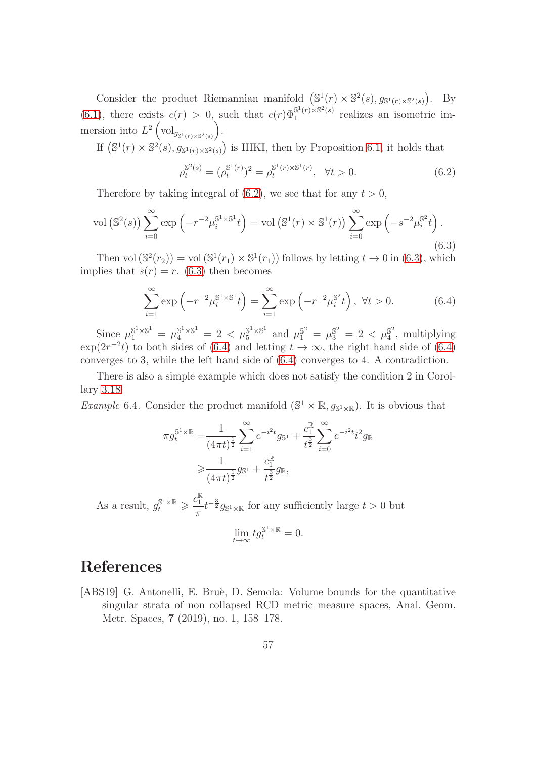Consider the product Riemannian manifold  $(\mathbb{S}^1(r) \times \mathbb{S}^2(s), g_{\mathbb{S}^1(r) \times \mathbb{S}^2(s)})$ . By [\(6.1\)](#page-54-1), there exists  $c(r) > 0$ , such that  $c(r)\Phi_1^{\mathbb{S}^1(r)\times\mathbb{S}^2(s)}$  $_1^{\mathcal{S}^-(r)\times\mathcal{S}^-(s)}$  realizes an isometric immersion into  $L^2 \left( \text{vol}_{g_{\mathbb{S}^1(r)\times \mathbb{S}^2(s)}} \right)$ .

If  $(\mathbb{S}^1(r) \times \mathbb{S}^2(s), g_{\mathbb{S}^1(r) \times \mathbb{S}^2(s)})$  is IHKI, then by Proposition [6.1,](#page-54-2) it holds that

<span id="page-56-1"></span>
$$
\rho_t^{\mathbb{S}^2(s)} = (\rho_t^{\mathbb{S}^1(r)})^2 = \rho_t^{\mathbb{S}^1(r) \times \mathbb{S}^1(r)}, \quad \forall t > 0.
$$
\n(6.2)

Therefore by taking integral of [\(6.2\)](#page-56-1), we see that for any  $t > 0$ ,

<span id="page-56-2"></span>
$$
\text{vol}\left(\mathbb{S}^2(s)\right) \sum_{i=0}^{\infty} \exp\left(-r^{-2}\mu_i^{\mathbb{S}^1 \times \mathbb{S}^1}t\right) = \text{vol}\left(\mathbb{S}^1(r) \times \mathbb{S}^1(r)\right) \sum_{i=0}^{\infty} \exp\left(-s^{-2}\mu_i^{\mathbb{S}^2}t\right). \tag{6.3}
$$

Then vol  $(\mathbb{S}^2(r_2)) = \text{vol}(\mathbb{S}^1(r_1) \times \mathbb{S}^1(r_1))$  follows by letting  $t \to 0$  in [\(6.3\)](#page-56-2), which implies that  $s(r) = r$ . [\(6.3\)](#page-56-2) then becomes

<span id="page-56-3"></span>
$$
\sum_{i=1}^{\infty} \exp\left(-r^{-2}\mu_i^{\mathbb{S}^1 \times \mathbb{S}^1}t\right) = \sum_{i=1}^{\infty} \exp\left(-r^{-2}\mu_i^{\mathbb{S}^2}t\right), \ \forall t > 0. \tag{6.4}
$$

Since  $\mu_1^{\mathbb{S}^1 \times \mathbb{S}^1} = \mu_4^{\mathbb{S}^1 \times \mathbb{S}^1} = 2 < \mu_5^{\mathbb{S}^1 \times \mathbb{S}^1}$  and  $\mu_1^{\mathbb{S}^2} = \mu_3^{\mathbb{S}^2} = 2 < \mu_4^{\mathbb{S}^2}$  $_4^{\$}$ <sup>2</sup>, multiplying  $\exp(2r^{-2}t)$  to both sides of [\(6.4\)](#page-56-3) and letting  $t \to \infty$ , the right hand side of (6.4) converges to 3, while the left hand side of [\(6.4\)](#page-56-3) converges to 4. A contradiction.

There is also a simple example which does not satisfy the condition 2 in Corollary [3.18.](#page-38-2)

Example 6.4. Consider the product manifold  $(\mathbb{S}^1 \times \mathbb{R}, g_{\mathbb{S}^1 \times \mathbb{R}})$ . It is obvious that

$$
\pi g_t^{\mathbb{S}^1 \times \mathbb{R}} = \frac{1}{(4\pi t)^{\frac{1}{2}}} \sum_{i=1}^{\infty} e^{-i^2 t} g_{\mathbb{S}^1} + \frac{c_1^{\mathbb{R}}}{t^{\frac{3}{2}}} \sum_{i=0}^{\infty} e^{-i^2 t} i^2 g_{\mathbb{R}}
$$

$$
\geqslant \frac{1}{(4\pi t)^{\frac{1}{2}}} g_{\mathbb{S}^1} + \frac{c_1^{\mathbb{R}}}{t^{\frac{3}{2}}} g_{\mathbb{R}},
$$

As a result,  $g_t^{\mathbb{S}^1 \times \mathbb{R}} \geqslant \frac{c_1^{\mathbb{R}}}{\pi}$ 1  $\pi$  $t^{-\frac{3}{2}}g_{\mathbb{S}^1\times\mathbb{R}}$  for any sufficiently large  $t>0$  but lim  $t\rightarrow\infty$  $tg_t^{\mathbb{S}^1 \times \mathbb{R}} = 0.$ 

# References

<span id="page-56-0"></span>[ABS19] G. Antonelli, E. Bruè, D. Semola: Volume bounds for the quantitative singular strata of non collapsed RCD metric measure spaces, Anal. Geom. Metr. Spaces, 7 (2019), no. 1, 158–178.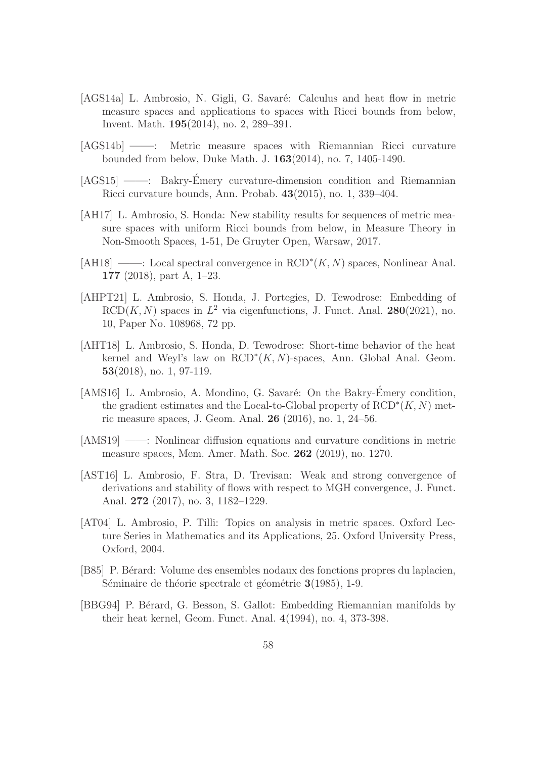- [AGS14a] L. Ambrosio, N. Gigli, G. Savaré: Calculus and heat flow in metric measure spaces and applications to spaces with Ricci bounds from below, Invent. Math. 195(2014), no. 2, 289–391.
- <span id="page-57-2"></span>[AGS14b] ——: Metric measure spaces with Riemannian Ricci curvature bounded from below, Duke Math. J. 163(2014), no. 7, 1405-1490.
- <span id="page-57-5"></span>[AGS15] ——: Bakry-Emery curvature-dimension condition and Riemannian ´ Ricci curvature bounds, Ann. Probab. 43(2015), no. 1, 339–404.
- <span id="page-57-7"></span>[AH17] L. Ambrosio, S. Honda: New stability results for sequences of metric measure spaces with uniform Ricci bounds from below, in Measure Theory in Non-Smooth Spaces, 1-51, De Gruyter Open, Warsaw, 2017.
- <span id="page-57-10"></span> $[AH18]$  ——: Local spectral convergence in  $RCD^*(K, N)$  spaces, Nonlinear Anal. 177 (2018), part A, 1–23.
- <span id="page-57-4"></span>[AHPT21] L. Ambrosio, S. Honda, J. Portegies, D. Tewodrose: Embedding of  $RCD(K, N)$  spaces in  $L^2$  via eigenfunctions, J. Funct. Anal. 280(2021), no. 10, Paper No. 108968, 72 pp.
- <span id="page-57-6"></span>[AHT18] L. Ambrosio, S. Honda, D. Tewodrose: Short-time behavior of the heat kernel and Weyl's law on  $\text{RCD}^*(K, N)$ -spaces, Ann. Global Anal. Geom. 53(2018), no. 1, 97-119.
- [AMS16] L. Ambrosio, A. Mondino, G. Savaré: On the Bakry-Émery condition, the gradient estimates and the Local-to-Global property of  $RCD^*(K, N)$  metric measure spaces, J. Geom. Anal. 26 (2016), no. 1, 24–56.
- <span id="page-57-3"></span>[AMS19] ——: Nonlinear diffusion equations and curvature conditions in metric measure spaces, Mem. Amer. Math. Soc. 262 (2019), no. 1270.
- <span id="page-57-8"></span>[AST16] L. Ambrosio, F. Stra, D. Trevisan: Weak and strong convergence of derivations and stability of flows with respect to MGH convergence, J. Funct. Anal. 272 (2017), no. 3, 1182–1229.
- <span id="page-57-9"></span>[AT04] L. Ambrosio, P. Tilli: Topics on analysis in metric spaces. Oxford Lecture Series in Mathematics and its Applications, 25. Oxford University Press, Oxford, 2004.
- <span id="page-57-1"></span>[B85] P. Bérard: Volume des ensembles nodaux des fonctions propres du laplacien, Séminaire de théorie spectrale et géométrie  $3(1985)$ , 1-9.
- <span id="page-57-0"></span>[BBG94] P. Bérard, G. Besson, S. Gallot: Embedding Riemannian manifolds by their heat kernel, Geom. Funct. Anal. 4(1994), no. 4, 373-398.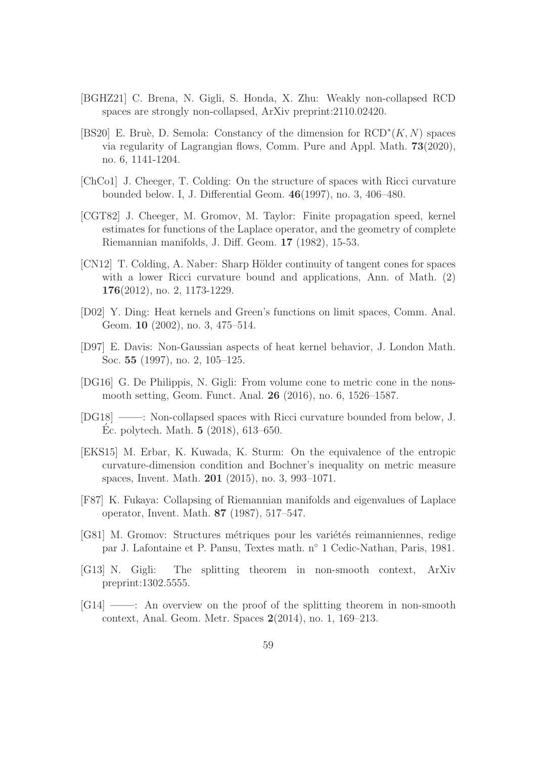- <span id="page-58-4"></span>[BGHZ21] C. Brena, N. Gigli, S. Honda, X. Zhu: Weakly non-collapsed RCD spaces are strongly non-collapsed, ArXiv preprint:2110.02420.
- <span id="page-58-3"></span>[BS20] E. Bruè, D. Semola: Constancy of the dimension for  $RCD^*(K, N)$  spaces via regularity of Lagrangian flows, Comm. Pure and Appl. Math. 73(2020), no. 6, 1141-1204.
- <span id="page-58-6"></span>[ChCo1] J. Cheeger, T. Colding: On the structure of spaces with Ricci curvature bounded below. I, J. Differential Geom. 46(1997), no. 3, 406–480.
- <span id="page-58-13"></span>[CGT82] J. Cheeger, M. Gromov, M. Taylor: Finite propagation speed, kernel estimates for functions of the Laplace operator, and the geometry of complete Riemannian manifolds, J. Diff. Geom. 17 (1982), 15-53.
- <span id="page-58-9"></span>[CN12] T. Colding, A. Naber: Sharp Hölder continuity of tangent cones for spaces with a lower Ricci curvature bound and applications, Ann. of Math. (2) 176(2012), no. 2, 1173-1229.
- <span id="page-58-7"></span>[D02] Y. Ding: Heat kernels and Green's functions on limit spaces, Comm. Anal. Geom. 10 (2002), no. 3, 475–514.
- <span id="page-58-10"></span>[D97] E. Davis: Non-Gaussian aspects of heat kernel behavior, J. London Math. Soc. 55 (1997), no. 2, 105–125.
- <span id="page-58-12"></span>[DG16] G. De Philippis, N. Gigli: From volume cone to metric cone in the nonsmooth setting, Geom. Funct. Anal. 26 (2016), no. 6, 1526–1587.
- <span id="page-58-2"></span>[DG18] ——: Non-collapsed spaces with Ricci curvature bounded from below, J.  $\text{Éc. polytech. Math. } 5 (2018), 613-650.$
- <span id="page-58-1"></span>[EKS15] M. Erbar, K. Kuwada, K. Sturm: On the equivalence of the entropic curvature-dimension condition and Bochner's inequality on metric measure spaces, Invent. Math. 201 (2015), no. 3, 993–1071.
- <span id="page-58-8"></span>[F87] K. Fukaya: Collapsing of Riemannian manifolds and eigenvalues of Laplace operator, Invent. Math. 87 (1987), 517–547.
- <span id="page-58-5"></span>[G81] M. Gromov: Structures métriques pour les variétés reimanniennes, redige par J. Lafontaine et P. Pansu, Textes math. n◦ 1 Cedic-Nathan, Paris, 1981.
- <span id="page-58-0"></span>[G13] N. Gigli: The splitting theorem in non-smooth context, ArXiv preprint:1302.5555.
- <span id="page-58-11"></span>[G14] ——: An overview on the proof of the splitting theorem in non-smooth context, Anal. Geom. Metr. Spaces 2(2014), no. 1, 169–213.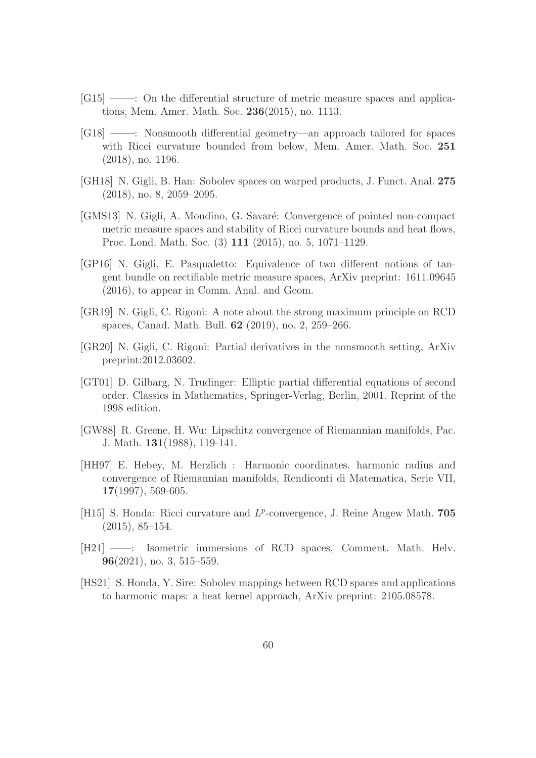- <span id="page-59-0"></span>[G15] ——: On the differential structure of metric measure spaces and applications, Mem. Amer. Math. Soc. 236(2015), no. 1113.
- <span id="page-59-6"></span>[G18] ——: Nonsmooth differential geometry—an approach tailored for spaces with Ricci curvature bounded from below, Mem. Amer. Math. Soc. 251 (2018), no. 1196.
- <span id="page-59-4"></span>[GH18] N. Gigli, B. Han: Sobolev spaces on warped products, J. Funct. Anal. 275 (2018), no. 8, 2059–2095.
- <span id="page-59-7"></span>[GMS13] N. Gigli, A. Mondino, G. Savar´e: Convergence of pointed non-compact metric measure spaces and stability of Ricci curvature bounds and heat flows, Proc. Lond. Math. Soc. (3) 111 (2015), no. 5, 1071–1129.
- <span id="page-59-8"></span>[GP16] N. Gigli, E. Pasqualetto: Equivalence of two different notions of tangent bundle on rectifiable metric measure spaces, ArXiv preprint: 1611.09645 (2016), to appear in Comm. Anal. and Geom.
- <span id="page-59-11"></span>[GR19] N. Gigli, C. Rigoni: A note about the strong maximum principle on RCD spaces, Canad. Math. Bull. 62 (2019), no. 2, 259–266.
- <span id="page-59-5"></span>[GR20] N. Gigli, C. Rigoni: Partial derivatives in the nonsmooth setting, ArXiv preprint:2012.03602.
- <span id="page-59-12"></span>[GT01] D. Gilbarg, N. Trudinger: Elliptic partial differential equations of second order. Classics in Mathematics, Springer-Verlag, Berlin, 2001. Reprint of the 1998 edition.
- <span id="page-59-2"></span>[GW88] R. Greene, H. Wu: Lipschitz convergence of Riemannian manifolds, Pac. J. Math. 131(1988), 119-141.
- <span id="page-59-3"></span>[HH97] E. Hebey, M. Herzlich : Harmonic coordinates, harmonic radius and convergence of Riemannian manifolds, Rendiconti di Matematica, Serie VII, 17(1997), 569-605.
- <span id="page-59-9"></span>[H15] S. Honda: Ricci curvature and L<sup>p</sup>-convergence, J. Reine Angew Math. 705 (2015), 85–154.
- <span id="page-59-1"></span>[H21] ——: Isometric immersions of RCD spaces, Comment. Math. Helv. 96(2021), no. 3, 515–559.
- <span id="page-59-10"></span>[HS21] S. Honda, Y. Sire: Sobolev mappings between RCD spaces and applications to harmonic maps: a heat kernel approach, ArXiv preprint: 2105.08578.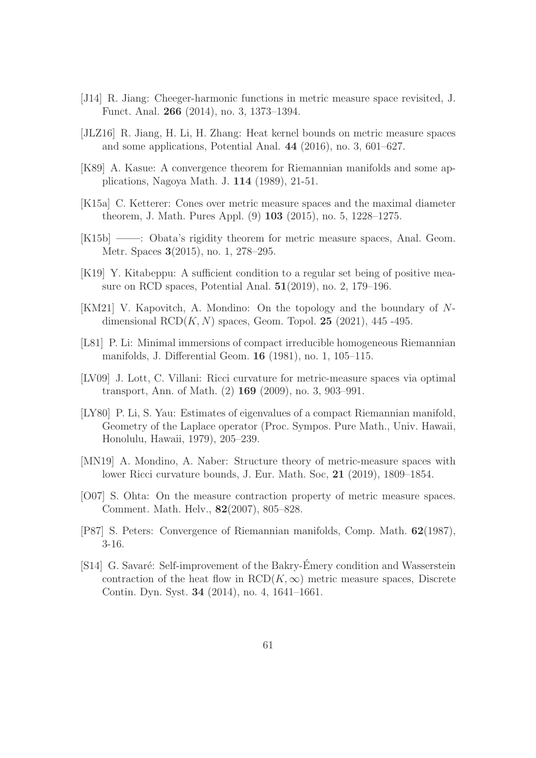- <span id="page-60-7"></span>[J14] R. Jiang: Cheeger-harmonic functions in metric measure space revisited, J. Funct. Anal. 266 (2014), no. 3, 1373–1394.
- <span id="page-60-2"></span>[JLZ16] R. Jiang, H. Li, H. Zhang: Heat kernel bounds on metric measure spaces and some applications, Potential Anal. 44 (2016), no. 3, 601–627.
- <span id="page-60-4"></span>[K89] A. Kasue: A convergence theorem for Riemannian manifolds and some applications, Nagoya Math. J. 114 (1989), 21-51.
- <span id="page-60-9"></span>[K15a] C. Ketterer: Cones over metric measure spaces and the maximal diameter theorem, J. Math. Pures Appl. (9) 103 (2015), no. 5, 1228–1275.
- <span id="page-60-11"></span>[K15b] ——: Obata's rigidity theorem for metric measure spaces, Anal. Geom. Metr. Spaces 3(2015), no. 1, 278–295.
- <span id="page-60-10"></span>[K19] Y. Kitabeppu: A sufficient condition to a regular set being of positive measure on RCD spaces, Potential Anal. 51(2019), no. 2, 179–196.
- <span id="page-60-1"></span>[KM21] V. Kapovitch, A. Mondino: On the topology and the boundary of Ndimensional  $RCD(K, N)$  spaces, Geom. Topol. 25 (2021), 445-495.
- <span id="page-60-3"></span>[L81] P. Li: Minimal immersions of compact irreducible homogeneous Riemannian manifolds, J. Differential Geom. 16 (1981), no. 1, 105–115.
- <span id="page-60-0"></span>[LV09] J. Lott, C. Villani: Ricci curvature for metric-measure spaces via optimal transport, Ann. of Math. (2) 169 (2009), no. 3, 903–991.
- <span id="page-60-13"></span>[LY80] P. Li, S. Yau: Estimates of eigenvalues of a compact Riemannian manifold, Geometry of the Laplace operator (Proc. Sympos. Pure Math., Univ. Hawaii, Honolulu, Hawaii, 1979), 205–239.
- <span id="page-60-12"></span>[MN19] A. Mondino, A. Naber: Structure theory of metric-measure spaces with lower Ricci curvature bounds, J. Eur. Math. Soc, 21 (2019), 1809–1854.
- <span id="page-60-8"></span>[O07] S. Ohta: On the measure contraction property of metric measure spaces. Comment. Math. Helv., 82(2007), 805–828.
- <span id="page-60-5"></span>[P87] S. Peters: Convergence of Riemannian manifolds, Comp. Math. 62(1987), 3-16.
- <span id="page-60-6"></span>[S14] G. Savaré: Self-improvement of the Bakry-Émery condition and Wasserstein contraction of the heat flow in  $\text{RCD}(K,\infty)$  metric measure spaces, Discrete Contin. Dyn. Syst. 34 (2014), no. 4, 1641–1661.